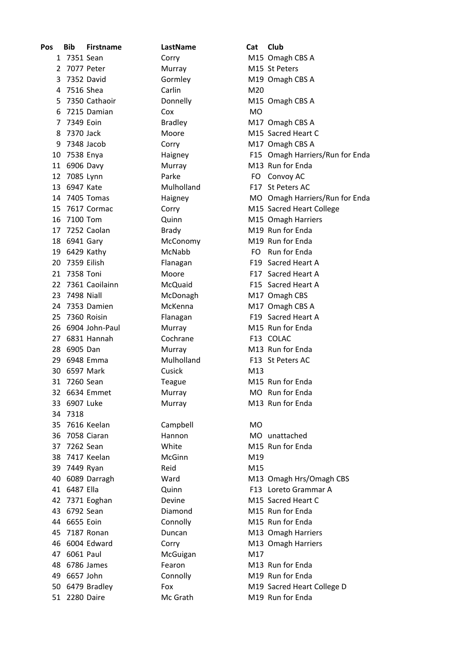| Pos | Bib           | <b>Firstname</b>  | LastName       | Cat       | Club                            |
|-----|---------------|-------------------|----------------|-----------|---------------------------------|
|     | 1 7351 Sean   |                   | Corry          |           | M15 Omagh CBS A                 |
|     | 2 7077 Peter  |                   | Murray         |           | M15 St Peters                   |
| 3   | 7352 David    |                   | Gormley        |           | M19 Omagh CBS A                 |
| 4   | 7516 Shea     |                   | Carlin         | M20       |                                 |
| 5.  |               | 7350 Cathaoir     | Donnelly       |           | M15 Omagh CBS A                 |
| 6   |               | 7215 Damian       | Cox            | <b>MO</b> |                                 |
| 7   | 7349 Eoin     |                   | <b>Bradley</b> |           | M17 Omagh CBS A                 |
| 8   | 7370 Jack     |                   | Moore          |           | M15 Sacred Heart C              |
| 9   | 7348 Jacob    |                   | Corry          |           | M17 Omagh CBS A                 |
| 10  | 7538 Enya     |                   | Haigney        |           | F15 Omagh Harriers/Run for Enda |
|     | 11 6906 Davy  |                   | Murray         |           | M13 Run for Enda                |
|     | 12 7085 Lynn  |                   | Parke          |           | FO Convoy AC                    |
|     | 13 6947 Kate  |                   | Mulholland     |           | F17 St Peters AC                |
|     |               | 14 7405 Tomas     | Haigney        |           | MO Omagh Harriers/Run for Enda  |
|     |               | 15 7617 Cormac    | Corry          |           | M15 Sacred Heart College        |
|     | 16 7100 Tom   |                   | Quinn          |           | M15 Omagh Harriers              |
|     |               | 17 7252 Caolan    | Brady          |           | M19 Run for Enda                |
|     | 18 6941 Gary  |                   | McConomy       |           | M19 Run for Enda                |
|     | 19 6429 Kathy |                   | McNabb         |           | FO Run for Enda                 |
| 20  | 7359 Eilish   |                   | Flanagan       |           | F19 Sacred Heart A              |
| 21  | 7358 Toni     |                   | Moore          |           | F17 Sacred Heart A              |
| 22  |               | 7361 Caoilainn    | McQuaid        |           | F15 Sacred Heart A              |
|     | 23 7498 Niall |                   | McDonagh       |           | M17 Omagh CBS                   |
|     |               | 24 7353 Damien    | McKenna        |           | M17 Omagh CBS A                 |
| 25  |               | 7360 Roisin       | Flanagan       |           | F19 Sacred Heart A              |
|     |               | 26 6904 John-Paul | Murray         |           | M15 Run for Enda                |
| 27  |               | 6831 Hannah       | Cochrane       |           | F13 COLAC                       |
|     | 28 6905 Dan   |                   | Murray         |           | M13 Run for Enda                |
|     |               | 29 6948 Emma      | Mulholland     |           | F13 St Peters AC                |
| 30  | 6597 Mark     |                   | Cusick         | M13       |                                 |
| 31  | 7260 Sean     |                   | Teague         |           | M15 Run for Enda                |
|     |               | 32 6634 Emmet     | Murray         |           | MO Run for Enda                 |
|     | 33 6907 Luke  |                   | Murray         |           | M13 Run for Enda                |
|     | 34 7318       |                   |                |           |                                 |
|     |               | 35 7616 Keelan    | Campbell       | <b>MO</b> |                                 |
| 36  |               | 7058 Ciaran       | Hannon         |           | MO unattached                   |
|     | 37 7262 Sean  |                   | White          |           | M15 Run for Enda                |
|     |               | 38 7417 Keelan    | <b>McGinn</b>  | M19       |                                 |
|     | 39 7449 Ryan  |                   | Reid           | M15       |                                 |
|     |               | 40 6089 Darragh   | Ward           |           | M13 Omagh Hrs/Omagh CBS         |
|     | 41 6487 Ella  |                   | Quinn          |           | F13 Loreto Grammar A            |
| 42  |               | 7371 Eoghan       | Devine         |           | M15 Sacred Heart C              |
|     | 43 6792 Sean  |                   | Diamond        |           | M15 Run for Enda                |
|     | 44 6655 Eoin  |                   | Connolly       |           | M15 Run for Enda                |
|     |               | 45 7187 Ronan     | Duncan         |           | M13 Omagh Harriers              |
|     |               | 46 6004 Edward    | Corry          |           | M13 Omagh Harriers              |
|     | 47 6061 Paul  |                   | McGuigan       | M17       |                                 |
|     |               | 48 6786 James     | Fearon         |           | M13 Run for Enda                |
|     | 49 6657 John  |                   | Connolly       |           | M19 Run for Enda                |
|     |               | 50 6479 Bradley   | Fox            |           | M19 Sacred Heart College D      |
|     | 51 2280 Daire |                   | Mc Grath       |           | M19 Run for Enda                |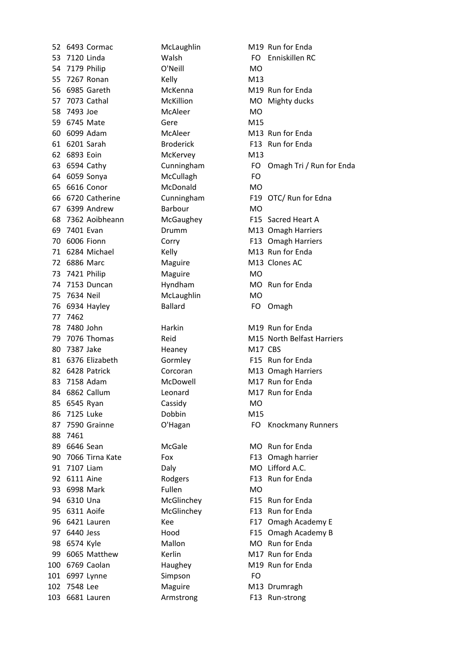52 6493 Cormac McLaughlin M19 Run for Enda 53 7120 Linda Malsh Walsh FO Enniskillen RC 54 7179 Philip O'Neill MO 55 7267 Ronan Kelly Kelly M13 56 6985 Gareth McKenna M19 Run for Enda 57 7073 Cathal McKillion MO Mighty ducks 58 7493 Joe McAleer MCALeer MO 59 6745 Mate Gere M15 60 6099 Adam McAleer M13 Run2for2Enda 61 6201 Sarah Broderick F13 Run for Enda 62 6893 Eoin McKervey M13 64 6059 Sonya McCullagh FO 65 6616 Conor McDonald MO 67 6399 Andrew Barbour MO 68 7362 Aoibheann McGaughey F15 Sacred Heart A 69 7401 Evan Drumm M13 Omagh Harriers 70 6006 Fionn **F13 Omagh Harriers** Corry **F13 Omagh Harriers** 71 6284 Michael Kelly Kelly M13 Run for Enda 72 6886 Marc Maguire M13 Clones AC 73 7421 Philip Maguire MO 74 7153 Duncan Hyndham MO Run for Enda 75 7634 Neil McLaughlin MO 76 6934 Hayley Ballard FO Omagh 77 7462 78 7480 John Harkin M19 Run for Enda 80 7387 Jake Heaney M17 CBS 81 6376 Elizabeth Gormley F15 Run for Enda 82 6428 Patrick Corcoran M13 Omagh Harriers 83 7158 Adam McDowell M17 Run for Enda 84 6862 Callum Leonard M17 Run for Enda 85 6545 Ryan Cassidy MO 86 7125 Luke Dobbin M15 88 7461 89 6646 Sean McGale Mo Run for Enda 90 7066 Tirna Kate Fox Fox F13 Omagh harrier 91 7107 Liam Daly Daly MO Lifford A.C. 92 6111 Aine Rodgers F13 Run for Enda 93 6998 Mark Fullen MO 94 6310 Una McGlinchey F15 Run for Enda 95 6311 Aoife McGlinchey F13 Run for Enda 98 6574 Kyle Mallon Mo Mo Run for Enda 99 6065 Matthew Kerlin M17 Run for Enda 100 6769 Caolan Haughey M19 Run for Enda 101 6997 Lynne Simpson FO 102 7548 Lee Maguire M13 Drumragh 103 6681 Lauren Armstrong F13 Run-strong

63 6594 Cathy Cunningham FO Omagh Tri / Run for Enda 66 6720 Catherine Cunningham F19 OTC/ Run for Edna 79 7076 Thomas Reid Reid M15 North Belfast Harriers 87 7590 Grainne **C'Hagan C'Hagan** FO Knockmany Runners 96 6421 Lauren Kee F17 Omagh Academy E 97 6440 Jess Hood F15 Omagh Academy B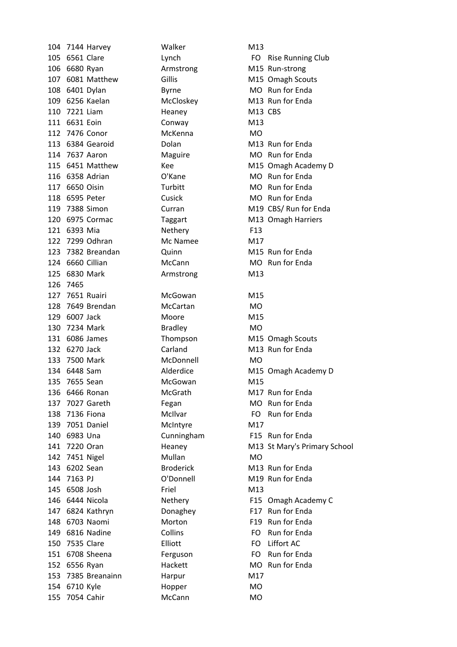104 7144 Harvey Malker M13 106 6680 Ryan Armstrong M15 Run-strong 107 6081 Matthew Gillis Gillis M15 Omagh Scouts 108 6401 Dylan Byrne Byrne MO Run for Enda 109 6256 Kaelan McCloskey M13 Run for Enda 110 7221 Liam Heaney M13 CBS 111 6631 Eoin Conway M13 112 7476 Conor McKenna MO 113 6384 Gearoid **Dolan** Dolan M13 Run for Enda 114 7637 Aaron Maguire MO Run for Enda 116 6358 Adrian C'Kane MO Run for Enda 117 6650 Oisin Turbitt MO Run for Enda 118 6595 Peter Cusick Cusick MO Run for Enda 120 6975 Cormac Taggart M13 Omagh Harriers 121 6393 Mia Nethery F13 122 7299 Odhran Mc Namee M17 123 7382 Breandan M15 Run for Enda 124 6660 Cillian McCann McCann MO Run for Enda 125 6830 Mark **Armstrong** M13 126 7465 127 7651 Ruairi McGowan M15 128 7649 Brendan McCartan MO 129 6007 Jack Moore M15 130 7234 Mark Bradley MO 131 6086 James Thompson M15 Omagh Scouts 132 6270 Jack Carland M13 Run for Enda 133 7500 Mark McDonnell MO 135 7655 Sean McGowan M15 136 6466 Ronan McGrath M17 Run for Enda 137 7027 Gareth Fegan MO Run for Enda 138 7136 Fiona **McIlvar** McIlvar **FO** Run for Enda 139 7051 Daniel McIntyre M17 140 6983 Una Cunningham F15 Run for Enda 142 7451 Nigel Mullan MO 143 6202 Sean Broderick M13 Run for Enda 144 7163 PJ **O'Donnell** M19 Run for Enda 145 6508 Josh Friel M13 147 6824 Kathryn **Donaghey** F17 Run for Enda 148 6703 Naomi Morton F19 Run for Enda 149 6816 Nadine Collins Collins FO Run for Enda 150 7535 Clare Elliott FO Liffort AC 151 6708 Sheena Ferguson FO Run for Enda 152 6556 Ryan Hackett MO Run for Enda 153 7385 Breanainn Harpur M17 154 6710 Kyle Hopper MO 155 7054 Cahir McCann McCann MO

105 6561 Clare Lynch Lynch Club FO Rise Running Club 115 6451 Matthew Kee M15 Omagh Academy D 119 7388 Simon Curran Curran M19 CBS/ Run for Enda 134 6448 Sam Alderdice M15 Omagh Academy D 141 7220 Oran **Heaney** M13 St Mary's Primary School 146 6444 Nicola **Nethery** F15 Omagh Academy C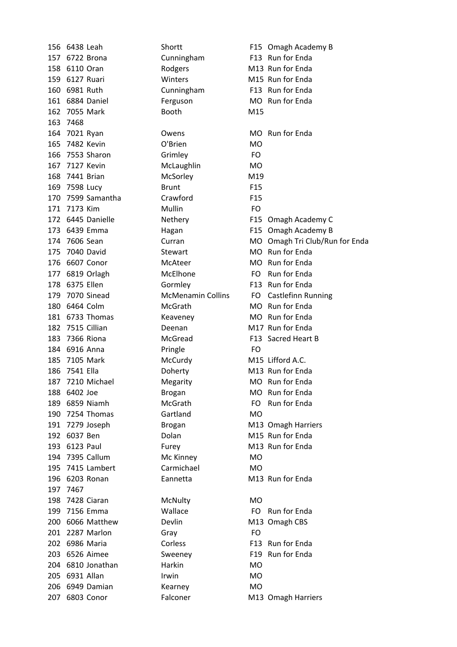|     | 156 6438 Leah     | Shortt                   |                 | F15 Omagh Academy B            |
|-----|-------------------|--------------------------|-----------------|--------------------------------|
|     | 157 6722 Brona    | Cunningham               |                 | F13 Run for Enda               |
|     | 158 6110 Oran     | Rodgers                  |                 | M13 Run for Enda               |
|     | 159 6127 Ruari    | Winters                  |                 | M15 Run for Enda               |
| 160 | 6981 Ruth         | Cunningham               |                 | F13 Run for Enda               |
|     | 161 6884 Daniel   | Ferguson                 |                 | MO Run for Enda                |
|     | 162 7055 Mark     | <b>Booth</b>             | M15             |                                |
| 163 | 7468              |                          |                 |                                |
|     | 164 7021 Ryan     | Owens                    |                 | MO Run for Enda                |
| 165 | 7482 Kevin        | O'Brien                  | <b>MO</b>       |                                |
| 166 | 7553 Sharon       | Grimley                  | FO              |                                |
| 167 | 7127 Kevin        | McLaughlin               | MO              |                                |
|     | 168 7441 Brian    | McSorley                 | M19             |                                |
|     | 169 7598 Lucy     | <b>Brunt</b>             | F <sub>15</sub> |                                |
| 170 | 7599 Samantha     | Crawford                 | F <sub>15</sub> |                                |
|     | 171 7173 Kim      | Mullin                   | <b>FO</b>       |                                |
|     | 172 6445 Danielle | Nethery                  |                 | F15 Omagh Academy C            |
|     | 173 6439 Emma     | Hagan                    |                 | F15 Omagh Academy B            |
|     | 174 7606 Sean     | Curran                   |                 | MO Omagh Tri Club/Run for Enda |
| 175 | 7040 David        | <b>Stewart</b>           |                 | MO Run for Enda                |
|     | 176 6607 Conor    | McAteer                  |                 | MO Run for Enda                |
|     | 177 6819 Orlagh   | McElhone                 |                 | FO Run for Enda                |
|     | 178 6375 Ellen    | Gormley                  |                 | F13 Run for Enda               |
| 179 | 7070 Sinead       | <b>McMenamin Collins</b> |                 | FO Castlefinn Running          |
|     | 180 6464 Colm     | McGrath                  |                 | MO Run for Enda                |
|     | 181 6733 Thomas   | Keaveney                 |                 | MO Run for Enda                |
| 182 | 7515 Cillian      | Deenan                   |                 | M17 Run for Enda               |
| 183 | 7366 Riona        | McGread                  |                 | F13 Sacred Heart B             |
|     | 184 6916 Anna     | Pringle                  | FO              |                                |
|     | 185 7105 Mark     | McCurdy                  |                 | M15 Lifford A.C.               |
| 186 | 7541 Ella         | Doherty                  |                 | M13 Run for Enda               |
| 187 | 7210 Michael      | Megarity                 |                 | MO Run for Enda                |
|     | 188 6402 Joe      | <b>Brogan</b>            |                 | MO Run for Enda                |
|     | 189 6859 Niamh    | McGrath                  | FO.             | Run for Enda                   |
|     | 190 7254 Thomas   | Gartland                 | <b>MO</b>       |                                |
|     | 191 7279 Joseph   | <b>Brogan</b>            |                 | M13 Omagh Harriers             |
|     | 192 6037 Ben      | Dolan                    |                 | M15 Run for Enda               |
|     | 193 6123 Paul     | Furey                    |                 | M13 Run for Enda               |
|     | 194 7395 Callum   | Mc Kinney                | <b>MO</b>       |                                |
|     | 195 7415 Lambert  | Carmichael               | <b>MO</b>       |                                |
|     | 196 6203 Ronan    | Eannetta                 |                 | M13 Run for Enda               |
|     | 197 7467          |                          |                 |                                |
|     | 198 7428 Ciaran   | McNulty                  | MO              |                                |
|     | 199 7156 Emma     | Wallace                  | FO.             | Run for Enda                   |
|     | 200 6066 Matthew  | Devlin                   |                 | M13 Omagh CBS                  |
|     | 201 2287 Marlon   | Gray                     | FO              |                                |
|     | 202 6986 Maria    | Corless                  |                 | F13 Run for Enda               |
|     | 203 6526 Aimee    | Sweeney                  |                 | F19 Run for Enda               |
|     | 204 6810 Jonathan | Harkin                   | MO              |                                |
|     | 205 6931 Allan    | Irwin                    | MO              |                                |
|     | 206 6949 Damian   | Kearney                  | <b>MO</b>       |                                |
|     | 207 6803 Conor    | Falconer                 |                 | M13 Omagh Harriers             |
|     |                   |                          |                 |                                |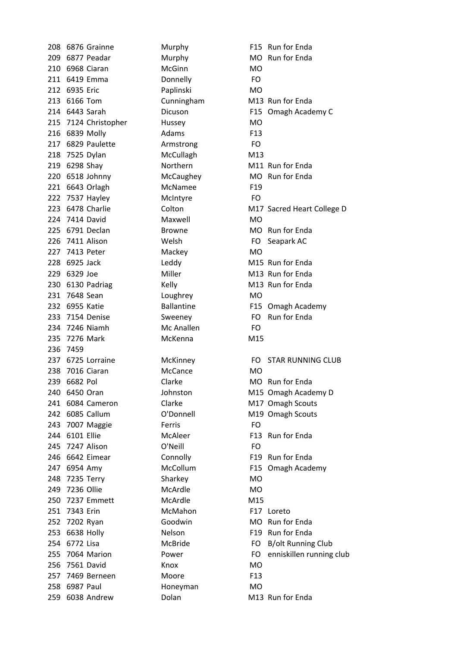208 6876 Grainne Murphy F15 Run for Enda 209 6877 Peadar Murphy MO Run for Enda 210 6968 Ciaran McGinn MCGinn 211 6419 Emma Donnelly FO 212 6935 Eric Paplinski MO 213 6166 Tom Cunningham M13 Run for Enda 215 7124 Christopher Hussey MO 216 6839 Molly **Adams** F13 217 6829 Paulette **Armstrong** FO 218 7525 Dylan McCullagh M13 219 6298 Shav **Northern** M11 Run for Enda 220 6518 Johnny McCaughey MO Run for Enda 221 6643 Orlagh McNamee F19 222 7537 Hayley McIntyre FO 224 7414 David Maxwell MO 225 6791 Declan Browne Browne MO Run for Enda 226 7411 Alison Welsh FO Seapark AC 227 7413 Peter Mackey Mackey 228 6925 Jack **Leddy** Leddy M15 Run for Enda 229 6329 Joe Miller Miller M13 Run for Enda 230 6130 Padriag Kelly Kelly M13 Run for Enda 231 7648 Sean Loughrey MO 233 7154 Denise Sweeney FO Run for Enda 234 7246 Niamh McAnallen FO 235 7276 Mark McKenna M15 236 7459 238 7016 Ciaran McCance MO 239 6682 Pol Clarke MO Run for Enda 241 6084 Cameron Clarke M17 Omagh Scouts 242 6085 Callum C'Donnell M19 Omagh Scouts 243 7007 Maggie Ferris FO 244 6101 Ellie McAleer F13 Run for Enda 245 7247 Alison O'Neill FO 246 6642 Eimear Connolly F19 Run for Enda 247 6954 Amy McCollum F15 Omagh Academy 248 7235 Terry Sharkey MO 249 7236 Ollie McArdle MO 250 7237 Emmett McArdle M15 251 7343 Erin McMahon F17 Loreto 252 7202 Ryan Goodwin MO Run for Enda 253 6638 Holly Nelson **Nelson** F19 Run for Enda 256 7561 David Knox MO 257 7469 Berneen Moore F13 258 6987 Paul Honeyman MO 259 6038 Andrew Dolan Dolan M13 Run for Enda

214 6443 Sarah Dicuson F15 Omagh Academy C 223 6478 Charlie Colton Colton M17 Sacred Heart College D 232 6955 Katie Ballantine F15 Omagh Academy 237 6725 Lorraine **McKinney** FO STAR RUNNING CLUB 240 6450 Oran Johnston M15 Omagh Academy D 254 6772 Lisa McBride FO B/olt Running Club 255 7064 Marion Fower FO enniskillen running club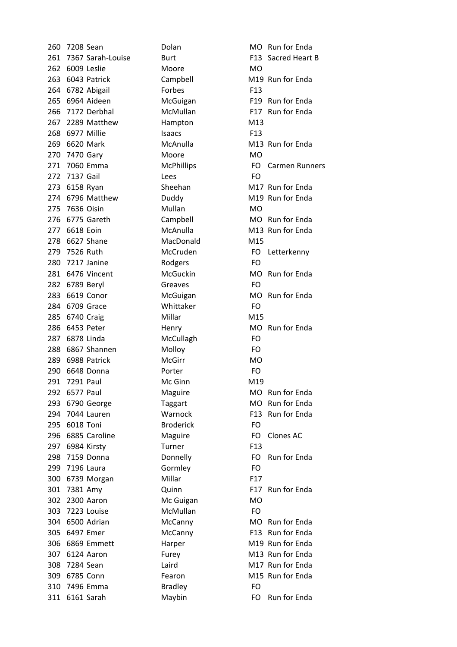| 260 | 7208 Sean      |                       | Dolan             | MO.             |
|-----|----------------|-----------------------|-------------------|-----------------|
|     |                | 261 7367 Sarah-Louise | <b>Burt</b>       | F <sub>13</sub> |
| 262 |                | 6009 Leslie           | Moore             | MO.             |
|     |                | 263 6043 Patrick      | Campbell          | M19             |
|     |                | 264 6782 Abigail      | Forbes            | F <sub>13</sub> |
| 265 |                | 6964 Aideen           | McGuigan          | F <sub>19</sub> |
|     |                | 266 7172 Derbhal      | McMullan          | F17             |
|     |                | 267 2289 Matthew      | Hampton           | M13             |
| 268 |                | 6977 Millie           | Isaacs            | F <sub>13</sub> |
|     | 269 6620 Mark  |                       | McAnulla          | M13             |
|     | 270 7470 Gary  |                       | Moore             | MO.             |
| 271 |                | 7060 Emma             | <b>McPhillips</b> | FO              |
|     | 272 7137 Gail  |                       | Lees              | FO              |
| 273 | 6158 Ryan      |                       | Sheehan           | M17             |
|     |                | 274 6796 Matthew      | Duddy             | M19             |
|     | 275 7636 Oisin |                       | Mullan            | <b>MO</b>       |
|     |                | 276 6775 Gareth       | Campbell          | <b>MO</b>       |
| 277 | 6618 Eoin      |                       | McAnulla          | M13             |
| 278 |                | 6627 Shane            | MacDonald         | M15             |
|     | 279 7526 Ruth  |                       | McCruden          | FO.             |
|     |                | 280 7217 Janine       | Rodgers           | FO              |
|     |                | 281 6476 Vincent      | McGuckin          | <b>MO</b>       |
|     | 282 6789 Beryl |                       | Greaves           | FO.             |
| 283 |                | 6619 Conor            | McGuigan          | <b>MO</b>       |
|     |                | 284 6709 Grace        | Whittaker         | FO              |
| 285 | 6740 Craig     |                       | Millar            | M15             |
| 286 |                | 6453 Peter            | Henry             | <b>MO</b>       |
| 287 | 6878 Linda     |                       | McCullagh         | FO              |
| 288 |                | 6867 Shannen          | Molloy            | FO              |
| 289 |                | 6988 Patrick          | <b>McGirr</b>     | <b>MO</b>       |
| 290 |                | 6648 Donna            | Porter            | FO              |
|     | 291 7291 Paul  |                       | Mc Ginn           | M19             |
| 292 | 6577 Paul      |                       | Maguire           | MO              |
| 293 |                | 6790 George           | Taggart           | MO              |
| 294 |                | 7044 Lauren           | Warnock           | F <sub>13</sub> |
| 295 | 6018 Toni      |                       | <b>Broderick</b>  | FO              |
| 296 |                | 6885 Caroline         | Maguire           | FO              |
| 297 |                | 6984 Kirsty           | Turner            | F <sub>13</sub> |
| 298 |                | 7159 Donna            | Donnelly          | FO              |
| 299 |                | 7196 Laura            | Gormley           | FO              |
| 300 |                | 6739 Morgan           | Millar            | F17             |
| 301 | 7381 Amy       |                       | Quinn             | F17             |
| 302 |                | 2300 Aaron            | Mc Guigan         | <b>MO</b>       |
| 303 |                | 7223 Louise           | McMullan          | FO              |
| 304 |                | 6500 Adrian           | McCanny           | <b>MO</b>       |
| 305 |                | 6497 Emer             | McCanny           | F <sub>13</sub> |
| 306 |                | 6869 Emmett           | Harper            | M19             |
| 307 |                | 6124 Aaron            | Furey             | M13             |
| 308 | 7284 Sean      |                       | Laird             | M17             |
| 309 |                | 6785 Conn             | Fearon            | M15             |
| 310 |                | 7496 Emma             | <b>Bradley</b>    | FO              |
| 311 |                | 6161 Sarah            | Maybin            | FO              |
|     |                |                       |                   |                 |

260 Dolan MO Run for Enda **Burt 261 81367 Sacred Heart B** Campbell M19 Run for Enda McGuigan F19 Run for Enda McMullan F17 Run for Enda McAnulla M13 Run for Enda McPhillips FO Carmen Runners 273 Sheehan M17 Run for Enda Duddy M19 Run for Enda Campbell MO Run for Enda McAnulla M13 Run for Enda McCruden FO Letterkenny McGuckin MO Run for Enda McGuigan MO Run for Enda 28 Henry MO Run for Enda Maguire MO Run for Enda Taggart MO Run for Enda **294 Warnock Cauca F13 Run for Enda** Maguire FO Clones AC 29 Donnelly **298 7159 7159 7159 PO** Run for Enda Quinn F17 Run for Enda McCanny MO Run for Enda McCanny F13 Run for Enda Harper M19 Run for Enda Furey M13 Run for Enda Laird **308 1284 M17 Run for Enda** Fearon M15 Run for Enda Maybin FO Run for Enda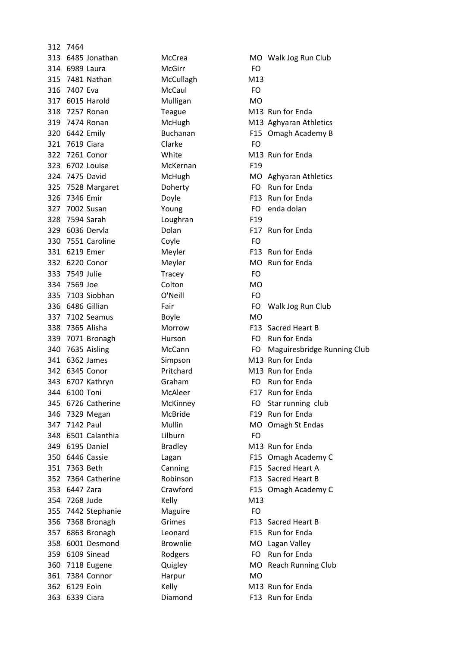|     | 312 7464           |                  |                 |                             |
|-----|--------------------|------------------|-----------------|-----------------------------|
|     | 313 6485 Jonathan  | McCrea           |                 | MO Walk Jog Run Club        |
|     | 314 6989 Laura     | <b>McGirr</b>    | FO              |                             |
|     | 315 7481 Nathan    | McCullagh        | M13             |                             |
|     | 316 7407 Eva       | McCaul           | FO.             |                             |
|     | 317 6015 Harold    | Mulligan         | MO              |                             |
|     | 318 7257 Ronan     | Teague           |                 | M13 Run for Enda            |
|     | 319 7474 Ronan     | McHugh           |                 | M13 Aghyaran Athletics      |
|     | 320 6442 Emily     | <b>Buchanan</b>  |                 | F15 Omagh Academy B         |
|     | 321 7619 Ciara     | Clarke           | <b>FO</b>       |                             |
|     | 322 7261 Conor     | White            |                 | M13 Run for Enda            |
|     | 323 6702 Louise    | McKernan         | F <sub>19</sub> |                             |
|     | 324 7475 David     | McHugh           |                 | MO Aghyaran Athletics       |
|     | 325 7528 Margaret  | Doherty          | FO.             | Run for Enda                |
|     | 326 7346 Emir      | Doyle            |                 | F13 Run for Enda            |
|     | 327 7002 Susan     | Young            | FO.             | enda dolan                  |
|     | 328 7594 Sarah     | Loughran         | F <sub>19</sub> |                             |
|     | 329 6036 Dervla    | Dolan            |                 | F17 Run for Enda            |
|     | 330 7551 Caroline  | Coyle            | FO              |                             |
|     | 331 6219 Emer      | Meyler           |                 | F13 Run for Enda            |
|     | 332 6220 Conor     | Meyler           |                 | MO Run for Enda             |
|     |                    |                  |                 |                             |
|     | 333 7549 Julie     | Tracey<br>Colton | FO              |                             |
|     | 334 7569 Joe       |                  | <b>MO</b>       |                             |
|     | 335 7103 Siobhan   | O'Neill          | FO.             |                             |
|     | 336 6486 Gillian   | Fair             | FO              | Walk Jog Run Club           |
|     | 337 7102 Seamus    | <b>Boyle</b>     | <b>MO</b>       |                             |
|     | 338 7365 Alisha    | Morrow           |                 | F13 Sacred Heart B          |
|     | 339 7071 Bronagh   | <b>Hurson</b>    | FO              | Run for Enda                |
|     | 340 7635 Aisling   | McCann           | FO              | Maguiresbridge Running Club |
|     | 341 6362 James     | Simpson          |                 | M13 Run for Enda            |
|     | 342 6345 Conor     | Pritchard        |                 | M13 Run for Enda            |
|     | 343 6707 Kathryn   | Graham           | FO              | Run for Enda                |
|     | 344 6100 Toni      | McAleer          |                 | F17 Run for Enda            |
|     | 345 6726 Catherine | McKinney         | FO.             | Star running club           |
|     | 346 7329 Megan     | <b>McBride</b>   |                 | F19 Run for Enda            |
| 347 | 7142 Paul          | Mullin           |                 | MO Omagh St Endas           |
|     | 348 6501 Calanthia | Lilburn          | <b>FO</b>       |                             |
|     | 349 6195 Daniel    | <b>Bradley</b>   |                 | M13 Run for Enda            |
|     | 350 6446 Cassie    | Lagan            |                 | F15 Omagh Academy C         |
|     | 351 7363 Beth      | Canning          |                 | F15 Sacred Heart A          |
|     | 352 7364 Catherine | Robinson         |                 | F13 Sacred Heart B          |
|     | 353 6447 Zara      | Crawford         |                 | F15 Omagh Academy C         |
|     | 354 7268 Jude      | Kelly            | M13             |                             |
|     | 355 7442 Stephanie | Maguire          | FO              |                             |
|     | 356 7368 Bronagh   | Grimes           |                 | F13 Sacred Heart B          |
|     | 357 6863 Bronagh   | Leonard          |                 | F15 Run for Enda            |
|     | 358 6001 Desmond   | <b>Brownlie</b>  |                 | MO Lagan Valley             |
|     | 359 6109 Sinead    | Rodgers          | FO.             | Run for Enda                |
|     | 360 7118 Eugene    | Quigley          |                 | MO Reach Running Club       |
|     | 361 7384 Connor    | Harpur           | <b>MO</b>       |                             |
|     | 362 6129 Eoin      | Kelly            |                 | M13 Run for Enda            |
|     | 363 6339 Ciara     | Diamond          |                 | F13 Run for Enda            |
|     |                    |                  |                 |                             |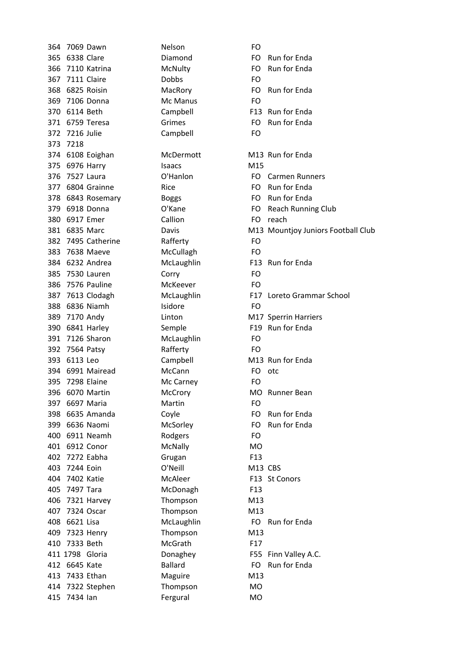364 7069 Dawn Nelson FO 365 6338 Clare **Diamond** FO Run for Fnda 366 7110 Katrina McNulty FO Run for Enda 367 7111 Claire Dobbs FO 368 6825 Roisin MacRory FO Run for Enda 369 7106 Donna McManus FO 370 6114 Beth Campbell F13 Run for Enda 371 6759 Teresa Grimes Grimes FO Run for Enda 372 7216 Julie Campbell FO 373 7218 374 6108 Eoighan McDermott M13 Run for Enda 375 6976 Harry Isaacs M15 376 7527 Laura **O'Hanlon C'Hanlon** FO Carmen Runners 377 6804 Grainne Rice Rice Run FO Run for Enda 378 6843 Rosemary Boggs FO Run for Enda 380 6917 Emer Callion Callion FO reach 382 7495 Catherine Rafferty FO 383 7638 Maeve McCullagh FO 384 6232 Andrea McLaughlin F13 Run for Enda 385 7530 Lauren Corry FO 386 7576 Pauline McKeever FO 388 6836 Niamh<br>
288 6836 Niamh 389 7170 Andy Linton Linton M17 Sperrin Harriers 390 6841 Harley Semple<br>
Semple 391 7126 Sharon McLaughlin FO 392 7564 Patsy Rafferty FO 393 6113 Leo Campbell M13 Run for Enda 394 6991 Mairead McCann FO otc 395 7298 Elaine McCarney FO 396 6070 Martin McCrory MO Runner Bean 397 6697 Maria Martin FO 398 6635 Amanda Coyle Cover Cover FO Run for Enda 399 6636 Naomi McSorley FO Run for Enda 400 6911 Neamh Rodgers FO 401 6912 Conor McNally MO 402 7272 Eabha Grugan F13 403 7244 Eoin O'Neill M13 CBS 404 7402 Katie McAleer F13 St Conors 405 7497 Tara McDonagh F13 406 7321 Harvey Thompson M13 407 7324 Oscar Thompson M13 408 6621 Lisa McLaughlin FO Run for Enda 409 7323 Henry Thompson M13 410 7333 Beth McGrath F17 411 1798 Gloria **Donaghey** F55 Finn Valley A.C. 412 6645 Kate Ballard Ballard FO Run for Enda 413 7433 Ethan Maguire M13 414 7322 Stephen Thompson MO 415 7434 Ian Fergural MO

379 6918 Donna **O'Kane C'Kane FO** Reach Running Club 381 6835 Marc **Davis** Davis M13 Mountjoy Juniors Football Club 387 7613 Clodagh McLaughlin F17 Loreto Grammar School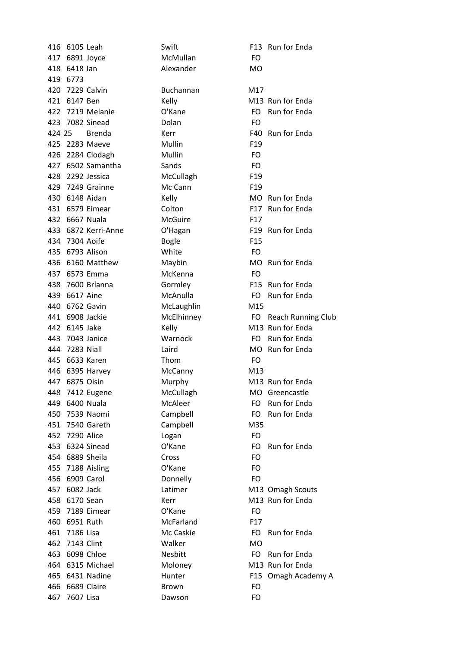|        | 416 6105 Leah   |                     | Swift        |                 | F13 Run for Enda             |
|--------|-----------------|---------------------|--------------|-----------------|------------------------------|
|        | 417 6891 Joyce  |                     | McMullan     | FO              |                              |
|        | 418 6418 lan    |                     | Alexander    | <b>MO</b>       |                              |
|        | 419 6773        |                     |              |                 |                              |
|        |                 | 420 7229 Calvin     | Buchannan    | M17             |                              |
| 421    | 6147 Ben        |                     | Kelly        |                 | M <sub>13</sub> Run for Enda |
|        |                 | 422 7219 Melanie    | O'Kane       | FO.             | Run for Enda                 |
|        |                 | 423 7082 Sinead     | Dolan        | FO              |                              |
| 424 25 |                 | <b>Brenda</b>       | Kerr         | F40             | Run for Enda                 |
|        |                 | 425 2283 Maeve      | Mullin       | F <sub>19</sub> |                              |
|        |                 | 426 2284 Clodagh    | Mullin       | FO              |                              |
|        |                 | 427 6502 Samantha   | Sands        | <b>FO</b>       |                              |
|        |                 | 428 2292 Jessica    | McCullagh    | F <sub>19</sub> |                              |
|        |                 | 429 7249 Grainne    | Mc Cann      | F <sub>19</sub> |                              |
|        | 430 6148 Aidan  |                     | Kelly        | <b>MO</b>       | <b>Run for Enda</b>          |
|        |                 | 431 6579 Eimear     | Colton       |                 | F17 Run for Enda             |
|        | 432 6667 Nuala  |                     | McGuire      | F <sub>17</sub> |                              |
|        |                 | 433 6872 Kerri-Anne | O'Hagan      | F <sub>19</sub> | Run for Enda                 |
|        | 434 7304 Aoife  |                     | <b>Bogle</b> | F <sub>15</sub> |                              |
|        |                 | 435 6793 Alison     | White        | <b>FO</b>       |                              |
|        |                 | 436 6160 Matthew    | Maybin       | <b>MO</b>       | Run for Enda                 |
|        |                 | 437 6573 Emma       | McKenna      | FO              |                              |
|        |                 | 438 7600 Bríanna    | Gormley      |                 | F15 Run for Enda             |
| 439    | 6617 Aine       |                     | McAnulla     | FO              | Run for Enda                 |
|        | 440 6762 Gavin  |                     | McLaughlin   | M15             |                              |
| 441    |                 | 6908 Jackie         | McElhinney   | FO.             | Reach Runnir                 |
| 442    | 6145 Jake       |                     | Kelly        |                 | M13 Run for Enda             |
| 443    |                 | 7043 Janice         | Warnock      |                 | FO Run for Enda              |
|        | 444 7283 Niall  |                     | Laird        | MO.             | Run for Enda                 |
| 445    |                 | 6633 Karen          | Thom         | FO              |                              |
|        |                 | 446 6395 Harvey     | McCanny      | M13             |                              |
| 447    |                 | 6875 Oisin          | Murphy       |                 | M13 Run for Enda             |
|        |                 | 448 7412 Eugene     | McCullagh    | MO              | Greencastle                  |
|        | 449 6400 Nuala  |                     | McAleer      | FO.             | Run for Enda                 |
|        |                 | 450 7539 Naomi      | Campbell     | FO.             | Run for Enda                 |
| 451    |                 | 7540 Gareth         | Campbell     | M35             |                              |
|        | 452 7290 Alice  |                     | Logan        | FO              |                              |
| 453    |                 | 6324 Sinead         | O'Kane       | FO              | Run for Enda                 |
|        | 454 6889 Sheila |                     | Cross        | FO              |                              |
|        |                 | 455 7188 Aisling    | O'Kane       | FO              |                              |
| 456    |                 | 6909 Carol          | Donnelly     | FO              |                              |
| 457    | 6082 Jack       |                     | Latimer      |                 | M13 Omagh Scout              |
|        | 458 6170 Sean   |                     | Kerr         |                 | M13 Run for Enda             |
|        |                 | 459 7189 Eimear     | O'Kane       | FO              |                              |
|        | 460 6951 Ruth   |                     | McFarland    | F17             |                              |
|        |                 |                     |              |                 |                              |
|        | 461 7186 Lisa   |                     | Mc Caskie    | FO.             | Run for Enda                 |
| 462    | 7143 Clint      |                     | Walker       | <b>MO</b>       |                              |
| 463    |                 | 6098 Chloe          | Nesbitt      | FO.             | Run for Enda                 |
|        |                 | 464 6315 Michael    | Moloney      |                 | M13 Run for Enda             |
| 465    |                 | 6431 Nadine         | Hunter       | F <sub>15</sub> | Omagh Acad                   |
| 466    |                 | 6689 Claire         | <b>Brown</b> | FO              |                              |
| 467    | 7607 Lisa       |                     | Dawson       | FO              |                              |

20 Ehannan M17 1y 121 6141 M13 Run for Enda 422 7219 Melanie O'Kane FO Run2for2Enda and Tanabara E40 Run for Enda Cullagh F19 1430 MO Run for Enda ton F17 Run for Enda Aagan **F19** Run for Enda A45 6160 MO Run for Enda Faash F15 Run for Enda Anulla **FO** Run for Enda Laughlin M15 Elhinney FO Reach Running Club ly M13 Run for Enda and FO Run for Enda 444 Transformation of the MO Run for Enda A47 687 6975 Murphy Murphy Cullagh MO Greencastle Aleer FO Run for Enda mpbell FO Run for Enda 453 6324 Sinead O'Kane FO Run2for2Enda imer M13 Omagh Scouts as M13 Run for Enda Farland F17 Caskie FO Run for Enda 463 6098 FO Run for Enda 1644 Muloney M13 Run for Enda 165 6431 F15 Omagh Academy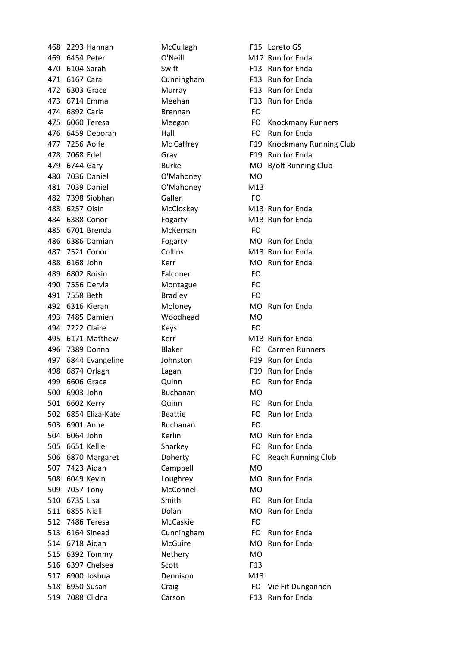468 2293 Hannah McCullagh F15 Loreto GS 469 6454 Peter **O'Neill** M17 Run for Enda 470 6104 Sarah Swift F13 Run for Enda 471 6167 Cara Cunningham F13 Run for Enda 472 6303 Grace Murray F13 Run for Enda 473 6714 Emma Meehan F13 Run for Enda 474 6892 Carla Brennan FO 476 6459 Deborah Hall Hall FO Run for Enda 478 7068 Edel **Gray** Gray F19 Run for Enda 480 7036 Daniel O'Mahoney MO 481 7039 Daniel O'Mahoney M13 482 7398 Siobhan Gallen FO 483 6257 Oisin McCloskey M13 Run for Enda 484 6388 Conor Fogarty Forms M13 Run for Enda 485 6701 Brenda McKernan FO 486 6386 Damian Fogarty MO Run for Enda 487 7521 Conor Collins Collins M13 Run for Enda 488 6168 John Kerr Kerr MO Run for Enda 489 6802 Roisin Falconer FO 490 7556 Dervla Montague FO 491 7558 Beth Bradley FO 492 6316 Kieran Moloney MO Run for Enda 493 7485 Damien Woodhead MO 494 7222 Claire Keys Keys 495 6171 Matthew Kerr Kerr M13 Run for Enda 496 7389 Donna **Blaker** Blaker **FO** Carmen Runners 497 6844 Evangeline Johnston F19 Run for Enda 498 6874 Orlagh Lagan Lagan F19 Run for Enda 499 6606 Grace **Quinn** Quinn **FO** Run for Enda 500 6903 John Buchanan MO 501 6602 Kerry **Cuinn** Quinn **FO** Run for Enda 502 6854 Eliza-Kate Beattie Beattie FO Run for Enda 503 6901 Anne Buchanan FO 504 6064 John Kerlin MO Run for Enda 505 6651 Kellie Sharkey FO Run for Enda 507 7423 Aidan Campbell MO 508 6049 Kevin Loughrey Loughey MO Run for Enda 509 7057 Tony McConnell MO 510 6735 Lisa Smith Smith FO Run for Enda 511 6855 Niall **Dolan MO Runfor Enda** 512 7486 Teresa McCaskie FO 513 6164 Sinead Cunningham FO Run for Enda 514 6718 Aidan McGuire Montester MO Run for Enda 515 6392 Tommy Nethery MO 516 6397 Chelsea Scott F13 517 6900 Joshua Dennison M13 519 7088 Clidna **Carson** Carson F13 Run for Enda

475 6060 Teresa **Meegan** Meegan **FO Knockmany Runners** 477 7256 Aoife **McCaffrey F19 Knockmany Running Club** 479 6744 Gary **Burke MO B/olt Running Club** Burke MO B 506 6870 Margaret **Doherty Done Bullets** FO Reach Running Club 518 6950 Susan Craig Craig FO Vie Fit Dungannon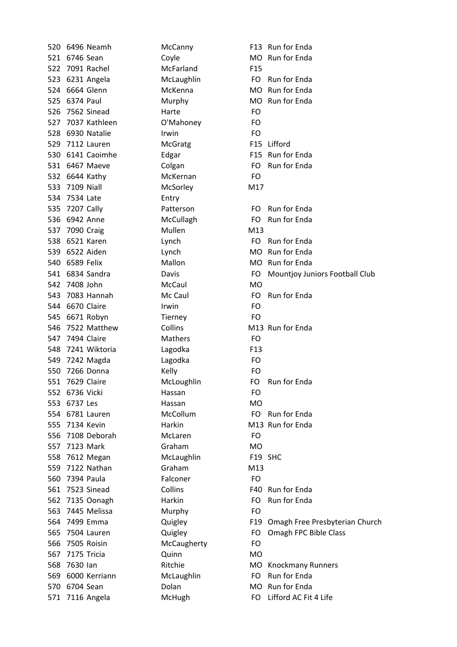| 520 | 6496 Neamh        | McCanny        |                  | F13 Run for Enda                   |
|-----|-------------------|----------------|------------------|------------------------------------|
|     | 521 6746 Sean     | Coyle          |                  | MO Run for Enda                    |
|     | 522 7091 Rachel   | McFarland      | F <sub>15</sub>  |                                    |
|     | 523 6231 Angela   | McLaughlin     |                  | FO Run for Enda                    |
|     | 524 6664 Glenn    | McKenna        |                  | MO Run for Enda                    |
| 525 | 6374 Paul         | Murphy         |                  | MO Run for Enda                    |
|     | 526 7562 Sinead   | Harte          | FO               |                                    |
|     | 527 7037 Kathleen | O'Mahoney      | FO               |                                    |
|     | 528 6930 Natalie  | <i>Irwin</i>   | FO               |                                    |
|     | 529 7112 Lauren   | <b>McGratg</b> |                  | F15 Lifford                        |
|     | 530 6141 Caoimhe  | Edgar          |                  | F15 Run for Enda                   |
|     | 531 6467 Maeve    | Colgan         | FO.              | Run for Enda                       |
|     | 532 6644 Kathy    | McKernan       | FO               |                                    |
|     | 533 7109 Niall    | McSorley       | M17              |                                    |
|     | 534 7534 Late     | Entry          |                  |                                    |
|     | 535 7207 Cally    | Patterson      |                  | FO Run for Enda                    |
|     | 536 6942 Anne     | McCullagh      | FO.              | Run for Enda                       |
| 537 | 7090 Craig        | Mullen         | M13              |                                    |
|     | 538 6521 Karen    | Lynch          |                  | FO Run for Enda                    |
|     | 539 6522 Aiden    | Lynch          |                  | MO Run for Enda                    |
|     | 540 6589 Felix    | Mallon         |                  | MO Run for Enda                    |
|     | 541 6834 Sandra   | Davis          | FO.              | Mountjoy Juniors Football Club     |
|     | 542 7408 John     | McCaul         | <b>MO</b>        |                                    |
|     | 543 7083 Hannah   | Mc Caul        | FO.              | Run for Enda                       |
|     | 544 6670 Claire   | Irwin          | FO               |                                    |
|     | 545 6671 Robyn    | Tierney        | <b>FO</b>        |                                    |
|     | 546 7522 Matthew  | Collins        |                  | M13 Run for Enda                   |
|     | 547 7494 Claire   | Mathers        | <b>FO</b>        |                                    |
|     | 548 7241 Wiktoria | Lagodka        | F <sub>1</sub> 3 |                                    |
|     | 549 7242 Magda    | Lagodka        | FO               |                                    |
|     | 550 7266 Donna    | Kelly          | FO.              |                                    |
|     | 551 7629 Claire   | McLoughlin     | FO               | Run for Enda                       |
|     | 552 6736 Vicki    | Hassan         | FO               |                                    |
|     | 553 6737 Les      | Hassan         | MO               |                                    |
|     | 554 6781 Lauren   | McCollum       | FO.              | Run for Enda                       |
|     | 555 7134 Kevin    | Harkin         |                  | M13 Run for Enda                   |
|     | 556 7108 Deborah  | McLaren        | FO               |                                    |
| 557 | 7123 Mark         | Graham         | <b>MO</b>        |                                    |
|     | 558 7612 Megan    | McLaughlin     |                  | F19 SHC                            |
|     | 559 7122 Nathan   | Graham         | M13              |                                    |
|     | 560 7394 Paula    | Falconer       | <b>FO</b>        |                                    |
|     | 561 7523 Sinead   | Collins        |                  | F40 Run for Enda                   |
|     | 562 7135 Oonagh   | Harkin         | FO.              | Run for Enda                       |
| 563 | 7445 Melissa      | Murphy         | FO               |                                    |
|     | 564 7499 Emma     | Quigley        |                  | F19 Omagh Free Presbyterian Church |
|     | 565 7504 Lauren   | Quigley        | FO               | Omagh FPC Bible Class              |
|     | 566 7505 Roisin   | McCaugherty    | FO               |                                    |
|     | 567 7175 Tricia   | Quinn          | MO               |                                    |
| 568 | 7630 lan          | Ritchie        |                  | MO Knockmany Runners               |
| 569 | 6000 Kerriann     | McLaughlin     | FO.              | Run for Enda                       |
|     | 570 6704 Sean     | Dolan          |                  | MO Run for Enda                    |
|     | 571 7116 Angela   | McHugh         | FO -             | Lifford AC Fit 4 Life              |
|     |                   |                |                  |                                    |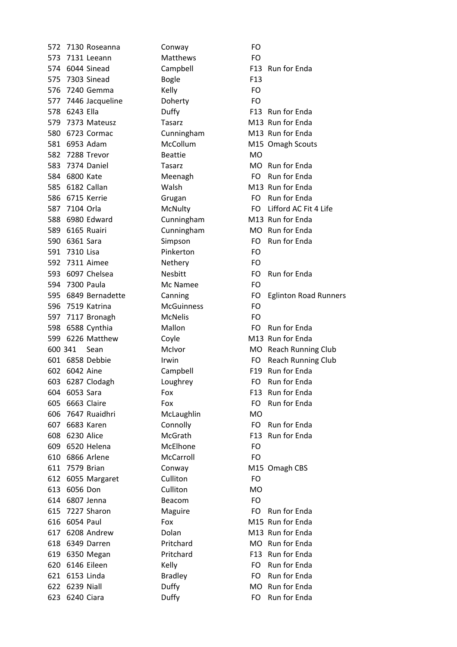572 7130 Roseanna Conway FO 573 7131 Leeann Matthews FO 574 6044 Sinead Campbell F13 Run for Enda 575 7303 Sinead Bogle **F13** 576 7240 Gemma Kelly FO 577 7446 Jacqueline Doherty FO 578 6243 Ella Duffy F13 Run2for2Enda 579 7373 Mateusz Tasarz Tames M13 Run for Enda 580 6723 Cormac Cunningham M13 Run for Enda 581 6953 Adam McCollum M15 Omagh Scouts 582 7288 Trevor Beattie MO 583 7374 Daniel Tasarz MO Run for Enda 584 6800 Kate **Meenagh** FO Run for Enda 585 6182 Callan Malsh M13 Run for Enda 586 6715 Kerrie **Grugan** Grugan FO Run for Enda 588 6980 Edward Cunningham M13 Run for Enda 589 6165 Ruairi Cunningham MO Run for Enda 590 6361 Sara Simpson FO Run for Enda 591 7310 Lisa Pinkerton FO 592 7311 Aimee Nethery FO 593 6097 Chelsea Nesbitt FO Run for Enda 594 7300 Paula Mc Namee FO 596 7519 Katrina McGuinness FO 597 7117 Bronagh McNelis FO 598 6588 Cynthia Mallon Mallon FO Run for Enda 599 6226 Matthew Coyle Cover M13 Run for Enda 602 6042 Aine Campbell F19 Run for Enda 603 6287 Clodagh Loughrey Consumersion FO Run for Enda 604 6053 Sara Fox Fox F13 Run for Enda 605 6663 Claire Fox Fox For For Run for Enda 606 7647 Ruaidhri McLaughlin MO 607 6683 Karen Connolly FO Run for Enda 608 6230 Alice McGrath F13 Run for Enda 609 6520 Helena McElhone FO 610 6866 Arlene McCarroll FO 611 7579 Brian Conway M15 Omagh CBS 612 6055 Margaret Culliton FO 613 6056 Don Culliton MO 614 6807 Jenna Beacom FO 615 7227 Sharon Maguire FO Run for Enda 616 6054 Paul Fox Fox M15 Run for Enda 617 6208 Andrew Dolan Dolan M13 Run for Enda 618 6349 Darren Pritchard MO Run for Enda 619 6350 Megan Pritchard F13 Run for Enda 620 6146 Eileen Kelly Kelly FO Run for Enda 621 6153 Linda Bradley **Bradley** FO Run for Enda 622 6239 Niall **Duffy** Duffy MO Run for Enda 623 6240 Ciara **Duffy** Duffy **FO** Run for Enda

587 7104 Orla McNulty FO Lifford AC Fit 4 Life 595 6849 Bernadette Canning FO Eglinton Road Runners 600 341 Sean McIvor MCIvor MO Reach Running Club 601 6858 Debbie **Irwin** Irwin **FO Reach Running Club**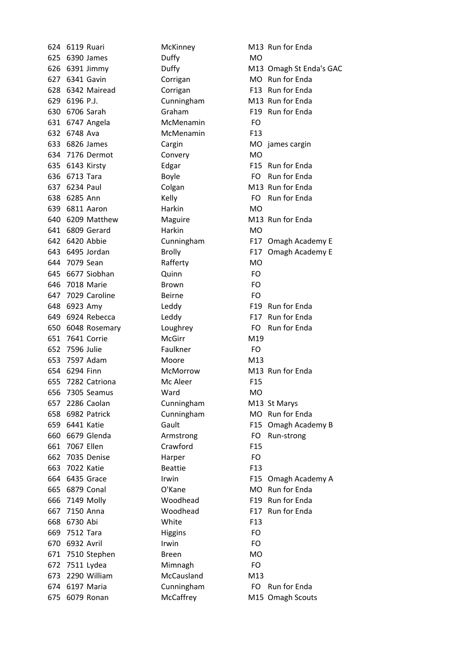625 6390 James Duffy MO 627 6341 Gavin Corrigan Corrigan MO Run for Enda 628 6342 Mairead Corrigan F13 Run for Enda 629 6196 P.J. Cunningham M13 Run for Enda 630 6706 Sarah Graham Graham F19 Run for Enda 631 6747 Angela McMenamin FO 632 6748 Ava McMenamin F13 633 6826 James Cargin Cargin MO james cargin 634 7176 Dermot Convery MO 635 6143 Kirsty Edgar F15 Run for Enda 636 6713 Tara Boyle Boyle FO Run for Enda 637 6234 Paul Colgan Colgan M13 Run for Enda 638 6285 Ann Kelly FO Run for Enda 639 6811 Aaron Harkin Harkin MO 640 6209 Matthew Maguire M13 Run for Enda 641 6809 Gerard Harkin MO 644 7079 Sean Rafferty MO 645 6677 Siobhan **Cuinn** Quinn FO 646 7018 Marie Brown Brown 647 7029 Caroline Beirne FO 648 6923 Amy Leddy F19 Run for Enda 649 6924 Rebecca Leddy F17 Run for Enda 650 6048 Rosemary Loughrey Loughrey FO Run for Enda 651 7641 Corrie McGirr M19 652 7596 Julie Faulkner FO 653 7597 Adam Moore M13 654 6294 Finn McMorrow M13 Run for Enda 655 7282 Catriona Mc Aleer F15 656 7305 Seamus Ward MO 657 2286 Caolan Cunningham M13 St Marys 658 6982 Patrick Cunningham MO Run for Enda 660 6679 Glenda **Armstrong** FO Run-strong 661 7067 Ellen Crawford F15 662 7035 Denise Harper FO 663 7022 Katie Beattie F13 665 6879 Conal C'Kane MO Run for Enda 666 7149 Molly Woodhead F19 Run for Enda 667 7150 Anna **Woodhead** F17 Run for Enda 668 6730 Abi White White 669 7512 Tara Higgins FO 670 6932 Avril Irwin Irwin FO 671 7510 Stephen Breen MO 672 7511 Lydea Mimnagh FO 673 2290 William McCausland M13 674 6197 Maria **Cunningham** FO Run for Enda 675 6079 Ronan McCaffrey M15 Omagh Scouts

624 6119 Ruari McKinney M13 Run for Enda 626 6391 Jimmy Duffy M13 Omagh St Enda's GAC 642 6420 Abbie Cunningham F17 Omagh Academy E 643 6495 Jordan Brolly Brolly F17 Omagh Academy E 659 6441 Katie F15 Omagh Academy B 664 6435 Grace Irwin F15 Omagh Academy A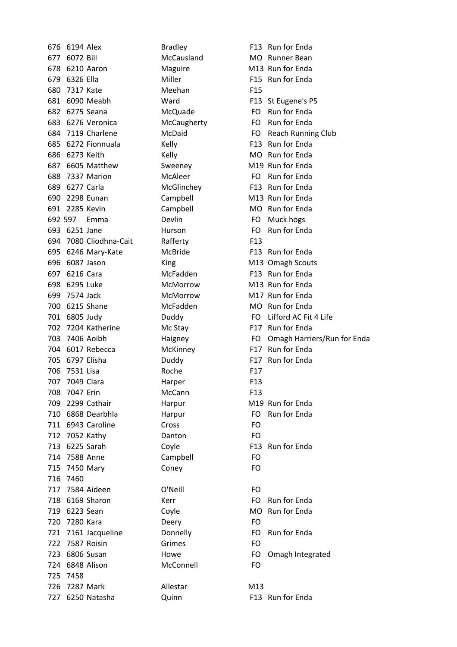676 6194 Alex Bradley F13 Run for Enda 677 6072 Bill McCausland MO Runner Bean 678 6210 Aaron Maguire M13 Run for Enda 679 6326 Ella Miller Miller F15 Run for Enda 680 7317 Kate Meehan F15 681 6090 Meabh **Ward F13 St Eugene's PS** 682 6275 Seana **McQuade** FO Run for Enda 683 6276 Veronica McCaugherty FO Run for Enda 684 7119 Charlene McDaid FO Reach Running Club 685 6272 Fionnuala Kelly F13 Run for Enda 686 6273 Keith Kelly Kelly MO Run for Enda 687 6605 Matthew Sweeney M19 Run for Enda 688 7337 Marion McAleer FO Run for Enda 689 6277 Carla **McGlinchey** F13 Run for Enda 690 2298 Eunan Campbell M13 Run for Enda 691 2285 Kevin Campbell MO Run for Enda 692 597 Emma Devlin Devlin FO Muck hogs 693 6251 Jane Hurson Hurson FO Run for Enda 694 7080 Cliodhna-Cait Rafferty F13 695 6246 Mary-Kate McBride F13 Run for Enda 696 6087 Jason King King M13 Omagh Scouts 697 6216 Cara McFadden F13 Run for Enda 698 6295 Luke McMorrow M13 Run for Enda 699 7574 Jack McMorrow M17 Run for Enda 700 6215 Shane McFadden MO Run for Enda 701 6805 Judy **Duddy Duddy FO** Lifford AC Fit 4 Life 702 7204 Katherine McStay F17 Run for Enda 704 6017 Rebecca McKinney F17 Run for Enda 705 6797 Elisha **Duddy** F17 Run for Enda 706 7531 Lisa Roche Roche F17 707 7049 Clara Harper F13 708 7047 Erin McCann F13 709 2299 Cathair **Harpur** Harpur M19 Run for Enda 710 6868 Dearbhla Harpur Harpur FO Run for Enda 711 6943 Caroline Cross FO 712 7052 Kathy Danton FO 713 6225 Sarah Coyle F13 Run for Enda 714 7588 Anne Campbell FO 715 7450 Mary Coney FO 716 7460 717 7584 Aideen O'Neill FO 718 6169 Sharon Kerr Kerr FO Run for Enda 719 6223 Sean Coyle Cover MO Run for Enda 720 7280 Kara Deery FO 721 7161 Jacqueline Donnelly FO Run for Enda 722 7587 Roisin Grimes FO 723 6806 Susan Howe Howe FO Omagh Integrated 724 6848 Alison McConnell FO 725 7458 726 7287 Mark Allestar M13 727 6250 Natasha Quinn F13 Run for Enda

703 7406 Aoibh **Haigney** Haigney FO Omagh Harriers/Run for Enda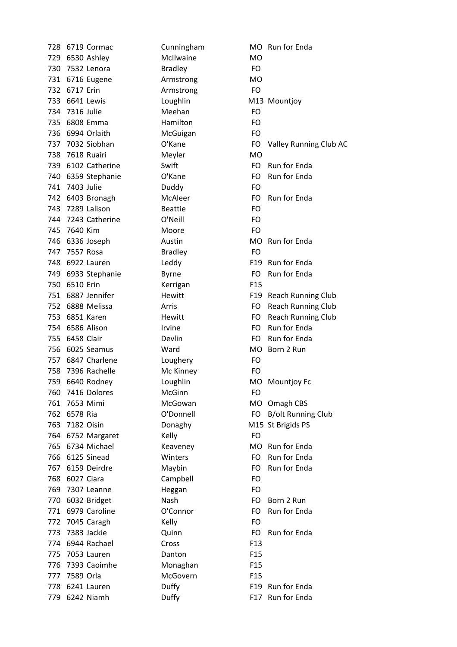| 728 |                | 6719 Cormac        | Cunningham     | МO              |
|-----|----------------|--------------------|----------------|-----------------|
|     |                | 729 6530 Ashley    | McIlwaine      | MO              |
| 730 |                | 7532 Lenora        | <b>Bradley</b> | FO.             |
| 731 |                | 6716 Eugene        | Armstrong      | <b>MO</b>       |
|     | 732 6717 Erin  |                    | Armstrong      | FO              |
| 733 |                | 6641 Lewis         | Loughlin       | M13             |
|     | 734 7316 Julie |                    | Meehan         | FO              |
| 735 |                | 6808 Emma          | Hamilton       | FO              |
| 736 |                | 6994 Orlaith       | McGuigan       | FO              |
|     |                | 737 7032 Siobhan   | O'Kane         | FO              |
|     |                | 738 7618 Ruairi    | Meyler         | <b>MO</b>       |
|     |                | 739 6102 Catherine | Swift          | FO              |
| 740 |                | 6359 Stephanie     | O'Kane         | FO              |
|     | 741 7403 Julie |                    | Duddy          | FO              |
| 742 |                | 6403 Bronagh       | McAleer        | FO              |
|     |                | 743 7289 Lalison   | <b>Beattie</b> | FO              |
|     |                | 744 7243 Catherine | O'Neill        | FO              |
|     | 745 7640 Kim   |                    | Moore          | FO              |
|     |                | 746 6336 Joseph    | Austin         | <b>MO</b>       |
|     | 747 7557 Rosa  |                    | <b>Bradley</b> | FO.             |
| 748 |                | 6922 Lauren        | Leddy          | F <sub>19</sub> |
|     |                | 749 6933 Stephanie | <b>Byrne</b>   | FO              |
| 750 | 6510 Erin      |                    | Kerrigan       | F <sub>15</sub> |
| 751 |                | 6887 Jennifer      | Hewitt         | F <sub>19</sub> |
|     |                | 752 6888 Melissa   | Arris          | FO              |
| 753 |                | 6851 Karen         | Hewitt         | FO              |
| 754 |                | 6586 Alison        | Irvine         | FO              |
|     | 755 6458 Clair |                    | Devlin         | FO              |
|     |                | 756 6025 Seamus    | Ward           | <b>MO</b>       |
| 757 |                | 6847 Charlene      | Loughery       | FO              |
| 758 |                | 7396 Rachelle      | Mc Kinney      | FO              |
| 759 |                | 6640 Rodney        | Loughlin       | <b>MO</b>       |
| 760 |                | 7416 Dolores       | McGinn         | FO              |
| 761 | 7653 Mimi      |                    | McGowan        | MO              |
| 762 | 6578 Ria       |                    | O'Donnell      | FO              |
|     | 763 7182 Oisin |                    | Donaghy        | M15             |
|     |                | 764 6752 Margaret  | Kelly          | FO              |
|     |                | 765 6734 Michael   | Keaveney       | MO              |
| 766 |                | 6125 Sinead        | Winters        | FO              |
|     |                | 767 6159 Deirdre   | Maybin         | FO              |
| 768 |                | 6027 Ciara         | Campbell       | FO              |
|     |                | 769 7307 Leanne    | Heggan         | FO              |
|     |                | 770 6032 Bridget   | Nash           | FO              |
| 771 |                | 6979 Caroline      | O'Connor       | FO              |
| 772 |                | 7045 Caragh        | Kelly          | FO              |
| 773 |                | 7383 Jackie        | Quinn          | FO              |
| 774 |                | 6944 Rachael       | Cross          | F <sub>13</sub> |
|     |                | 775 7053 Lauren    | Danton         | F <sub>15</sub> |
|     |                | 776 7393 Caoimhe   | Monaghan       | F <sub>15</sub> |
| 777 | 7589 Orla      |                    | McGovern       | F <sub>15</sub> |
| 778 |                | 6241 Lauren        | Duffy          | F <sub>19</sub> |
|     |                | 779 6242 Niamh     | Duffy          | F17             |

Cunningham MO Run for Enda Loughlin M13 Mountjoy 0'Kane FO Valley Running Club AC **739 Swift Catherine Swift FO Run for Enda** O'Kane FO Run for Enda McAleer FO Run for Enda Austin MO Run for Enda Leddy F19 Run for Enda Byrne FO Run for Enda F19 Reach Running Club Arris **752 FO** Reach Running Club FO Reach Running Club Irvine **FO** Run for Enda **755 Devlin PO** Run for Enda Ward MO Born 2 Run Loughlin MO Mountjoy Fc McGowan MO Omagh CBS O'Donnell FO B/olt Running Club Donaghy M15 St Brigids PS **765 Keaveney MO Run for Enda** Winters FO Run for Enda Maybin FO Run for Enda Nash FO Born 2 Run 0'Connor FO Run for Enda Quinn FO Run for Enda **778 Buffy F19 Run for Enda** Duffy F17 Run for Enda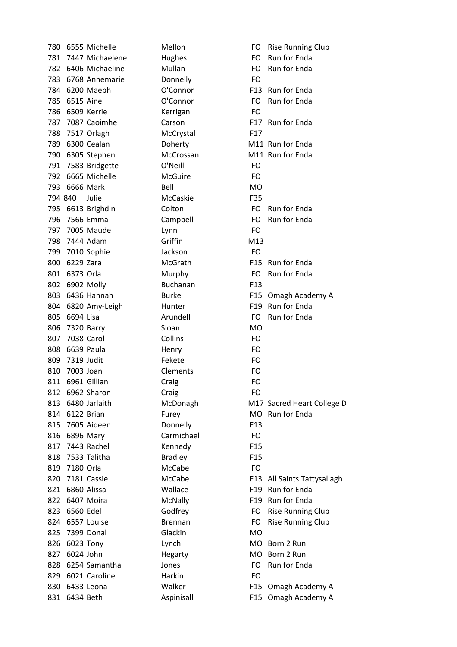| 780 |                 | 6555 Michelle       | Mellon          | FO              | <b>Rise Running Club</b>    |
|-----|-----------------|---------------------|-----------------|-----------------|-----------------------------|
|     |                 | 781 7447 Michaelene | Hughes          | FO.             | Run for Enda                |
|     |                 | 782 6406 Michaeline | Mullan          | FO              | Run for Enda                |
|     |                 | 783 6768 Annemarie  | Donnelly        | FO              |                             |
|     |                 | 784 6200 Maebh      | O'Connor        |                 | F13 Run for Enda            |
| 785 | 6515 Aine       |                     | O'Connor        | FO.             | Run for Enda                |
|     |                 | 786 6509 Kerrie     | Kerrigan        | <b>FO</b>       |                             |
|     |                 | 787 7087 Caoimhe    | Carson          |                 | F17 Run for Enda            |
|     |                 | 788 7517 Orlagh     | McCrystal       | F17             |                             |
|     |                 | 789 6300 Cealan     | Doherty         |                 | M11 Run for Enda            |
|     |                 | 790 6305 Stephen    | McCrossan       |                 | M11 Run for Enda            |
|     |                 | 791 7583 Bridgette  | O'Neill         | FO              |                             |
|     |                 | 792 6665 Michelle   | McGuire         | FO.             |                             |
| 793 |                 | 6666 Mark           | Bell            | MO              |                             |
|     | 794 840         | Julie               | McCaskie        | F35             |                             |
|     |                 | 795 6613 Brighdin   | Colton          | FO.             | Run for Enda                |
| 796 |                 | 7566 Emma           | Campbell        | FO.             | Run for Enda                |
|     |                 | 797 7005 Maude      | Lynn            | <b>FO</b>       |                             |
|     | 798 7444 Adam   |                     | Griffin         | M13             |                             |
|     |                 | 799 7010 Sophie     | Jackson         | <b>FO</b>       |                             |
|     | 800 6229 Zara   |                     | McGrath         |                 | F15 Run for Enda            |
|     | 801 6373 Orla   |                     | Murphy          | FO.             | Run for Enda                |
|     | 802 6902 Molly  |                     | <b>Buchanan</b> | F <sub>13</sub> |                             |
|     |                 | 803 6436 Hannah     | <b>Burke</b>    |                 | F15 Omagh Academy A         |
|     |                 | 804 6820 Amy-Leigh  | Hunter          |                 | F19 Run for Enda            |
| 805 | 6694 Lisa       |                     | Arundell        | FO.             | Run for Enda                |
|     | 806 7320 Barry  |                     | Sloan           | MO              |                             |
| 807 | 7038 Carol      |                     | Collins         | FO              |                             |
| 808 | 6639 Paula      |                     | Henry           | FO              |                             |
|     | 809 7319 Judit  |                     | Fekete          | FO              |                             |
| 810 | 7003 Joan       |                     | Clements        | FO              |                             |
|     |                 | 811 6961 Gillian    | Craig           | FO              |                             |
| 812 |                 | 6962 Sharon         | Craig           | FO              |                             |
| 813 |                 | 6480 Jarlaith       | McDonagh        |                 | M17 Sacred Heart College D  |
| 814 | 6122 Brian      |                     | Furey           | <b>MO</b>       | Run for Enda                |
|     |                 | 815 7605 Aideen     | Donnelly        | F <sub>13</sub> |                             |
|     | 816 6896 Mary   |                     | Carmichael      | FO              |                             |
| 817 |                 | 7443 Rachel         | Kennedy         | F <sub>15</sub> |                             |
|     |                 | 818 7533 Talitha    | <b>Bradley</b>  | F <sub>15</sub> |                             |
|     | 819 7180 Orla   |                     | McCabe          | <b>FO</b>       |                             |
| 820 |                 | 7181 Cassie         | McCabe          |                 | F13 All Saints Tattysallagh |
|     | 821 6860 Alissa |                     | Wallace         |                 | F19 Run for Enda            |
| 822 |                 | 6407 Moira          | McNally         |                 | F19 Run for Enda            |
| 823 | 6560 Edel       |                     | Godfrey         | FO              | <b>Rise Running Club</b>    |
| 824 |                 | 6557 Louise         | <b>Brennan</b>  | FO              | <b>Rise Running Club</b>    |
| 825 |                 | 7399 Donal          | Glackin         | <b>MO</b>       |                             |
| 826 |                 | 6023 Tony           | Lynch           |                 | MO Born 2 Run               |
| 827 | 6024 John       |                     | Hegarty         |                 | MO Born 2 Run               |
| 828 |                 | 6254 Samantha       | Jones           | FO.             | Run for Enda                |
|     |                 | 829 6021 Caroline   | Harkin          | FO              |                             |
| 830 |                 | 6433 Leona          | Walker          |                 | F15 Omagh Academy A         |
| 831 | 6434 Beth       |                     | Aspinisall      |                 | F15 Omagh Academy A         |
|     |                 |                     |                 |                 |                             |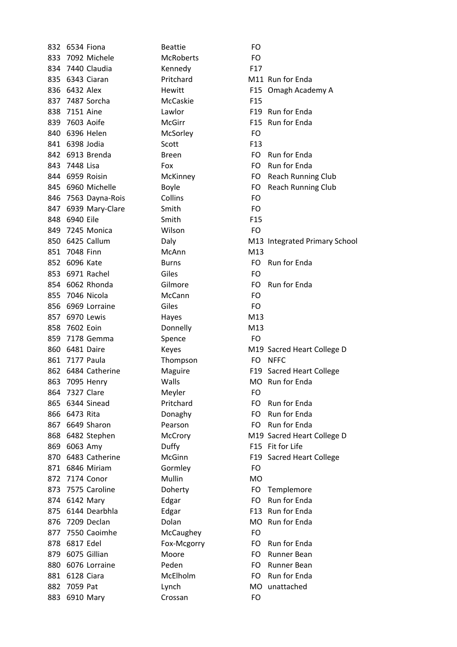| 832 |                | 6534 Fiona          | <b>Beattie</b>   | FO              |
|-----|----------------|---------------------|------------------|-----------------|
| 833 |                | 7092 Michele        | <b>McRoberts</b> | FO.             |
| 834 |                | 7440 Claudia        | Kennedy          | F <sub>17</sub> |
| 835 |                | 6343 Ciaran         | Pritchard        | M11             |
| 836 | 6432 Alex      |                     | Hewitt           | F <sub>15</sub> |
| 837 |                | 7487 Sorcha         | McCaskie         | F <sub>15</sub> |
| 838 | 7151 Aine      |                     | Lawlor           | F <sub>19</sub> |
| 839 | 7603 Aoife     |                     | <b>McGirr</b>    | F <sub>15</sub> |
| 840 |                | 6396 Helen          | McSorley         | FO              |
|     | 841 6398 Jodia |                     | Scott            | F <sub>13</sub> |
| 842 |                | 6913 Brenda         | <b>Breen</b>     | FO              |
|     | 843 7448 Lisa  |                     | Fox              | FO              |
|     |                | 844 6959 Roisin     | McKinney         | FO              |
| 845 |                | 6960 Michelle       | <b>Boyle</b>     | FO              |
|     |                | 846 7563 Dayna-Rois | Collins          | FO              |
| 847 |                | 6939 Mary-Clare     | Smith            | FO              |
| 848 | 6940 Eile      |                     | Smith            | F <sub>15</sub> |
|     |                | 849 7245 Monica     | Wilson           | FO              |
|     |                | 850 6425 Callum     | Daly             | M13             |
| 851 | 7048 Finn      |                     | McAnn            | M13             |
|     | 852 6096 Kate  |                     | <b>Burns</b>     | FO              |
| 853 |                | 6971 Rachel         | Giles            | FO              |
| 854 |                | 6062 Rhonda         | Gilmore          | FO              |
|     |                | 855 7046 Nicola     | McCann           | FO              |
| 856 |                | 6969 Lorraine       | Giles            | FO              |
| 857 |                | 6970 Lewis          | Hayes            | M13             |
| 858 | 7602 Eoin      |                     | Donnelly         | M13             |
| 859 |                | 7178 Gemma          | Spence           | FO              |
| 860 | 6481 Daire     |                     | Keyes            | M19             |
| 861 | 7177 Paula     |                     | Thompson         | FO              |
| 862 |                | 6484 Catherine      | Maguire          | F <sub>19</sub> |
| 863 |                | 7095 Henry          | Walls            | <b>MO</b>       |
| 864 |                | 7327 Clare          | Meyler           | FO              |
| 865 |                | 6344 Sinead         | Pritchard        | FO              |
| 866 | 6473 Rita      |                     | Donaghy          | FO              |
|     |                | 867 6649 Sharon     | Pearson          | FO              |
| 868 |                | 6482 Stephen        | McCrory          | M19             |
| 869 | 6063 Amy       |                     | Duffy            | F <sub>15</sub> |
| 870 |                | 6483 Catherine      | McGinn           | F <sub>19</sub> |
| 871 |                | 6846 Miriam         | Gormley          | FO.             |
| 872 |                | 7174 Conor          | Mullin           | MO              |
|     |                | 873 7575 Caroline   | Doherty          | FO.             |
|     | 874 6142 Mary  |                     | Edgar            | FO              |
| 875 |                | 6144 Dearbhla       | Edgar            | F <sub>13</sub> |
| 876 |                | 7209 Declan         | Dolan            | <b>MO</b>       |
| 877 |                | 7550 Caoimhe        | McCaughey        | FO              |
| 878 | 6817 Edel      |                     | Fox-Mcgorry      | FO              |
|     |                | 879 6075 Gillian    | Moore            | FO              |
| 880 |                | 6076 Lorraine       | Peden            | FO              |
| 881 |                | 6128 Ciara          | McElholm         | FO              |
| 882 | 7059 Pat       |                     | Lynch            | MO              |
| 883 |                | 6910 Mary           | Crossan          | FO              |
|     |                |                     |                  |                 |

McRoberts FO Kennedy F17 McCaskie F15 McSorley **FO** Wilson FO McAnn M13 McCann FO Donnelly M13 Spence FO Thompson FO NFFC Meyler FO Gormley FO McCaughey FO Crossan FO

Pritchard M11 Run for Enda Hewitt F15 Omagh Academy A Lawlor F19 Run for Enda McGirr F15 Run for Enda Breen FO Run for Enda Fox **FO** Run for Enda McKinney FO Reach Running Club Boyle **Boyle** FO Reach Running Club Daly M13 Integrated Primary School Burns FO Run for Enda 65 60 Gilmore FO Run for Enda Keyes M19 Sacred Heart College D Maguire F19 Sacred Heart College Walls MO Run for Enda Pritchard FO Run for Enda Bonaghy **FO** Run for Enda Pearson FO Run for Enda McCrory M19 Sacred Heart College D Buffy **F15 Fit for Life** McGinn F19 Sacred Heart College Doherty **FO** Templemore Edgar FO Run for Enda Edgar F13 Run for Enda Bolan MO Run for Enda Fox-Mcgorry FO Run for Enda Moore **FO** Runner Bean Peden FO Runner Bean McElholm FO Run for Enda Lynch MO unattached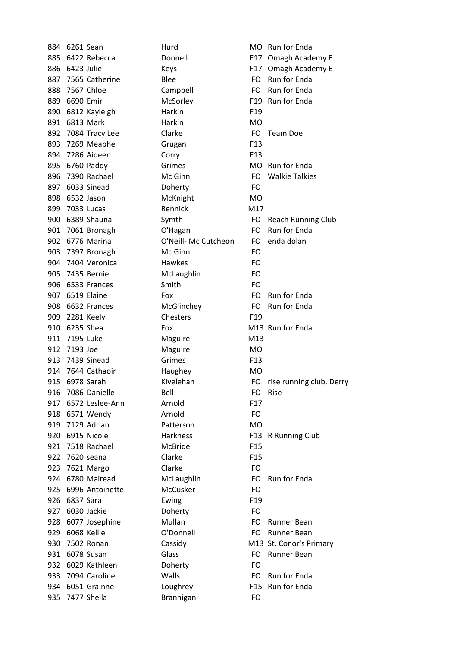|     | 884 6261 Sean       | Hurd                 |                 | MO Run for Enda             |
|-----|---------------------|----------------------|-----------------|-----------------------------|
| 885 | 6422 Rebecca        | Donnell              |                 | F17 Omagh Academy E         |
|     | 886 6423 Julie      | Keys                 | F17             | Omagh Academy E             |
|     | 887 7565 Catherine  | <b>Blee</b>          |                 | FO Run for Enda             |
|     | 888 7567 Chloe      | Campbell             |                 | FO Run for Enda             |
|     | 889 6690 Emir       | McSorley             |                 | F19 Run for Enda            |
|     | 890 6812 Kayleigh   | Harkin               | F <sub>19</sub> |                             |
|     | 891 6813 Mark       | Harkin               | <b>MO</b>       |                             |
|     | 892 7084 Tracy Lee  | Clarke               | FO              | Team Doe                    |
|     | 893 7269 Meabhe     | Grugan               | F <sub>13</sub> |                             |
|     | 894 7286 Aideen     | Corry                | F <sub>13</sub> |                             |
|     | 895 6760 Paddy      | Grimes               |                 | MO Run for Enda             |
|     | 896 7390 Rachael    | Mc Ginn              | FO.             | <b>Walkie Talkies</b>       |
| 897 | 6033 Sinead         | Doherty              | FO              |                             |
|     | 898 6532 Jason      | McKnight             | <b>MO</b>       |                             |
|     | 899 7033 Lucas      | Rennick              | M17             |                             |
|     | 900 6389 Shauna     | Symth                | FO              | <b>Reach Running Club</b>   |
|     | 901 7061 Bronagh    | O'Hagan              | FO.             | <b>Run for Enda</b>         |
|     | 902 6776 Marina     | O'Neill- Mc Cutcheon | FO.             | enda dolan                  |
|     | 903 7397 Bronagh    | Mc Ginn              | FO              |                             |
|     | 904 7404 Veronica   | Hawkes               | FO              |                             |
|     | 905 7435 Bernie     | McLaughlin           | FO              |                             |
|     | 906 6533 Frances    | Smith                | FO              |                             |
|     | 907 6519 Elaine     | Fox                  | FO.             | Run for Enda                |
|     | 908 6632 Frances    | McGlinchey           | FO.             | Run for Enda                |
|     | 909 2281 Keely      | Chesters             | F <sub>19</sub> |                             |
|     | 910 6235 Shea       | Fox                  |                 | M13 Run for Enda            |
|     | 911 7195 Luke       | Maguire              | M13             |                             |
|     | 912 7193 Joe        | Maguire              | <b>MO</b>       |                             |
|     | 913 7439 Sinead     | Grimes               | F <sub>13</sub> |                             |
|     | 914 7644 Cathaoir   | Haughey              | <b>MO</b>       |                             |
|     | 915 6978 Sarah      | Kivelehan            |                 | FO rise running club. Derry |
|     | 916 7086 Danielle   | Bell                 |                 | FO Rise                     |
|     | 917 6572 Leslee-Ann | Arnold               | F17             |                             |
|     | 918 6571 Wendy      | Arnold               | FO              |                             |
|     | 919 7129 Adrian     | Patterson            | MO              |                             |
|     | 920 6915 Nicole     | Harkness             |                 | F13 R Running Club          |
|     | 921 7518 Rachael    | McBride              | F <sub>15</sub> |                             |
|     | 922 7620 seana      | Clarke               | F <sub>15</sub> |                             |
|     | 923 7621 Margo      | Clarke               | FO.             |                             |
|     | 924 6780 Mairead    | McLaughlin           | FO.             | Run for Enda                |
|     | 925 6996 Antoinette | McCusker             | FO              |                             |
|     | 926 6837 Sara       | Ewing                | F <sub>19</sub> |                             |
|     | 927 6030 Jackie     | Doherty              | FO              |                             |
|     | 928 6077 Josephine  | Mullan               | FO              | Runner Bean                 |
|     | 929 6068 Kellie     | O'Donnell            | FO.             | <b>Runner Bean</b>          |
|     | 930 7502 Ronan      | Cassidy              |                 | M13 St. Conor's Primary     |
|     | 931 6078 Susan      | Glass                | FO              | Runner Bean                 |
|     | 932 6029 Kathleen   | Doherty              | FO              |                             |
|     | 933 7094 Caroline   | Walls                | FO -            | Run for Enda                |
|     | 934 6051 Grainne    | Loughrey             |                 | F15 Run for Enda            |
|     | 935 7477 Sheila     | Brannigan            | FO              |                             |
|     |                     |                      |                 |                             |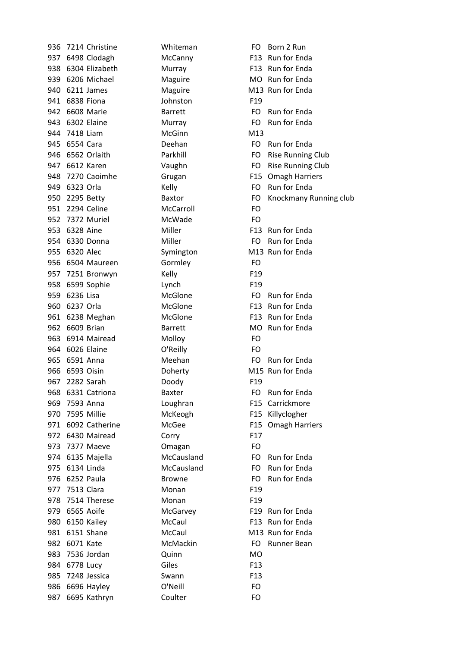| 936 |                | 7214 Christine     | Whiteman       | FO              |
|-----|----------------|--------------------|----------------|-----------------|
|     |                | 937 6498 Clodagh   | McCanny        | F <sub>13</sub> |
| 938 |                | 6304 Elizabeth     | Murray         | F <sub>13</sub> |
|     |                | 939 6206 Michael   | Maguire        | <b>MO</b>       |
| 940 |                | 6211 James         | Maguire        | M13             |
| 941 |                | 6838 Fiona         | Johnston       | F <sub>19</sub> |
|     |                | 942 6608 Marie     | <b>Barrett</b> | FO              |
|     |                | 943 6302 Elaine    | Murray         | FO              |
|     | 944 7418 Liam  |                    | McGinn         | M13             |
|     | 945 6554 Cara  |                    | Deehan         | FO              |
| 946 |                | 6562 Orlaith       | Parkhill       | FO              |
|     |                | 947 6612 Karen     | Vaughn         | FO              |
|     |                | 948 7270 Caoimhe   | Grugan         | F <sub>15</sub> |
|     | 949 6323 Orla  |                    | Kelly          | FO.             |
|     | 950 2295 Betty |                    | <b>Baxtor</b>  | FO              |
|     |                | 951 2294 Celine    | McCarroll      | FO              |
|     |                | 952 7372 Muriel    | McWade         | FO              |
| 953 | 6328 Aine      |                    | Miller         | F <sub>13</sub> |
|     |                | 954 6330 Donna     | Miller         | FO              |
|     | 955 6320 Alec  |                    | Symington      | M13             |
| 956 |                | 6504 Maureen       | Gormley        | FO              |
|     |                | 957 7251 Bronwyn   | Kelly          | F <sub>19</sub> |
|     |                | 958 6599 Sophie    | Lynch          | F <sub>19</sub> |
| 959 | 6236 Lisa      |                    | McGlone        | FO              |
| 960 | 6237 Orla      |                    | McGlone        | F <sub>13</sub> |
| 961 |                | 6238 Meghan        | McGlone        | F <sub>13</sub> |
| 962 |                | 6609 Brian         | <b>Barrett</b> | <b>MO</b>       |
| 963 |                | 6914 Mairead       | Molloy         | FO              |
|     |                | 964 6026 Elaine    | O'Reilly       | FO              |
| 965 |                | 6591 Anna          | Meehan         | FO              |
| 966 | 6593 Oisin     |                    | Doherty        | M15             |
| 967 |                | 2282 Sarah         | Doody          | F <sub>19</sub> |
| 968 |                | 6331 Catriona      | <b>Baxter</b>  | FO              |
| 969 |                | 7593 Anna          | Loughran       | F <sub>15</sub> |
| 970 | 7595 Millie    |                    | McKeogh        | F <sub>15</sub> |
|     |                | 971 6092 Catherine | McGee          | F <sub>15</sub> |
|     |                | 972 6430 Mairead   | Corry          | F17             |
|     |                | 973 7377 Maeve     | Omagan         | FO              |
|     |                | 974 6135 Majella   | McCausland     | FO              |
|     | 975 6134 Linda |                    | McCausland     | FO              |
|     | 976 6252 Paula |                    | <b>Browne</b>  | FO              |
|     | 977 7513 Clara |                    | Monan          | F <sub>19</sub> |
|     |                | 978 7514 Therese   | Monan          | F <sub>19</sub> |
| 979 |                | 6565 Aoife         | McGarvey       | F <sub>19</sub> |
| 980 |                | 6150 Kailey        | McCaul         | F <sub>13</sub> |
| 981 |                | 6151 Shane         | McCaul         | M13             |
| 982 | 6071 Kate      |                    | McMackin       | FO              |
|     |                | 983 7536 Jordan    | Quinn          | <b>MO</b>       |
|     | 984 6778 Lucy  |                    | Giles          | F <sub>13</sub> |
| 985 |                | 7248 Jessica       | Swann          | F <sub>13</sub> |
| 986 |                | 6696 Hayley        | O'Neill        | FO              |
| 987 |                | 6695 Kathryn       | Coulter        | FO              |

Whiteman FO Born 2 Run McCanny F13 Run for Enda Murray F13 Run for Enda Maguire MO Run for Enda Maguire M13 Run for Enda Barrett FO Run for Enda Murray FO Run for Enda Deehan FO Run for Enda Parkhill FO Rise Running Club Vaughn FO Rise Running Club Grugan F15 Omagh Harriers EQ Run for Enda Baxtor FO Knockmany Running club Miller F13 Run for Enda Miller **FO** Run for Enda Symington M13 Run for Enda McGlone FO Run for Enda McGlone F13 Run for Enda McGlone F13 Run for Enda Barrett MO Run for Enda Meehan FO Run for Enda Doherty M15 Run for Enda Baxter **FO** Run for Enda Loughran F15 Carrickmore McKeogh F15 Killyclogher McGee F15 Omagh Harriers McCausland FO Run for Enda McCausland FO Run for Enda Browne FO Run for Enda McGarvey F19 Run for Enda McCaul F13 Run for Enda McCaul M13 Run for Enda McMackin FO Runner Bean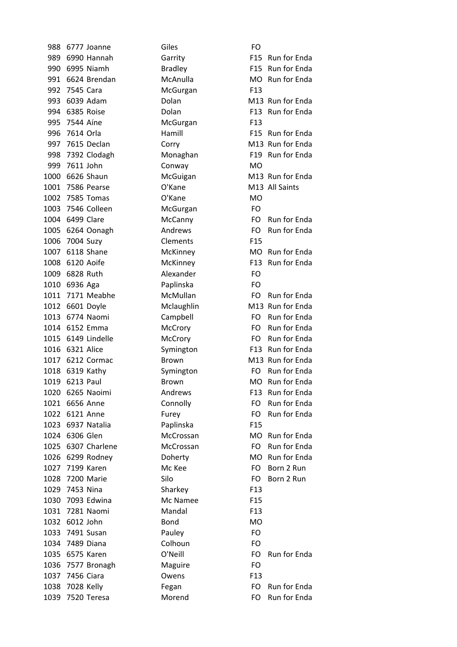988 6777 Joanne Giles Gibs 989 6990 Hannah Garrity F15 Run for Enda 990 6995 Niamh Bradley F15 Run for Enda 991 6624 Brendan McAnulla MO Run for Enda 992 7545 Cara McGurgan F13 993 6039 Adam **Dolan Dolan M13 Run** for Enda 994 6385 Roise **Dolan Dolan** F13 Run for Enda 995 7544 Aíne McGurgan F13 996 7614 Orla **Hamill** Hamill F15 Run for Enda 997 7615 Declan Corry Corrolle M13 Run for Enda 998 7392 Clodagh Monaghan F19 Run for Enda 999 7611 John Conway MO 1000 6626 Shaun<br>
2000 6626 Shaun<br>
2000 6626 Shaun 1001 7586 Pearse **C'Kane M13 All Saints** 1002 7585 Tomas O'Kane MO 1003 7546 Colleen McGurgan FO 1004 6499 Clare McCanny FO Run for Enda 1005 6264 Oonagh Andrews FO Run for Enda 1006 7004 Suzy Clements F15 1007 6118 Shane McKinney MC MO Run for Enda 1008 6120 Aoife McKinney F13 Run for Enda 1009 6828 Ruth Alexander FO 1010 6936 Aga Paplinska FO 1011 7171 Meabhe McMullan FO Run for Enda 1012 6601 Doyle Mclaughlin M13 Run for Enda 1013 6774 Naomi Campbell FO Run for Enda 1014 6152 Emma McCrory FO Run for Enda 1015 6149 Lindelle McCrory FO Run for Enda 1016 6321 Alice Symington F13 Run for Enda 1017 6212 Cormac Brown Brown M13 Run for Enda 1018 6319 Kathy Symington FO Run for Enda 1019 6213 Paul Brown Brown MO Run for Enda 1020 6265 Naoimi **Andrews** F13 Run for Enda 1021 6656 Anne Connolly FO Run for Enda 1022 6121 Anne Furey Furey FO Run for Enda 1023 6937 Natalia Paplinska F15 1024 6306 Glen McCrossan MO Run for Enda 1025 6307 Charlene McCrossan FO Run for Enda 1026 6299 Rodney **Doherty** Doherty MO Run for Enda 1027 7199 Karen Mc2Kee FO Born222Run 1028 7200 Marie Silo FO Born222Run 1029 7453 Nina Sharkey F13 1030 7093 Edwina Mc Namee F15 1031 7281 Naomi Mandal F13 1032 6012 John Bond MO 1033 7491 Susan Pauley FO 1034 7489 Diana Colhoun FO 1035 6575 Karen C'Neill FO Run for Enda 1036 7577 Bronagh Maguire FO 1037 7456 Ciara Owens F13 1038 7028 Kelly Fegan For Formulation Formulation Formulation Formulation Formulation Formulation Formulation 1039 7520 Teresa Morend FO Run for Enda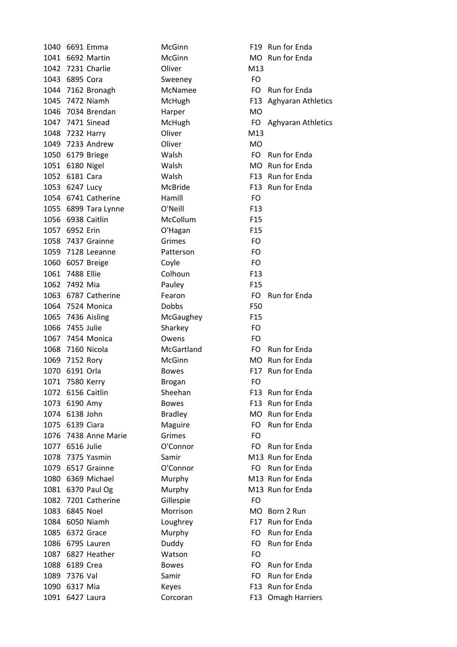1040 6691 Emma McGinn F19 Run for Enda 1041 6692 Martin McGinn MCGINN MO Run for Enda 1042 7231 Charlie **Oliver Oliver** M13 1043 6895 Cora Sweeney FO 1044 7162 Bronagh McNamee FO Run for Enda 1045 7472 Niamh McHugh McHugh F13 Aghyaran Athletics 1046 7034 Brendan Harper MO 1047 7471 Sinead McHugh FO Aghyaran Athletics 1048 7232 Harry Oliver M13 1049 7233 Andrew Oliver MO 1050 6179 Briege Walsh FO Run for Enda 1051 6180 Nigel Malsh MO Run for Enda 1052 6181 Cara **Malsh F13 Rundal** F13 Rundar 1053 6247 Lucy McBride F13 Run for Enda 1054 6741 Catherine Hamill FO 1055 6899 Tara Lynne O'Neill F13 1056 6938 Caitlin McCollum F15 1057 6952 Erin O'Hagan F15 1058 7437 Grainne Grimes FO 1059 7128 Leeanne Patterson FO 1060 6057 Breige Coyle FO 1061 7488 Ellie Colhoun F13 1062 7492 Mia Pauley F15 1063 6787 Catherine Fearon Fo Run for Enda 1064 7524 Monica Dobbs F50 1065 7436 Aisling McGaughey F15 1066 7455 Julie Sharkey FO 1067 7454 Monica Owens FO 1068 7160 Nicola **McGartland** FO Run for Enda 1069 7152 Rory McGinn MCGinn MO Run for Enda 1070 6191 Orla Bowes F17 Run for Enda 1071 7580 Kerry Brogan Brotan FO 1072 6156 Caitlin Sheehan F13 Run for Enda 1073 6190 Amy Bowes F13 Run for Enda 1074 6138 John Bradley MO Run for Enda 1075 6139 Ciara **Maguire** FO Run for Enda 1076 7438 Anne Marie Grimes Grimes FO 1077 6516 Julie **O'Connor** FO Run for Enda 1078 7375 Yasmin Samir Samir M13 Run for Enda 1079 6517 Grainne **O'Connor FO** Run for Enda 1080 6369 Michael Murphy M13 Run for Enda 1081 6370 Paul Og Murphy M13 Run for Enda 1082 7201 Catherine Gillespie FO 1083 6845 Noel Morrison MO Born 2 Run 1084 6050 Niamh Loughrey F17 Run for Enda 1085 6372 Grace Murphy FO Run for Enda 1086 6795 Lauren **Duddy FO** Run for Enda 1087 6827 Heather Watson FO 1088 6189 Crea Bowes Bowes FO Run for Enda 1089 7376 Val Samir Samir FO Run for Enda 1090 6317 Mia Keyes F13 Run for Enda 1091 6427 Laura Corcoran F13 Omagh Harriers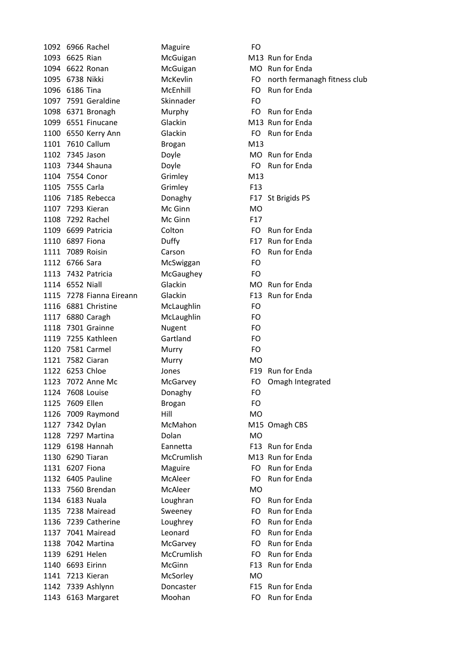1092 6966 Rachel Maguire FO 1093 6625 Rian McGuigan M13 Run for Enda 1094 6622 Ronan McGuigan MO Run for Enda 1096 6186 Tina **McEnhill** FO Run for Enda 1097 7591 Geraldine Skinnader FO 1098 6371 Bronagh Murphy FO Run for Enda 1099 6551 Finucane Glackin M13 Run for Enda 1100 6550 Kerry Ann Glackin FO Run for Enda 1101 7610 Callum Brogan M13 1102 7345 Jason Doyle Doyle MO Run for Enda 1103 7344 Shauna **Doyle Doyle FO Run for Enda** 1104 7554 Conor Grimley Grimley M13 1105 7555 Carla Grimley F13 1106 7185 Rebecca **Donaghy** F17 St Brigids PS 1107 7293 Kieran McGinn MCGinn 1108 7292 Rachel McGinn F17 1109 6699 Patricia Colton FO Run for Enda 1110 6897 Fiona **Duffy Duffy** F17 Run for Enda 1111 7089 Roisin **Carson** Carson FO Run for Enda 1112 6766 Sara McSwiggan FO 1113 7432 Patricia McGaughey FO 1114 6552 Niall **Glackin** Glackin MO Run for Enda 1115 7278 Fianna Eireann Glackin F13 Run for Enda 1116 6881 Christine McLaughlin FO 1117 6880 Caragh McLaughlin FO 1118 7301 Grainne Nugent FO 1119 7255 Kathleen Gartland FO 1120 7581 Carmel Murry FO 1121 7582 Ciaran Murry MO 1122 6253 Chloe Jones F19 Run for Enda 1123 7072 Anne Mc McGarvey FO Omagh Integrated 1124 7608 Louise Donaghy FO 1125 7609 Ellen Brogan Brogan FO 1126 7009 Raymond Hill MO 1127 7342 Dylan McMahon M15 Omagh CBS 1128 7297 Martina Dolan MO 1129 6198 Hannah **Eannetta** F13 Run for Enda 1130 6290 Tiaran McCrumlish M13 Run for Enda 1131 6207 Fiona **Maguire** FO Run for Enda 1132 6405 Pauline McAleer FO Run for Enda 1133 7560 Brendan McAleer MO 1134 6183 Nuala **Loughran** Loughran **FO** Run for Enda 1135 7238 Mairead Sweeney FO Run for Enda 1136 7239 Catherine Loughrey FO Run for Enda 1137 7041 Mairead Leonard FO Run for Enda 1138 7042 Martina McGarvey **MGARVEY ROUGE FO** Run for Enda 1139 6291 Helen McCrumlish FO Run for Enda 1140 6693 Eirinn McGinn McGinn F13 Run for Enda 1141 7213 Kieran McSorley MO 1142 7339 Ashlynn **Doncaster** F15 Run for Enda 1143 6163 Margaret Moohan FO Run for Enda

1095 6738 Nikki McKevlin McKevlin FO north fermanagh fitness club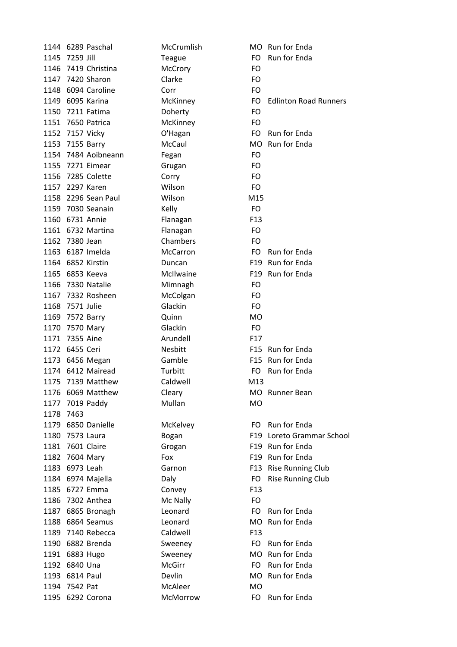|      | 1144 6289 Paschal                    | McCrumlish          |                        | MO Run for Enda              |
|------|--------------------------------------|---------------------|------------------------|------------------------------|
| 1145 | 7259 Jill                            | Teague              | FO.                    | Run for Enda                 |
| 1146 | 7419 Christina                       | McCrory             | FO                     |                              |
|      | 1147 7420 Sharon                     | Clarke              | <b>FO</b>              |                              |
|      | 1148 6094 Caroline                   | Corr                | FO                     |                              |
|      | 1149 6095 Karina                     | McKinney            | FO                     | <b>Edlinton Road Runners</b> |
|      | 1150 7211 Fatima                     | Doherty             | <b>FO</b>              |                              |
|      | 1151 7650 Patrica                    | McKinney            | FO                     |                              |
|      | 1152 7157 Vicky                      | O'Hagan             | FO.                    | Run for Enda                 |
|      | 1153 7155 Barry                      | McCaul              |                        | MO Run for Enda              |
|      | 1154 7484 Aoibneann                  | Fegan               | FO                     |                              |
|      | 1155 7271 Eimear                     | Grugan              | FO                     |                              |
|      | 1156 7285 Colette                    | Corry               | FO                     |                              |
|      | 1157 2297 Karen                      | Wilson              | FO                     |                              |
|      | 1158 2296 Sean Paul                  | Wilson              | M15                    |                              |
|      | 1159 7030 Seanain                    | Kelly               | <b>FO</b>              |                              |
|      | 1160 6731 Annie                      | Flanagan            | F <sub>13</sub>        |                              |
|      | 1161 6732 Martina                    | Flanagan            | FO                     |                              |
|      | 1162 7380 Jean                       | Chambers            | FO                     |                              |
|      | 1163 6187 Imelda                     | <b>McCarron</b>     | FO.                    | Run for Enda                 |
|      | 1164 6852 Kirstin                    | Duncan              |                        | F19 Run for Enda             |
|      | 1165 6853 Keeva                      | McIlwaine           |                        | F19 Run for Enda             |
| 1166 | 7330 Natalie                         | Mimnagh             | FO                     |                              |
| 1167 | 7332 Rosheen                         | McColgan            | FO                     |                              |
|      | 1168 7571 Julie                      | Glackin             | FO.                    |                              |
| 1169 |                                      | Quinn               | <b>MO</b>              |                              |
| 1170 | 7572 Barry<br>7570 Mary              | Glackin             | <b>FO</b>              |                              |
|      | 1171 7355 Aine                       |                     |                        |                              |
|      |                                      | Arundell<br>Nesbitt | F <sub>17</sub><br>F15 | Run for Enda                 |
|      | 1172 6455 Ceri                       |                     |                        | F15 Run for Enda             |
|      | 1173 6456 Megan<br>1174 6412 Mairead | Gamble              |                        |                              |
|      |                                      | Turbitt             | FO.                    | Run for Enda                 |
|      | 1175 7139 Matthew                    | Caldwell            | M13                    |                              |
|      | 1176 6069 Matthew                    | Cleary              |                        | MO Runner Bean               |
| 1177 | 7019 Paddy                           | Mullan              | <b>MO</b>              |                              |
| 1178 | 7463                                 |                     |                        |                              |
|      | 1179 6850 Danielle                   | McKelvey            | FO.                    | Run for Enda                 |
| 1180 | 7573 Laura                           | Bogan               |                        | F19 Loreto Grammar School    |
| 1181 | 7601 Claire                          | Grogan              | F19                    | Run for Enda                 |
| 1182 | 7604 Mary                            | Fox                 |                        | F19 Run for Enda             |
|      | 1183 6973 Leah                       | Garnon              |                        | F13 Rise Running Club        |
|      | 1184 6974 Majella                    | Daly                | FO.                    | <b>Rise Running Club</b>     |
|      | 1185 6727 Emma                       | Convey              | F <sub>13</sub>        |                              |
|      | 1186 7302 Anthea                     | Mc Nally            | FO                     |                              |
|      | 1187 6865 Bronagh                    | Leonard             | FO                     | Run for Enda                 |
|      | 1188 6864 Seamus                     | Leonard             | MO.                    | Run for Enda                 |
|      | 1189 7140 Rebecca                    | Caldwell            | F <sub>13</sub>        |                              |
|      | 1190 6882 Brenda                     | Sweeney             | FO.                    | Run for Enda                 |
|      | 1191 6883 Hugo                       | Sweeney             |                        | MO Run for Enda              |
|      | 1192 6840 Una                        | <b>McGirr</b>       | FO.                    | Run for Enda                 |
| 1193 | 6814 Paul                            | Devlin              | MO.                    | Run for Enda                 |
|      | 1194 7542 Pat                        | McAleer             | <b>MO</b>              |                              |
|      | 1195 6292 Corona                     | McMorrow            | FO                     | Run for Enda                 |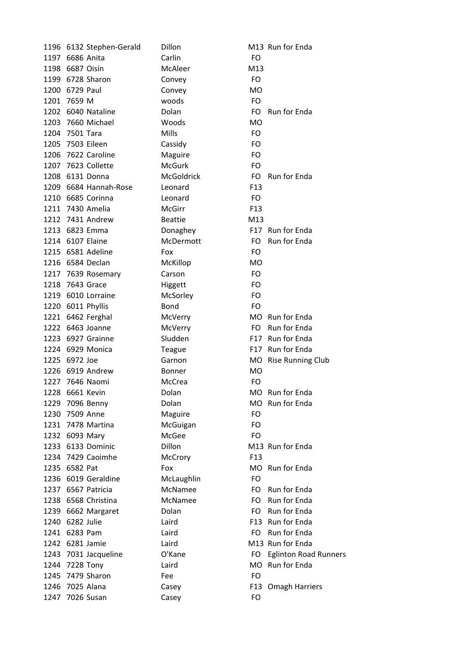|      | 1196 6132 Stephen-Gerald | Dillon            |                 | M13 Run for Enda             |
|------|--------------------------|-------------------|-----------------|------------------------------|
|      | 1197 6686 Anita          | Carlin            | FO.             |                              |
| 1198 | 6687 Oisín               | McAleer           | M13             |                              |
|      | 1199 6728 Sharon         | Convey            | FO              |                              |
|      | 1200 6729 Paul           | Convey            | <b>MO</b>       |                              |
| 1201 | 7659 M                   | woods             | FO.             |                              |
|      | 1202 6040 Nataline       | Dolan             | FO.             | Run for Enda                 |
| 1203 | 7660 Michael             | Woods             | <b>MO</b>       |                              |
|      | 1204 7501 Tara           | Mills             | FO.             |                              |
|      | 1205 7503 Eileen         | Cassidy           | FO.             |                              |
| 1206 | 7622 Caroline            | Maguire           | FO.             |                              |
|      | 1207 7623 Collette       | <b>McGurk</b>     | FO              |                              |
|      | 1208 6131 Donna          | <b>McGoldrick</b> | FO.             | Run for Enda                 |
|      | 1209 6684 Hannah-Rose    | Leonard           | F <sub>13</sub> |                              |
|      | 1210 6685 Corinna        | Leonard           | FO.             |                              |
|      | 1211 7430 Amelia         | McGirr            | F <sub>13</sub> |                              |
|      | 1212 7431 Andrew         | <b>Beattie</b>    | M13             |                              |
|      | 1213 6823 Emma           | Donaghey          | F17             | <b>Run for Enda</b>          |
|      | 1214 6107 Elaine         | McDermott         | FO.             | Run for Enda                 |
|      | 1215 6581 Adeline        | Fox               | FO.             |                              |
|      | 1216 6584 Declan         | McKillop          | <b>MO</b>       |                              |
|      | 1217 7639 Rosemary       | Carson            | FO.             |                              |
| 1218 | 7643 Grace               | Higgett           | FO.             |                              |
|      | 1219 6010 Lorraine       | McSorley          | FO              |                              |
|      | 1220 6011 Phyllis        | <b>Bond</b>       | FO.             |                              |
|      | 1221 6462 Ferghal        | McVerry           |                 | MO Run for Enda              |
|      | 1222 6463 Joanne         | McVerry           | FO.             | Run for Enda                 |
|      | 1223 6927 Grainne        | Sludden           |                 | F17 Run for Enda             |
|      | 1224 6929 Monica         | Teague            | F17             | Run for Enda                 |
|      | 1225 6972 Joe            | Garnon            |                 | MO Rise Running Club         |
|      | 1226 6919 Andrew         | <b>Bonner</b>     | <b>MO</b>       |                              |
|      | 1227 7646 Naomi          | McCrea            | FO              |                              |
|      | 1228 6661 Kevin          | Dolan             |                 | MO Run for Enda              |
| 1229 | 7096 Benny               | Dolan             |                 | MO Run for Enda              |
|      | 1230 7509 Anne           | Maguire           | FO              |                              |
|      | 1231 7478 Martina        | McGuigan          | FO              |                              |
|      | 1232 6093 Mary           | McGee             | FO.             |                              |
|      | 1233 6133 Dominic        | Dillon            |                 | M13 Run for Enda             |
|      | 1234 7429 Caoimhe        | McCrory           | F <sub>13</sub> |                              |
|      | 1235 6582 Pat            | Fox               |                 | MO Run for Enda              |
|      | 1236 6019 Geraldine      | McLaughlin        | FO.             |                              |
|      | 1237 6567 Patricia       | McNamee           | FO.             | Run for Enda                 |
|      | 1238 6568 Christina      | McNamee           | FO.             | Run for Enda                 |
|      | 1239 6662 Margaret       | Dolan             | FO.             | Run for Enda                 |
|      | 1240 6282 Julie          | Laird             |                 | F13 Run for Enda             |
|      | 1241 6283 Pam            | Laird             | FO.             | Run for Enda                 |
|      | 1242 6281 Jamie          | Laird             |                 | M13 Run for Enda             |
|      | 1243 7031 Jacqueline     | O'Kane            | FO.             | <b>Eglinton Road Runners</b> |
|      | 1244 7228 Tony           | Laird             | MO              | Run for Enda                 |
|      | 1245 7479 Sharon         | Fee               | FO.             |                              |
|      | 1246 7025 Alana          | Casey             | F13             | <b>Omagh Harriers</b>        |
|      | 1247 7026 Susan          | Casey             | FO              |                              |
|      |                          |                   |                 |                              |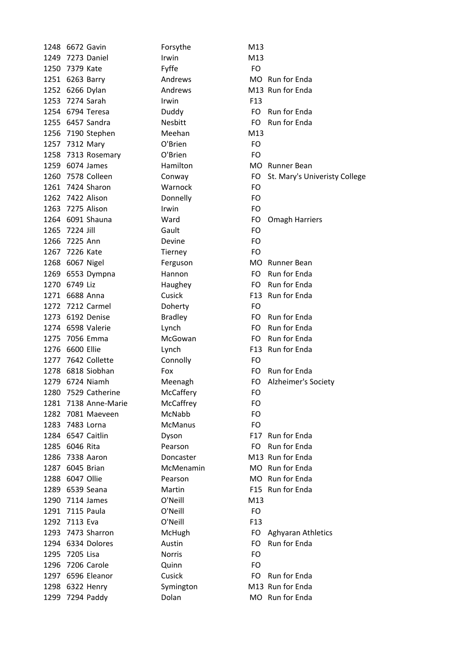| 1248 | 6672 Gavin           | Forsythe       | M13             |                               |
|------|----------------------|----------------|-----------------|-------------------------------|
| 1249 | 7273 Daniel          | Irwin          | M13             |                               |
|      | 1250 7379 Kate       | Fyffe          | FO              |                               |
|      | 1251 6263 Barry      | Andrews        |                 | MO Run for Enda               |
|      | 1252 6266 Dylan      | Andrews        |                 | M13 Run for Enda              |
|      | 1253 7274 Sarah      | Irwin          | F <sub>13</sub> |                               |
|      | 1254 6794 Teresa     | Duddy          | FO.             | Run for Enda                  |
|      | 1255 6457 Sandra     | <b>Nesbitt</b> | FO.             | Run for Enda                  |
|      | 1256 7190 Stephen    | Meehan         | M13             |                               |
|      | 1257 7312 Mary       | O'Brien        | FO              |                               |
|      | 1258 7313 Rosemary   | O'Brien        | <b>FO</b>       |                               |
|      | 1259 6074 James      | Hamilton       |                 | MO Runner Bean                |
|      | 1260 7578 Colleen    | Conway         | FO              | St. Mary's Univeristy College |
|      | 1261 7424 Sharon     | Warnock        | FO              |                               |
|      | 1262 7422 Alison     | Donnelly       | FO              |                               |
|      | 1263 7275 Alison     | Irwin          | FO              |                               |
|      | 1264 6091 Shauna     | Ward           | FO              | <b>Omagh Harriers</b>         |
|      | 1265 7224 Jill       | Gault          | FO              |                               |
| 1266 | 7225 Ann             | Devine         | FO              |                               |
|      | 1267 7226 Kate       | Tierney        | <b>FO</b>       |                               |
|      | 1268 6067 Nigel      | Ferguson       |                 | MO Runner Bean                |
|      | 1269 6553 Dympna     | Hannon         | FO              | Run for Enda                  |
|      | 1270 6749 Liz        | Haughey        | FO.             | Run for Enda                  |
|      | 1271 6688 Anna       | Cusick         |                 | F13 Run for Enda              |
|      | 1272 7212 Carmel     | Doherty        | FO              |                               |
|      | 1273 6192 Denise     | <b>Bradley</b> | FO              | Run for Enda                  |
|      | 1274 6598 Valerie    | Lynch          | FO              | Run for Enda                  |
| 1275 | 7056 Emma            | McGowan        | FO.             | Run for Enda                  |
|      | 1276 6600 Ellie      | Lynch          |                 | F13 Run for Enda              |
|      | 1277 7642 Collette   | Connolly       | FO              |                               |
| 1278 | 6818 Siobhan         | Fox            | FO.             | Run for Enda                  |
|      | 1279 6724 Niamh      | Meenagh        | FO              | Alzheimer's Society           |
| 1280 | 7529 Catherine       | McCaffery      | FO              |                               |
|      | 1281 7138 Anne-Marie | McCaffrey      | FO              |                               |
|      | 1282 7081 Maeveen    | McNabb         | FO              |                               |
|      | 1283 7483 Lorna      | <b>McManus</b> | FO              |                               |
|      | 1284 6547 Caitlin    | Dyson          |                 | F17 Run for Enda              |
|      | 1285 6046 Rita       | Pearson        | FO.             | Run for Enda                  |
| 1286 | 7338 Aaron           | Doncaster      |                 | M13 Run for Enda              |
|      | 1287 6045 Brian      | McMenamin      |                 | MO Run for Enda               |
|      | 1288 6047 Ollie      | Pearson        |                 | MO Run for Enda               |
|      | 1289 6539 Seana      | Martin         |                 | F15 Run for Enda              |
|      | 1290 7114 James      | O'Neill        | M13             |                               |
|      | 1291 7115 Paula      | O'Neill        | <b>FO</b>       |                               |
| 1292 | 7113 Eva             | O'Neill        | F <sub>13</sub> |                               |
|      | 1293 7473 Sharron    | McHugh         | FO              | <b>Aghyaran Athletics</b>     |
|      | 1294 6334 Dolores    | Austin         | FO.             | Run for Enda                  |
| 1295 | 7205 Lisa            | <b>Norris</b>  | FO              |                               |
| 1296 | 7206 Carole          | Quinn          | FO              |                               |
|      | 1297 6596 Eleanor    | Cusick         | FO.             | Run for Enda                  |
|      |                      |                |                 | M13 Run for Enda              |
|      | 1298 6322 Henry      | Symington      |                 |                               |
|      | 1299 7294 Paddy      | Dolan          |                 | MO Run for Enda               |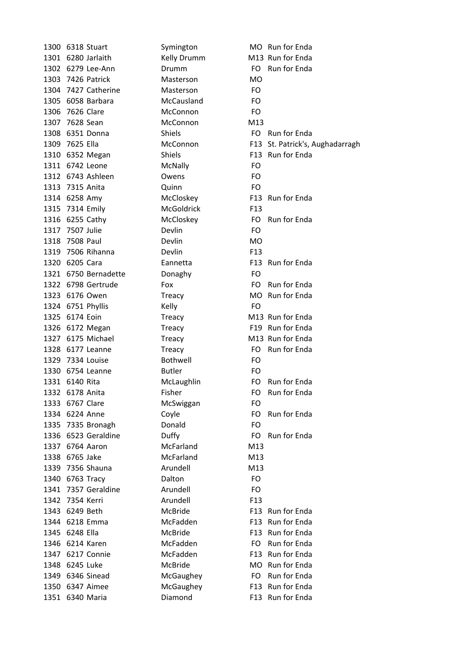|                 | 1300 6318 Stuart     | Symington         |                 | MO Run for Enda                 |
|-----------------|----------------------|-------------------|-----------------|---------------------------------|
|                 | 1301 6280 Jarlaith   | Kelly Drumm       |                 | M13 Run for Enda                |
|                 | 1302 6279 Lee-Ann    | Drumm             |                 | FO Run for Enda                 |
|                 | 1303 7426 Patrick    | Masterson         | <b>MO</b>       |                                 |
|                 | 1304 7427 Catherine  | Masterson         | FO.             |                                 |
|                 | 1305 6058 Barbara    | McCausland        | FO              |                                 |
| 1306 7626 Clare |                      | McConnon          | FO              |                                 |
| 1307 7628 Sean  |                      | McConnon          | M13             |                                 |
|                 | 1308 6351 Donna      | <b>Shiels</b>     |                 | FO Run for Enda                 |
| 1309 7625 Ella  |                      | McConnon          |                 | F13 St. Patrick's, Aughadarragh |
|                 | 1310 6352 Megan      | <b>Shiels</b>     |                 | F13 Run for Enda                |
|                 | 1311 6742 Leone      | McNally           | FO              |                                 |
|                 | 1312 6743 Ashleen    | Owens             | FO              |                                 |
| 1313 7315 Anita |                      | Quinn             | FO              |                                 |
| 1314 6258 Amy   |                      | McCloskey         |                 | F13 Run for Enda                |
|                 | 1315 7314 Emily      | <b>McGoldrick</b> | F <sub>13</sub> |                                 |
|                 | 1316 6255 Cathy      | McCloskey         |                 | FO Run for Enda                 |
| 1317 7507 Julie |                      | Devlin            | FO              |                                 |
| 1318 7508 Paul  |                      | Devlin            | MO              |                                 |
|                 | 1319 7506 Rihanna    | Devlin            | F <sub>13</sub> |                                 |
| 1320 6205 Cara  |                      | Eannetta          |                 | F13 Run for Enda                |
|                 | 1321 6750 Bernadette | Donaghy           | FO.             |                                 |
|                 | 1322 6798 Gertrude   | Fox               |                 | FO Run for Enda                 |
|                 | 1323 6176 Owen       | Treacy            |                 | MO Run for Enda                 |
|                 | 1324 6751 Phyllis    | Kelly             | FO.             |                                 |
| 1325 6174 Eoin  |                      | Treacy            |                 | M13 Run for Enda                |
|                 | 1326 6172 Megan      | Treacy            |                 | F19 Run for Enda                |
|                 | 1327 6175 Michael    | Treacy            |                 | M13 Run for Enda                |
|                 | 1328 6177 Leanne     | Treacy            |                 | FO Run for Enda                 |
|                 | 1329 7334 Louise     | <b>Bothwell</b>   | FO              |                                 |
|                 | 1330 6754 Leanne     | <b>Butler</b>     | FO              |                                 |
| 1331 6140 Rita  |                      | McLaughlin        | FO.             | Run for Enda                    |
| 1332 6178 Anita |                      | Fisher            | FO              | Run for Enda                    |
| 1333 6767 Clare |                      | McSwiggan         | FO              |                                 |
| 1334 6224 Anne  |                      | Coyle             | FO              | Run for Enda                    |
|                 | 1335 7335 Bronagh    | Donald            | FO              |                                 |
|                 | 1336 6523 Geraldine  | Duffy             | FO.             | Run for Enda                    |
|                 | 1337 6764 Aaron      | McFarland         | M13             |                                 |
| 1338 6765 Jake  |                      | McFarland         | M13             |                                 |
|                 | 1339 7356 Shauna     | Arundell          | M13             |                                 |
|                 | 1340 6763 Tracy      | Dalton            | FO              |                                 |
|                 | 1341 7357 Geraldine  | Arundell          | <b>FO</b>       |                                 |
| 1342 7354 Kerri |                      | Arundell          | F <sub>13</sub> |                                 |
| 1343 6249 Beth  |                      | <b>McBride</b>    |                 | F13 Run for Enda                |
|                 | 1344 6218 Emma       | McFadden          |                 | F13 Run for Enda                |
| 1345 6248 Ella  |                      | <b>McBride</b>    |                 | F13 Run for Enda                |
|                 | 1346 6214 Karen      | McFadden          | FO -            | Run for Enda                    |
|                 | 1347 6217 Connie     | McFadden          |                 | F13 Run for Enda                |
| 1348 6245 Luke  |                      | McBride           |                 | MO Run for Enda                 |
|                 | 1349 6346 Sinead     | McGaughey         | FO.             | Run for Enda                    |
|                 | 1350 6347 Aimee      | McGaughey         |                 | F13 Run for Enda                |
|                 | 1351 6340 Maria      | Diamond           |                 | F13 Run for Enda                |
|                 |                      |                   |                 |                                 |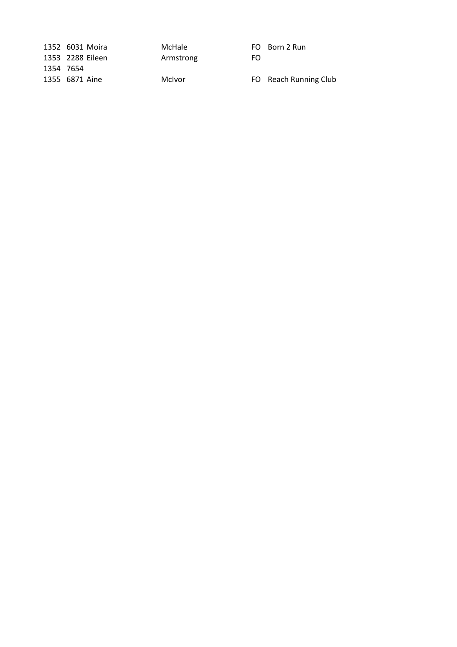|           | 1352 6031 Moira  | McHale    |     | FO Born 2 Run         |
|-----------|------------------|-----------|-----|-----------------------|
|           | 1353 2288 Eileen | Armstrong | FO. |                       |
| 1354 7654 |                  |           |     |                       |
|           | 1355 6871 Aine   | McIvor    |     | FO Reach Running Club |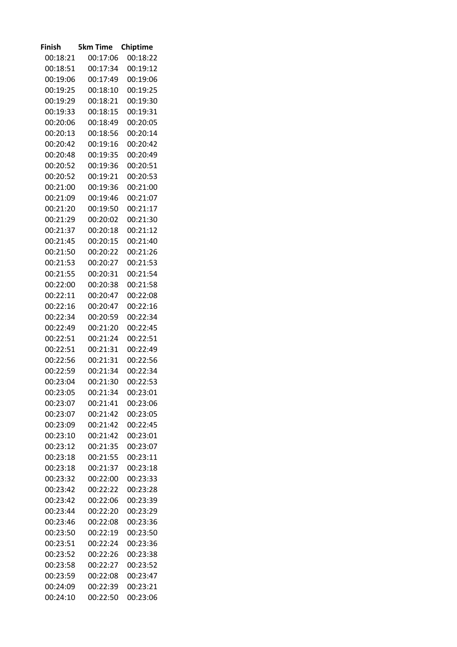| Finish   | <b>5km Time</b> | Chiptime |
|----------|-----------------|----------|
| 00:18:21 | 00:17:06        | 00:18:22 |
| 00:18:51 | 00:17:34        | 00:19:12 |
| 00:19:06 | 00:17:49        | 00:19:06 |
| 00:19:25 | 00:18:10        | 00:19:25 |
| 00:19:29 | 00:18:21        | 00:19:30 |
| 00:19:33 | 00:18:15        | 00:19:31 |
| 00:20:06 | 00:18:49        | 00:20:05 |
| 00:20:13 | 00:18:56        | 00:20:14 |
| 00:20:42 | 00:19:16        | 00:20:42 |
| 00:20:48 | 00:19:35        | 00:20:49 |
| 00:20:52 | 00:19:36        | 00:20:51 |
| 00:20:52 | 00:19:21        | 00:20:53 |
| 00:21:00 | 00:19:36        | 00:21:00 |
| 00:21:09 | 00:19:46        | 00:21:07 |
| 00:21:20 | 00:19:50        | 00:21:17 |
| 00:21:29 | 00:20:02        | 00:21:30 |
| 00:21:37 | 00:20:18        | 00:21:12 |
| 00:21:45 | 00:20:15        | 00:21:40 |
| 00:21:50 | 00:20:22        | 00:21:26 |
| 00:21:53 | 00:20:27        | 00:21:53 |
| 00:21:55 | 00:20:31        | 00:21:54 |
| 00:22:00 | 00:20:38        | 00:21:58 |
| 00:22:11 | 00:20:47        | 00:22:08 |
| 00:22:16 | 00:20:47        | 00:22:16 |
| 00:22:34 | 00:20:59        | 00:22:34 |
| 00:22:49 | 00:21:20        | 00:22:45 |
| 00:22:51 | 00:21:24        | 00:22:51 |
| 00:22:51 | 00:21:31        | 00:22:49 |
| 00:22:56 | 00:21:31        | 00:22:56 |
| 00:22:59 | 00:21:34        | 00:22:34 |
| 00:23:04 | 00:21:30        | 00:22:53 |
| 00:23:05 | 00:21:34        | 00:23:01 |
| 00:23:07 | 00:21:41        | 00:23:06 |
| 00:23:07 | 00:21:42        | 00:23:05 |
| 00:23:09 | 00:21:42        | 00:22:45 |
| 00:23:10 | 00:21:42        | 00:23:01 |
| 00:23:12 | 00:21:35        | 00:23:07 |
| 00:23:18 | 00:21:55        | 00:23:11 |
| 00:23:18 | 00:21:37        | 00:23:18 |
| 00:23:32 | 00:22:00        | 00:23:33 |
| 00:23:42 | 00:22:22        | 00:23:28 |
| 00:23:42 | 00:22:06        | 00:23:39 |
| 00:23:44 | 00:22:20        | 00:23:29 |
| 00:23:46 | 00:22:08        | 00:23:36 |
| 00:23:50 | 00:22:19        | 00:23:50 |
| 00:23:51 | 00:22:24        | 00:23:36 |
| 00:23:52 | 00:22:26        | 00:23:38 |
| 00:23:58 | 00:22:27        | 00:23:52 |
| 00:23:59 | 00:22:08        | 00:23:47 |
| 00:24:09 | 00:22:39        | 00:23:21 |
| 00:24:10 | 00:22:50        | 00:23:06 |
|          |                 |          |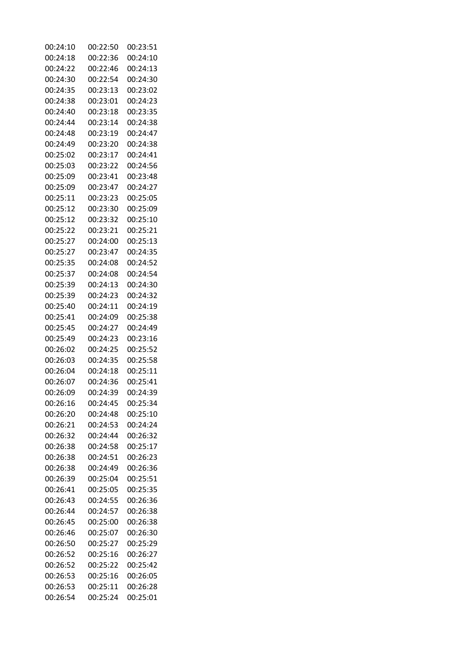| 00:24:10 | 00:22:50 | 00:23:51 |
|----------|----------|----------|
| 00:24:18 | 00:22:36 | 00:24:10 |
| 00:24:22 | 00:22:46 | 00:24:13 |
| 00:24:30 | 00:22:54 | 00:24:30 |
| 00:24:35 | 00:23:13 | 00:23:02 |
| 00:24:38 | 00:23:01 | 00:24:23 |
| 00:24:40 | 00:23:18 | 00:23:35 |
| 00:24:44 | 00:23:14 | 00:24:38 |
| 00:24:48 | 00:23:19 | 00:24:47 |
| 00:24:49 | 00:23:20 | 00:24:38 |
| 00:25:02 | 00:23:17 | 00:24:41 |
| 00:25:03 | 00:23:22 | 00:24:56 |
| 00:25:09 | 00:23:41 | 00:23:48 |
| 00:25:09 | 00:23:47 | 00:24:27 |
| 00:25:11 | 00:23:23 | 00:25:05 |
| 00:25:12 | 00:23:30 | 00:25:09 |
| 00:25:12 | 00:23:32 | 00:25:10 |
| 00:25:22 | 00:23:21 | 00:25:21 |
| 00:25:27 | 00:24:00 | 00:25:13 |
| 00:25:27 | 00:23:47 | 00:24:35 |
| 00:25:35 | 00:24:08 | 00:24:52 |
| 00:25:37 | 00:24:08 | 00:24:54 |
| 00:25:39 | 00:24:13 | 00:24:30 |
| 00:25:39 | 00:24:23 | 00:24:32 |
| 00:25:40 | 00:24:11 | 00:24:19 |
| 00:25:41 | 00:24:09 | 00:25:38 |
| 00:25:45 | 00:24:27 | 00:24:49 |
| 00:25:49 | 00:24:23 | 00:23:16 |
| 00:26:02 | 00:24:25 | 00:25:52 |
| 00:26:03 | 00:24:35 | 00:25:58 |
| 00:26:04 | 00:24:18 | 00:25:11 |
| 00:26:07 | 00:24:36 | 00:25:41 |
| 00:26:09 | 00:24:39 | 00:24:39 |
| 00:26:16 | 00:24:45 | 00:25:34 |
| 00:26:20 | 00:24:48 | 00:25:10 |
| 00:26:21 | 00:24:53 | 00:24:24 |
| 00:26:32 | 00:24:44 | 00:26:32 |
| 00:26:38 | 00:24:58 | 00:25:17 |
| 00:26:38 | 00:24:51 | 00:26:23 |
| 00:26:38 | 00:24:49 | 00:26:36 |
| 00:26:39 | 00:25:04 | 00:25:51 |
| 00:26:41 | 00:25:05 | 00:25:35 |
| 00:26:43 | 00:24:55 | 00:26:36 |
| 00:26:44 | 00:24:57 | 00:26:38 |
| 00:26:45 | 00:25:00 | 00:26:38 |
| 00:26:46 | 00:25:07 | 00:26:30 |
| 00:26:50 | 00:25:27 | 00:25:29 |
| 00:26:52 | 00:25:16 | 00:26:27 |
| 00:26:52 | 00:25:22 | 00:25:42 |
| 00:26:53 | 00:25:16 | 00:26:05 |
| 00:26:53 | 00:25:11 | 00:26:28 |
| 00:26:54 | 00:25:24 | 00:25:01 |
|          |          |          |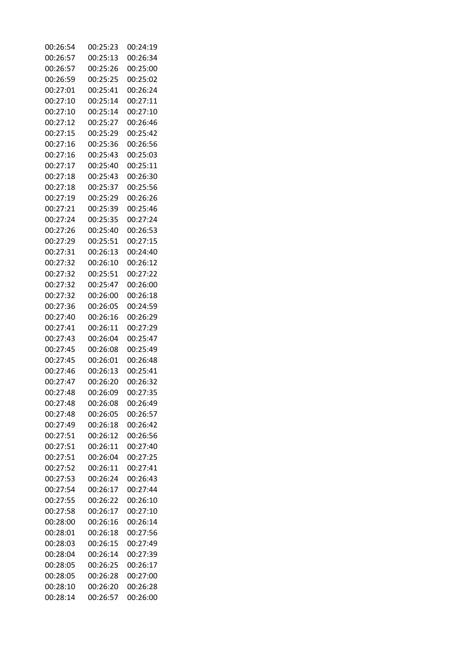| 00:26:54 | 00:25:23 | 00:24:19 |
|----------|----------|----------|
| 00:26:57 | 00:25:13 | 00:26:34 |
| 00:26:57 | 00:25:26 | 00:25:00 |
| 00:26:59 | 00:25:25 | 00:25:02 |
| 00:27:01 | 00:25:41 | 00:26:24 |
| 00:27:10 | 00:25:14 | 00:27:11 |
| 00:27:10 | 00:25:14 | 00:27:10 |
| 00:27:12 | 00:25:27 | 00:26:46 |
| 00:27:15 | 00:25:29 | 00:25:42 |
| 00:27:16 | 00:25:36 | 00:26:56 |
| 00:27:16 | 00:25:43 | 00:25:03 |
| 00:27:17 | 00:25:40 | 00:25:11 |
| 00:27:18 | 00:25:43 | 00:26:30 |
| 00:27:18 | 00:25:37 | 00:25:56 |
| 00:27:19 | 00:25:29 | 00:26:26 |
| 00:27:21 | 00:25:39 | 00:25:46 |
| 00:27:24 | 00:25:35 | 00:27:24 |
| 00:27:26 | 00:25:40 | 00:26:53 |
| 00:27:29 | 00:25:51 | 00:27:15 |
| 00:27:31 | 00:26:13 | 00:24:40 |
| 00:27:32 | 00:26:10 | 00:26:12 |
| 00:27:32 | 00:25:51 | 00:27:22 |
| 00:27:32 | 00:25:47 | 00:26:00 |
| 00:27:32 | 00:26:00 | 00:26:18 |
| 00:27:36 | 00:26:05 | 00:24:59 |
| 00:27:40 | 00:26:16 | 00:26:29 |
| 00:27:41 | 00:26:11 | 00:27:29 |
| 00:27:43 | 00:26:04 | 00:25:47 |
| 00:27:45 | 00:26:08 | 00:25:49 |
| 00:27:45 | 00:26:01 | 00:26:48 |
| 00:27:46 | 00:26:13 | 00:25:41 |
| 00:27:47 | 00:26:20 | 00:26:32 |
| 00:27:48 | 00:26:09 | 00:27:35 |
| 00:27:48 | 00:26:08 | 00:26:49 |
| 00:27:48 | 00:26:05 | 00:26:57 |
| 00:27:49 | 00:26:18 | 00:26:42 |
| 00:27:51 | 00:26:12 | 00:26:56 |
| 00:27:51 | 00:26:11 | 00:27:40 |
| 00:27:51 | 00:26:04 | 00:27:25 |
| 00:27:52 | 00:26:11 | 00:27:41 |
| 00:27:53 | 00:26:24 | 00:26:43 |
| 00:27:54 | 00:26:17 | 00:27:44 |
| 00:27:55 | 00:26:22 | 00:26:10 |
| 00:27:58 | 00:26:17 | 00:27:10 |
| 00:28:00 | 00:26:16 | 00:26:14 |
| 00:28:01 | 00:26:18 | 00:27:56 |
|          |          |          |
| 00:28:03 | 00:26:15 | 00:27:49 |
| 00:28:04 | 00:26:14 | 00:27:39 |
| 00:28:05 | 00:26:25 | 00:26:17 |
| 00:28:05 | 00:26:28 | 00:27:00 |
| 00:28:10 | 00:26:20 | 00:26:28 |
| 00:28:14 | 00:26:57 | 00:26:00 |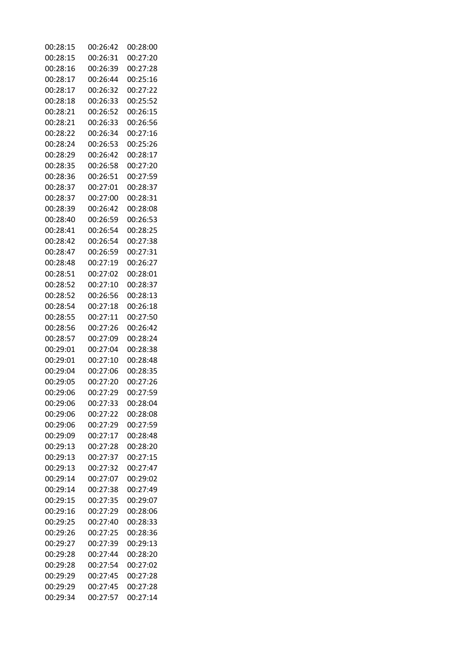| 00:28:15 | 00:26:42 | 00:28:00 |
|----------|----------|----------|
| 00:28:15 | 00:26:31 | 00:27:20 |
| 00:28:16 | 00:26:39 | 00:27:28 |
| 00:28:17 | 00:26:44 | 00:25:16 |
| 00:28:17 | 00:26:32 | 00:27:22 |
| 00:28:18 | 00:26:33 | 00:25:52 |
| 00:28:21 | 00:26:52 | 00:26:15 |
| 00:28:21 | 00:26:33 | 00:26:56 |
| 00:28:22 | 00:26:34 | 00:27:16 |
| 00:28:24 | 00:26:53 | 00:25:26 |
| 00:28:29 | 00:26:42 | 00:28:17 |
| 00:28:35 | 00:26:58 | 00:27:20 |
| 00:28:36 | 00:26:51 | 00:27:59 |
| 00:28:37 | 00:27:01 | 00:28:37 |
| 00:28:37 | 00:27:00 | 00:28:31 |
| 00:28:39 | 00:26:42 | 00:28:08 |
| 00:28:40 | 00:26:59 | 00:26:53 |
| 00:28:41 | 00:26:54 | 00:28:25 |
| 00:28:42 | 00:26:54 | 00:27:38 |
| 00:28:47 | 00:26:59 | 00:27:31 |
| 00:28:48 | 00:27:19 | 00:26:27 |
| 00:28:51 | 00:27:02 | 00:28:01 |
| 00:28:52 | 00:27:10 | 00:28:37 |
| 00:28:52 | 00:26:56 | 00:28:13 |
| 00:28:54 | 00:27:18 | 00:26:18 |
| 00:28:55 | 00:27:11 | 00:27:50 |
| 00:28:56 | 00:27:26 | 00:26:42 |
| 00:28:57 | 00:27:09 | 00:28:24 |
| 00:29:01 | 00:27:04 | 00:28:38 |
| 00:29:01 | 00:27:10 | 00:28:48 |
| 00:29:04 | 00:27:06 | 00:28:35 |
| 00:29:05 | 00:27:20 | 00:27:26 |
| 00:29:06 | 00:27:29 | 00:27:59 |
| 00:29:06 | 00:27:33 | 00:28:04 |
| 00:29:06 | 00:27:22 | 00:28:08 |
| 00:29:06 | 00:27:29 | 00:27:59 |
| 00:29:09 | 00:27:17 | 00:28:48 |
| 00:29:13 | 00:27:28 | 00:28:20 |
| 00:29:13 | 00:27:37 | 00:27:15 |
| 00:29:13 | 00:27:32 | 00:27:47 |
| 00:29:14 | 00:27:07 | 00:29:02 |
| 00:29:14 | 00:27:38 | 00:27:49 |
| 00:29:15 | 00:27:35 | 00:29:07 |
|          |          |          |
| 00:29:16 | 00:27:29 | 00:28:06 |
| 00:29:25 | 00:27:40 | 00:28:33 |
| 00:29:26 | 00:27:25 | 00:28:36 |
| 00:29:27 | 00:27:39 | 00:29:13 |
| 00:29:28 | 00:27:44 | 00:28:20 |
| 00:29:28 | 00:27:54 | 00:27:02 |
| 00:29:29 | 00:27:45 | 00:27:28 |
| 00:29:29 | 00:27:45 | 00:27:28 |
| 00:29:34 | 00:27:57 | 00:27:14 |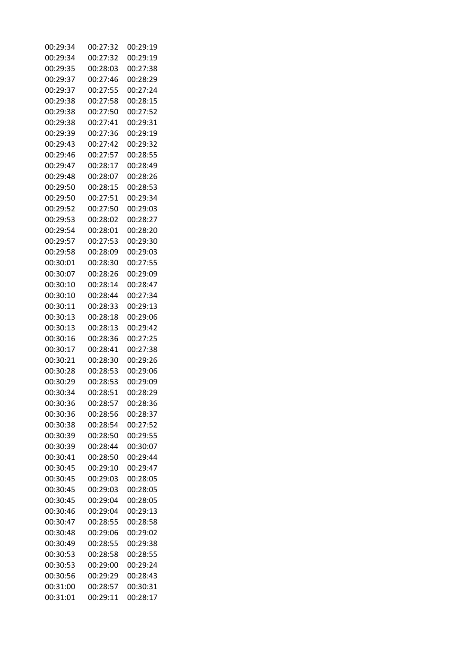| 00:29:34 | 00:27:32 | 00:29:19 |
|----------|----------|----------|
| 00:29:34 | 00:27:32 | 00:29:19 |
| 00:29:35 | 00:28:03 | 00:27:38 |
| 00:29:37 | 00:27:46 | 00:28:29 |
| 00:29:37 | 00:27:55 | 00:27:24 |
| 00:29:38 | 00:27:58 | 00:28:15 |
| 00:29:38 | 00:27:50 | 00:27:52 |
| 00:29:38 | 00:27:41 | 00:29:31 |
| 00:29:39 | 00:27:36 | 00:29:19 |
| 00:29:43 | 00:27:42 | 00:29:32 |
| 00:29:46 | 00:27:57 | 00:28:55 |
| 00:29:47 | 00:28:17 | 00:28:49 |
| 00:29:48 | 00:28:07 | 00:28:26 |
| 00:29:50 | 00:28:15 | 00:28:53 |
| 00:29:50 | 00:27:51 | 00:29:34 |
| 00:29:52 | 00:27:50 | 00:29:03 |
| 00:29:53 | 00:28:02 | 00:28:27 |
| 00:29:54 | 00:28:01 | 00:28:20 |
| 00:29:57 | 00:27:53 | 00:29:30 |
| 00:29:58 | 00:28:09 | 00:29:03 |
| 00:30:01 | 00:28:30 | 00:27:55 |
| 00:30:07 | 00:28:26 | 00:29:09 |
| 00:30:10 | 00:28:14 | 00:28:47 |
| 00:30:10 | 00:28:44 | 00:27:34 |
| 00:30:11 | 00:28:33 | 00:29:13 |
| 00:30:13 | 00:28:18 | 00:29:06 |
| 00:30:13 | 00:28:13 | 00:29:42 |
| 00:30:16 | 00:28:36 | 00:27:25 |
| 00:30:17 | 00:28:41 | 00:27:38 |
| 00:30:21 | 00:28:30 | 00:29:26 |
| 00:30:28 | 00:28:53 | 00:29:06 |
| 00:30:29 | 00:28:53 | 00:29:09 |
| 00:30:34 | 00:28:51 | 00:28:29 |
| 00:30:36 | 00:28:57 | 00:28:36 |
| 00:30:36 | 00:28:56 | 00:28:37 |
| 00:30:38 | 00:28:54 | 00:27:52 |
| 00:30:39 | 00:28:50 | 00:29:55 |
| 00:30:39 | 00:28:44 | 00:30:07 |
| 00:30:41 | 00:28:50 | 00:29:44 |
| 00:30:45 | 00:29:10 | 00:29:47 |
| 00:30:45 | 00:29:03 | 00:28:05 |
| 00:30:45 | 00:29:03 | 00:28:05 |
| 00:30:45 | 00:29:04 | 00:28:05 |
| 00:30:46 | 00:29:04 | 00:29:13 |
| 00:30:47 | 00:28:55 | 00:28:58 |
| 00:30:48 | 00:29:06 | 00:29:02 |
| 00:30:49 | 00:28:55 | 00:29:38 |
| 00:30:53 | 00:28:58 | 00:28:55 |
| 00:30:53 | 00:29:00 | 00:29:24 |
| 00:30:56 | 00:29:29 | 00:28:43 |
| 00:31:00 |          |          |
|          | 00:28:57 | 00:30:31 |
| 00:31:01 | 00:29:11 | 00:28:17 |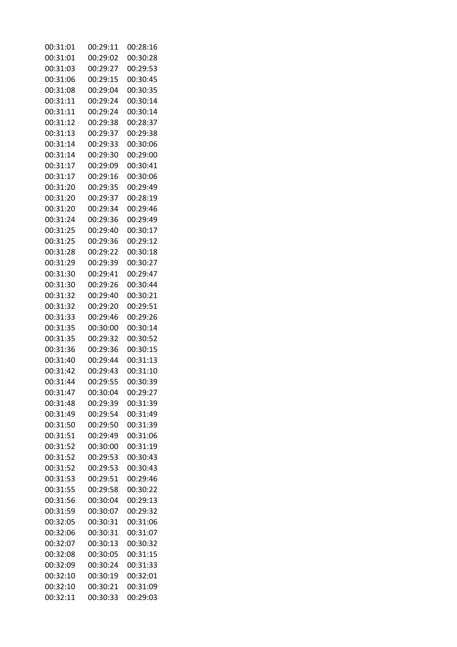| 00:31:01 | 00:29:11 | 00:28:16 |
|----------|----------|----------|
| 00:31:01 | 00:29:02 | 00:30:28 |
| 00:31:03 | 00:29:27 | 00:29:53 |
| 00:31:06 | 00:29:15 | 00:30:45 |
| 00:31:08 | 00:29:04 | 00:30:35 |
| 00:31:11 | 00:29:24 | 00:30:14 |
| 00:31:11 | 00:29:24 | 00:30:14 |
| 00:31:12 | 00:29:38 | 00:28:37 |
| 00:31:13 | 00:29:37 | 00:29:38 |
| 00:31:14 | 00:29:33 | 00:30:06 |
| 00:31:14 | 00:29:30 | 00:29:00 |
| 00:31:17 | 00:29:09 | 00:30:41 |
| 00:31:17 | 00:29:16 | 00:30:06 |
| 00:31:20 | 00:29:35 | 00:29:49 |
| 00:31:20 | 00:29:37 | 00:28:19 |
| 00:31:20 | 00:29:34 | 00:29:46 |
| 00:31:24 | 00:29:36 | 00:29:49 |
| 00:31:25 | 00:29:40 | 00:30:17 |
|          |          |          |
| 00:31:25 | 00:29:36 | 00:29:12 |
| 00:31:28 | 00:29:22 | 00:30:18 |
| 00:31:29 | 00:29:39 | 00:30:27 |
| 00:31:30 | 00:29:41 | 00:29:47 |
| 00:31:30 | 00:29:26 | 00:30:44 |
| 00:31:32 | 00:29:40 | 00:30:21 |
| 00:31:32 | 00:29:20 | 00:29:51 |
| 00:31:33 | 00:29:46 | 00:29:26 |
| 00:31:35 | 00:30:00 | 00:30:14 |
| 00:31:35 | 00:29:32 | 00:30:52 |
| 00:31:36 | 00:29:36 | 00:30:15 |
| 00:31:40 | 00:29:44 | 00:31:13 |
| 00:31:42 | 00:29:43 | 00:31:10 |
| 00:31:44 | 00:29:55 | 00:30:39 |
| 00:31:47 | 00:30:04 | 00:29:27 |
| 00:31:48 | 00:29:39 | 00:31:39 |
| 00:31:49 | 00:29:54 | 00:31:49 |
| 00:31:50 | 00:29:50 | 00:31:39 |
| 00:31:51 | 00:29:49 | 00:31:06 |
| 00:31:52 | 00:30:00 | 00:31:19 |
| 00:31:52 | 00:29:53 | 00:30:43 |
| 00:31:52 | 00:29:53 | 00:30:43 |
| 00:31:53 | 00:29:51 | 00:29:46 |
| 00:31:55 | 00:29:58 | 00:30:22 |
| 00:31:56 | 00:30:04 | 00:29:13 |
| 00:31:59 | 00:30:07 | 00:29:32 |
| 00:32:05 | 00:30:31 | 00:31:06 |
| 00:32:06 | 00:30:31 | 00:31:07 |
| 00:32:07 | 00:30:13 | 00:30:32 |
| 00:32:08 | 00:30:05 | 00:31:15 |
| 00:32:09 | 00:30:24 | 00:31:33 |
| 00:32:10 | 00:30:19 | 00:32:01 |
| 00:32:10 | 00:30:21 | 00:31:09 |
| 00:32:11 | 00:30:33 | 00:29:03 |
|          |          |          |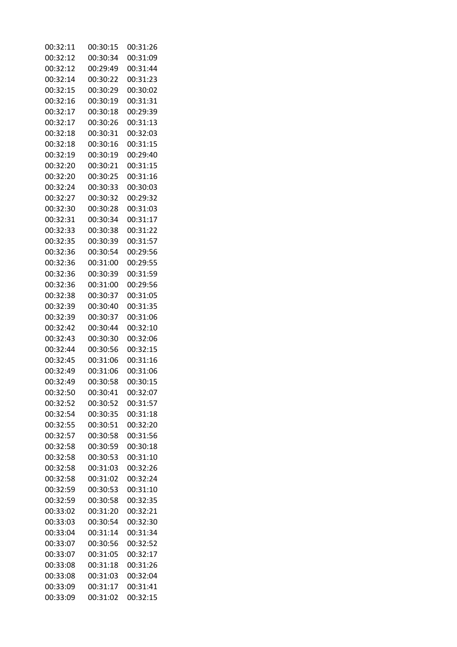| 00:32:11 | 00:30:15 | 00:31:26 |
|----------|----------|----------|
| 00:32:12 | 00:30:34 | 00:31:09 |
| 00:32:12 | 00:29:49 | 00:31:44 |
| 00:32:14 | 00:30:22 | 00:31:23 |
| 00:32:15 | 00:30:29 | 00:30:02 |
| 00:32:16 | 00:30:19 | 00:31:31 |
| 00:32:17 | 00:30:18 | 00:29:39 |
| 00:32:17 | 00:30:26 | 00:31:13 |
| 00:32:18 | 00:30:31 | 00:32:03 |
| 00:32:18 | 00:30:16 | 00:31:15 |
| 00:32:19 | 00:30:19 | 00:29:40 |
| 00:32:20 | 00:30:21 | 00:31:15 |
| 00:32:20 | 00:30:25 | 00:31:16 |
| 00:32:24 | 00:30:33 | 00:30:03 |
| 00:32:27 | 00:30:32 | 00:29:32 |
| 00:32:30 | 00:30:28 | 00:31:03 |
| 00:32:31 | 00:30:34 | 00:31:17 |
| 00:32:33 | 00:30:38 | 00:31:22 |
| 00:32:35 | 00:30:39 | 00:31:57 |
| 00:32:36 | 00:30:54 | 00:29:56 |
| 00:32:36 | 00:31:00 | 00:29:55 |
| 00:32:36 | 00:30:39 | 00:31:59 |
| 00:32:36 | 00:31:00 | 00:29:56 |
| 00:32:38 | 00:30:37 | 00:31:05 |
| 00:32:39 | 00:30:40 | 00:31:35 |
| 00:32:39 | 00:30:37 | 00:31:06 |
| 00:32:42 | 00:30:44 | 00:32:10 |
| 00:32:43 | 00:30:30 | 00:32:06 |
| 00:32:44 | 00:30:56 | 00:32:15 |
| 00:32:45 | 00:31:06 | 00:31:16 |
| 00:32:49 | 00:31:06 | 00:31:06 |
| 00:32:49 | 00:30:58 | 00:30:15 |
| 00:32:50 | 00:30:41 | 00:32:07 |
| 00:32:52 | 00:30:52 | 00:31:57 |
| 00:32:54 | 00:30:35 | 00:31:18 |
| 00:32:55 | 00:30:51 | 00:32:20 |
| 00:32:57 | 00:30:58 | 00:31:56 |
| 00:32:58 | 00:30:59 | 00:30:18 |
| 00:32:58 | 00:30:53 | 00:31:10 |
| 00:32:58 | 00:31:03 | 00:32:26 |
| 00:32:58 | 00:31:02 | 00:32:24 |
| 00:32:59 | 00:30:53 | 00:31:10 |
| 00:32:59 | 00:30:58 | 00:32:35 |
| 00:33:02 | 00:31:20 | 00:32:21 |
| 00:33:03 | 00:30:54 | 00:32:30 |
| 00:33:04 | 00:31:14 | 00:31:34 |
| 00:33:07 | 00:30:56 | 00:32:52 |
| 00:33:07 | 00:31:05 | 00:32:17 |
| 00:33:08 | 00:31:18 | 00:31:26 |
| 00:33:08 | 00:31:03 | 00:32:04 |
| 00:33:09 | 00:31:17 | 00:31:41 |
| 00:33:09 | 00:31:02 | 00:32:15 |
|          |          |          |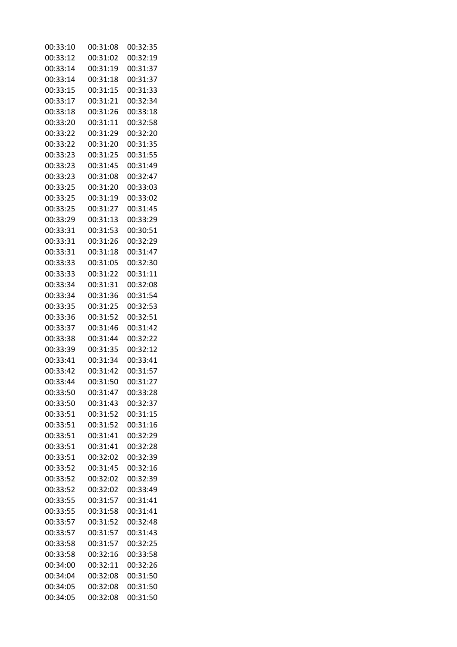| 00:33:10 | 00:31:08 | 00:32:35 |
|----------|----------|----------|
| 00:33:12 | 00:31:02 | 00:32:19 |
| 00:33:14 | 00:31:19 | 00:31:37 |
| 00:33:14 | 00:31:18 | 00:31:37 |
| 00:33:15 | 00:31:15 | 00:31:33 |
| 00:33:17 | 00:31:21 | 00:32:34 |
| 00:33:18 | 00:31:26 | 00:33:18 |
| 00:33:20 | 00:31:11 | 00:32:58 |
| 00:33:22 | 00:31:29 | 00:32:20 |
| 00:33:22 | 00:31:20 | 00:31:35 |
| 00:33:23 | 00:31:25 | 00:31:55 |
| 00:33:23 | 00:31:45 | 00:31:49 |
| 00:33:23 | 00:31:08 | 00:32:47 |
| 00:33:25 | 00:31:20 | 00:33:03 |
| 00:33:25 | 00:31:19 | 00:33:02 |
| 00:33:25 | 00:31:27 | 00:31:45 |
| 00:33:29 | 00:31:13 | 00:33:29 |
| 00:33:31 | 00:31:53 | 00:30:51 |
| 00:33:31 | 00:31:26 | 00:32:29 |
| 00:33:31 | 00:31:18 | 00:31:47 |
| 00:33:33 | 00:31:05 | 00:32:30 |
| 00:33:33 | 00:31:22 | 00:31:11 |
| 00:33:34 | 00:31:31 | 00:32:08 |
| 00:33:34 | 00:31:36 | 00:31:54 |
| 00:33:35 | 00:31:25 | 00:32:53 |
| 00:33:36 | 00:31:52 | 00:32:51 |
| 00:33:37 | 00:31:46 | 00:31:42 |
| 00:33:38 | 00:31:44 | 00:32:22 |
| 00:33:39 | 00:31:35 | 00:32:12 |
| 00:33:41 | 00:31:34 | 00:33:41 |
| 00:33:42 | 00:31:42 | 00:31:57 |
| 00:33:44 | 00:31:50 | 00:31:27 |
| 00:33:50 | 00:31:47 | 00:33:28 |
| 00:33:50 | 00:31:43 | 00:32:37 |
| 00:33:51 | 00:31:52 | 00:31:15 |
| 00:33:51 | 00:31:52 | 00:31:16 |
| 00:33:51 | 00:31:41 | 00:32:29 |
| 00:33:51 | 00:31:41 | 00:32:28 |
| 00:33:51 | 00:32:02 | 00:32:39 |
| 00:33:52 | 00:31:45 | 00:32:16 |
| 00:33:52 | 00:32:02 | 00:32:39 |
| 00:33:52 | 00:32:02 | 00:33:49 |
| 00:33:55 | 00:31:57 | 00:31:41 |
| 00:33:55 | 00:31:58 | 00:31:41 |
| 00:33:57 | 00:31:52 | 00:32:48 |
| 00:33:57 | 00:31:57 | 00:31:43 |
| 00:33:58 | 00:31:57 | 00:32:25 |
| 00:33:58 | 00:32:16 | 00:33:58 |
| 00:34:00 | 00:32:11 | 00:32:26 |
| 00:34:04 | 00:32:08 | 00:31:50 |
| 00:34:05 | 00:32:08 | 00:31:50 |
| 00:34:05 | 00:32:08 | 00:31:50 |
|          |          |          |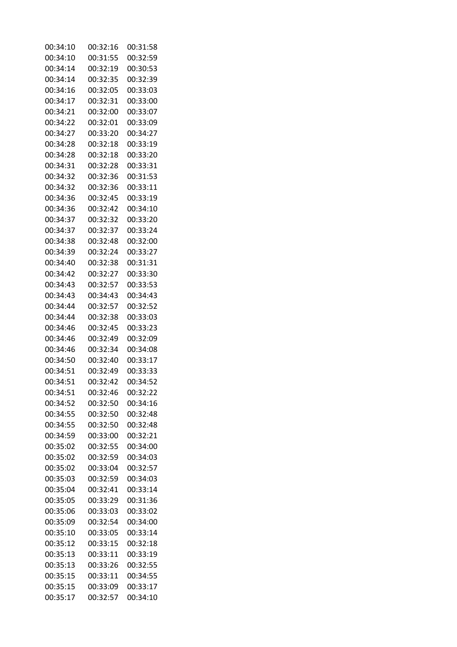| 00:34:10 | 00:32:16 | 00:31:58 |
|----------|----------|----------|
| 00:34:10 | 00:31:55 | 00:32:59 |
| 00:34:14 | 00:32:19 | 00:30:53 |
| 00:34:14 | 00:32:35 | 00:32:39 |
| 00:34:16 | 00:32:05 | 00:33:03 |
| 00:34:17 | 00:32:31 | 00:33:00 |
| 00:34:21 | 00:32:00 | 00:33:07 |
| 00:34:22 | 00:32:01 | 00:33:09 |
| 00:34:27 | 00:33:20 | 00:34:27 |
| 00:34:28 | 00:32:18 | 00:33:19 |
| 00:34:28 | 00:32:18 | 00:33:20 |
| 00:34:31 | 00:32:28 | 00:33:31 |
| 00:34:32 | 00:32:36 | 00:31:53 |
| 00:34:32 | 00:32:36 | 00:33:11 |
| 00:34:36 | 00:32:45 | 00:33:19 |
| 00:34:36 | 00:32:42 | 00:34:10 |
| 00:34:37 | 00:32:32 | 00:33:20 |
| 00:34:37 | 00:32:37 | 00:33:24 |
| 00:34:38 | 00:32:48 | 00:32:00 |
| 00:34:39 | 00:32:24 | 00:33:27 |
| 00:34:40 | 00:32:38 | 00:31:31 |
| 00:34:42 | 00:32:27 | 00:33:30 |
| 00:34:43 | 00:32:57 | 00:33:53 |
| 00:34:43 | 00:34:43 | 00:34:43 |
| 00:34:44 | 00:32:57 | 00:32:52 |
| 00:34:44 | 00:32:38 | 00:33:03 |
| 00:34:46 | 00:32:45 | 00:33:23 |
| 00:34:46 | 00:32:49 | 00:32:09 |
| 00:34:46 | 00:32:34 | 00:34:08 |
| 00:34:50 | 00:32:40 | 00:33:17 |
| 00:34:51 | 00:32:49 | 00:33:33 |
| 00:34:51 | 00:32:42 | 00:34:52 |
| 00:34:51 | 00:32:46 | 00:32:22 |
| 00:34:52 | 00:32:50 | 00:34:16 |
| 00:34:55 | 00:32:50 | 00:32:48 |
| 00:34:55 | 00:32:50 | 00:32:48 |
| 00:34:59 | 00:33:00 | 00:32:21 |
| 00:35:02 | 00:32:55 | 00:34:00 |
| 00:35:02 | 00:32:59 | 00:34:03 |
| 00:35:02 | 00:33:04 | 00:32:57 |
| 00:35:03 | 00:32:59 | 00:34:03 |
| 00:35:04 | 00:32:41 | 00:33:14 |
| 00:35:05 | 00:33:29 | 00:31:36 |
| 00:35:06 | 00:33:03 | 00:33:02 |
| 00:35:09 | 00:32:54 | 00:34:00 |
| 00:35:10 | 00:33:05 | 00:33:14 |
| 00:35:12 | 00:33:15 | 00:32:18 |
| 00:35:13 | 00:33:11 | 00:33:19 |
| 00:35:13 | 00:33:26 | 00:32:55 |
| 00:35:15 | 00:33:11 | 00:34:55 |
| 00:35:15 | 00:33:09 | 00:33:17 |
| 00:35:17 | 00:32:57 | 00:34:10 |
|          |          |          |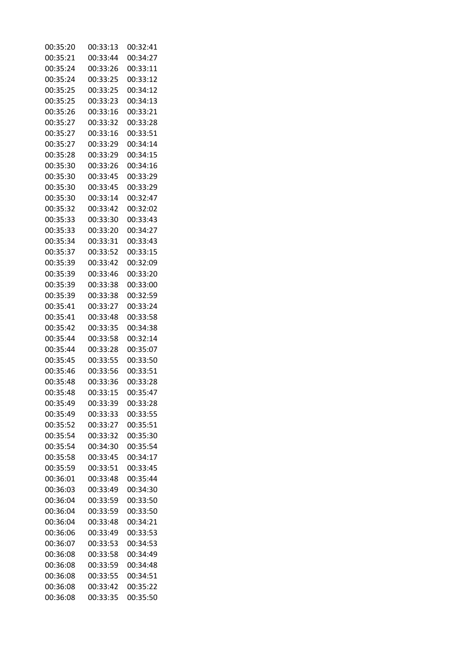| 00:35:20 | 00:33:13 | 00:32:41 |
|----------|----------|----------|
| 00:35:21 | 00:33:44 | 00:34:27 |
| 00:35:24 | 00:33:26 | 00:33:11 |
| 00:35:24 | 00:33:25 | 00:33:12 |
| 00:35:25 | 00:33:25 | 00:34:12 |
| 00:35:25 | 00:33:23 | 00:34:13 |
| 00:35:26 | 00:33:16 | 00:33:21 |
| 00:35:27 | 00:33:32 | 00:33:28 |
| 00:35:27 | 00:33:16 | 00:33:51 |
| 00:35:27 | 00:33:29 | 00:34:14 |
| 00:35:28 | 00:33:29 | 00:34:15 |
| 00:35:30 | 00:33:26 | 00:34:16 |
| 00:35:30 | 00:33:45 | 00:33:29 |
| 00:35:30 | 00:33:45 | 00:33:29 |
| 00:35:30 | 00:33:14 | 00:32:47 |
| 00:35:32 | 00:33:42 | 00:32:02 |
| 00:35:33 | 00:33:30 | 00:33:43 |
| 00:35:33 | 00:33:20 | 00:34:27 |
| 00:35:34 | 00:33:31 | 00:33:43 |
| 00:35:37 | 00:33:52 | 00:33:15 |
| 00:35:39 | 00:33:42 | 00:32:09 |
| 00:35:39 | 00:33:46 | 00:33:20 |
| 00:35:39 | 00:33:38 | 00:33:00 |
| 00:35:39 | 00:33:38 | 00:32:59 |
| 00:35:41 | 00:33:27 | 00:33:24 |
| 00:35:41 | 00:33:48 | 00:33:58 |
| 00:35:42 | 00:33:35 | 00:34:38 |
| 00:35:44 | 00:33:58 | 00:32:14 |
| 00:35:44 | 00:33:28 | 00:35:07 |
| 00:35:45 | 00:33:55 | 00:33:50 |
| 00:35:46 | 00:33:56 | 00:33:51 |
| 00:35:48 | 00:33:36 | 00:33:28 |
| 00:35:48 | 00:33:15 | 00:35:47 |
| 00:35:49 | 00:33:39 | 00:33:28 |
| 00:35:49 | 00:33:33 | 00:33:55 |
| 00:35:52 | 00:33:27 | 00:35:51 |
| 00:35:54 | 00:33:32 | 00:35:30 |
| 00:35:54 | 00:34:30 | 00:35:54 |
| 00:35:58 | 00:33:45 | 00:34:17 |
| 00:35:59 | 00:33:51 | 00:33:45 |
| 00:36:01 | 00:33:48 | 00:35:44 |
| 00:36:03 | 00:33:49 | 00:34:30 |
| 00:36:04 | 00:33:59 | 00:33:50 |
| 00:36:04 | 00:33:59 | 00:33:50 |
| 00:36:04 | 00:33:48 | 00:34:21 |
| 00:36:06 | 00:33:49 | 00:33:53 |
| 00:36:07 | 00:33:53 | 00:34:53 |
| 00:36:08 | 00:33:58 | 00:34:49 |
| 00:36:08 | 00:33:59 | 00:34:48 |
| 00:36:08 | 00:33:55 | 00:34:51 |
| 00:36:08 | 00:33:42 | 00:35:22 |
| 00:36:08 | 00:33:35 | 00:35:50 |
|          |          |          |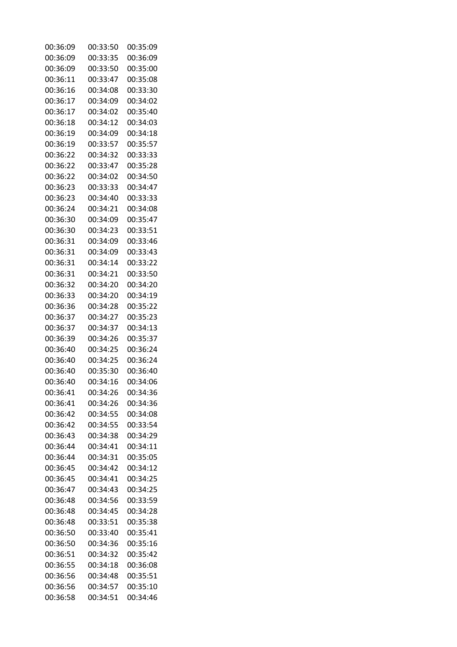| 00:36:09 | 00:33:50 | 00:35:09 |
|----------|----------|----------|
| 00:36:09 | 00:33:35 | 00:36:09 |
| 00:36:09 | 00:33:50 | 00:35:00 |
| 00:36:11 | 00:33:47 | 00:35:08 |
| 00:36:16 | 00:34:08 | 00:33:30 |
| 00:36:17 | 00:34:09 | 00:34:02 |
| 00:36:17 | 00:34:02 | 00:35:40 |
| 00:36:18 | 00:34:12 | 00:34:03 |
| 00:36:19 | 00:34:09 | 00:34:18 |
| 00:36:19 | 00:33:57 | 00:35:57 |
| 00:36:22 | 00:34:32 | 00:33:33 |
| 00:36:22 | 00:33:47 | 00:35:28 |
| 00:36:22 | 00:34:02 | 00:34:50 |
| 00:36:23 | 00:33:33 | 00:34:47 |
| 00:36:23 | 00:34:40 | 00:33:33 |
| 00:36:24 | 00:34:21 | 00:34:08 |
| 00:36:30 | 00:34:09 | 00:35:47 |
| 00:36:30 | 00:34:23 | 00:33:51 |
| 00:36:31 | 00:34:09 | 00:33:46 |
| 00:36:31 | 00:34:09 | 00:33:43 |
| 00:36:31 | 00:34:14 | 00:33:22 |
| 00:36:31 | 00:34:21 | 00:33:50 |
| 00:36:32 | 00:34:20 | 00:34:20 |
| 00:36:33 | 00:34:20 | 00:34:19 |
| 00:36:36 | 00:34:28 | 00:35:22 |
| 00:36:37 | 00:34:27 | 00:35:23 |
| 00:36:37 | 00:34:37 | 00:34:13 |
| 00:36:39 | 00:34:26 | 00:35:37 |
| 00:36:40 | 00:34:25 | 00:36:24 |
| 00:36:40 | 00:34:25 | 00:36:24 |
| 00:36:40 | 00:35:30 | 00:36:40 |
| 00:36:40 | 00:34:16 | 00:34:06 |
| 00:36:41 | 00:34:26 | 00:34:36 |
| 00:36:41 | 00:34:26 | 00:34:36 |
| 00:36:42 | 00:34:55 | 00:34:08 |
| 00:36:42 | 00:34:55 | 00:33:54 |
| 00:36:43 | 00:34:38 | 00:34:29 |
| 00:36:44 | 00:34:41 | 00:34:11 |
| 00:36:44 | 00:34:31 | 00:35:05 |
| 00:36:45 | 00:34:42 | 00:34:12 |
| 00:36:45 | 00:34:41 | 00:34:25 |
| 00:36:47 | 00:34:43 | 00:34:25 |
| 00:36:48 | 00:34:56 | 00:33:59 |
| 00:36:48 | 00:34:45 | 00:34:28 |
| 00:36:48 | 00:33:51 | 00:35:38 |
| 00:36:50 | 00:33:40 | 00:35:41 |
| 00:36:50 | 00:34:36 | 00:35:16 |
| 00:36:51 | 00:34:32 | 00:35:42 |
| 00:36:55 | 00:34:18 | 00:36:08 |
| 00:36:56 | 00:34:48 | 00:35:51 |
| 00:36:56 | 00:34:57 | 00:35:10 |
| 00:36:58 | 00:34:51 | 00:34:46 |
|          |          |          |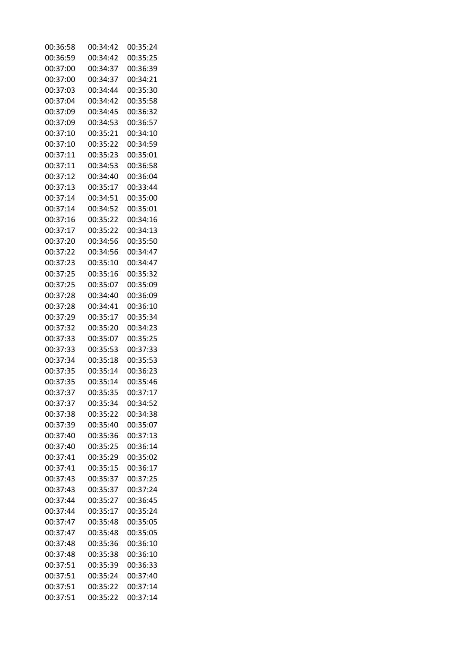| 00:36:58 | 00:34:42 | 00:35:24 |
|----------|----------|----------|
| 00:36:59 | 00:34:42 | 00:35:25 |
| 00:37:00 | 00:34:37 | 00:36:39 |
| 00:37:00 | 00:34:37 | 00:34:21 |
| 00:37:03 | 00:34:44 | 00:35:30 |
| 00:37:04 | 00:34:42 | 00:35:58 |
| 00:37:09 | 00:34:45 | 00:36:32 |
| 00:37:09 | 00:34:53 | 00:36:57 |
| 00:37:10 | 00:35:21 | 00:34:10 |
| 00:37:10 | 00:35:22 | 00:34:59 |
| 00:37:11 | 00:35:23 | 00:35:01 |
| 00:37:11 | 00:34:53 | 00:36:58 |
| 00:37:12 | 00:34:40 | 00:36:04 |
| 00:37:13 | 00:35:17 | 00:33:44 |
| 00:37:14 | 00:34:51 | 00:35:00 |
| 00:37:14 | 00:34:52 | 00:35:01 |
|          |          |          |
| 00:37:16 | 00:35:22 | 00:34:16 |
| 00:37:17 | 00:35:22 | 00:34:13 |
| 00:37:20 | 00:34:56 | 00:35:50 |
| 00:37:22 | 00:34:56 | 00:34:47 |
| 00:37:23 | 00:35:10 | 00:34:47 |
| 00:37:25 | 00:35:16 | 00:35:32 |
| 00:37:25 | 00:35:07 | 00:35:09 |
| 00:37:28 | 00:34:40 | 00:36:09 |
| 00:37:28 | 00:34:41 | 00:36:10 |
| 00:37:29 | 00:35:17 | 00:35:34 |
| 00:37:32 | 00:35:20 | 00:34:23 |
| 00:37:33 | 00:35:07 | 00:35:25 |
| 00:37:33 | 00:35:53 | 00:37:33 |
| 00:37:34 | 00:35:18 | 00:35:53 |
| 00:37:35 | 00:35:14 | 00:36:23 |
| 00:37:35 | 00:35:14 | 00:35:46 |
| 00:37:37 | 00:35:35 | 00:37:17 |
| 00:37:37 | 00:35:34 | 00:34:52 |
| 00:37:38 | 00:35:22 | 00:34:38 |
| 00:37:39 | 00:35:40 | 00:35:07 |
| 00:37:40 | 00:35:36 | 00:37:13 |
| 00:37:40 | 00:35:25 | 00:36:14 |
| 00:37:41 | 00:35:29 | 00:35:02 |
| 00:37:41 | 00:35:15 | 00:36:17 |
| 00:37:43 | 00:35:37 | 00:37:25 |
| 00:37:43 | 00:35:37 | 00:37:24 |
| 00:37:44 | 00:35:27 | 00:36:45 |
| 00:37:44 | 00:35:17 | 00:35:24 |
| 00:37:47 | 00:35:48 | 00:35:05 |
| 00:37:47 | 00:35:48 | 00:35:05 |
| 00:37:48 | 00:35:36 | 00:36:10 |
| 00:37:48 | 00:35:38 | 00:36:10 |
| 00:37:51 | 00:35:39 | 00:36:33 |
| 00:37:51 | 00:35:24 | 00:37:40 |
| 00:37:51 | 00:35:22 | 00:37:14 |
|          | 00:35:22 | 00:37:14 |
| 00:37:51 |          |          |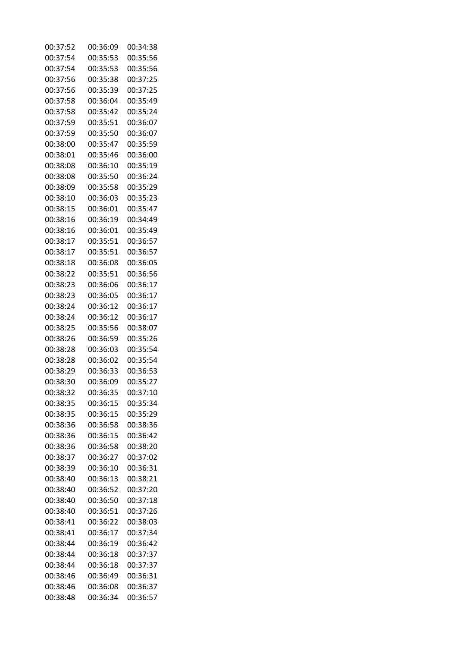| 00:37:52 | 00:36:09             | 00:34:38 |
|----------|----------------------|----------|
| 00:37:54 | 00:35:53             | 00:35:56 |
| 00:37:54 | 00:35:53             | 00:35:56 |
| 00:37:56 | 00:35:38             | 00:37:25 |
| 00:37:56 | 00:35:39             | 00:37:25 |
| 00:37:58 | 00:36:04             | 00:35:49 |
| 00:37:58 | 00:35:42             | 00:35:24 |
| 00:37:59 | 00:35:51             | 00:36:07 |
| 00:37:59 | 00:35:50             | 00:36:07 |
| 00:38:00 | 00:35:47             | 00:35:59 |
| 00:38:01 | 00:35:46             | 00:36:00 |
| 00:38:08 | 00:36:10             | 00:35:19 |
| 00:38:08 | 00:35:50             | 00:36:24 |
| 00:38:09 | 00:35:58             | 00:35:29 |
| 00:38:10 | 00:36:03             | 00:35:23 |
| 00:38:15 | 00:36:01             | 00:35:47 |
| 00:38:16 | 00:36:19             | 00:34:49 |
| 00:38:16 | 00:36:01             | 00:35:49 |
| 00:38:17 | 00:35:51             | 00:36:57 |
| 00:38:17 | 00:35:51             | 00:36:57 |
| 00:38:18 | 00:36:08             | 00:36:05 |
| 00:38:22 | 00:35:51             | 00:36:56 |
| 00:38:23 | 00:36:06             | 00:36:17 |
| 00:38:23 | 00:36:05             | 00:36:17 |
| 00:38:24 | 00:36:12             | 00:36:17 |
| 00:38:24 | 00:36:12             | 00:36:17 |
| 00:38:25 | 00:35:56             | 00:38:07 |
| 00:38:26 | 00:36:59             | 00:35:26 |
| 00:38:28 | 00:36:03             | 00:35:54 |
| 00:38:28 | 00:36:02             | 00:35:54 |
| 00:38:29 | 00:36:33             | 00:36:53 |
| 00:38:30 | 00:36:09             | 00:35:27 |
| 00:38:32 | 00:36:35             | 00:37:10 |
| 00:38:35 | 00:36:15             | 00:35:34 |
| 00:38:35 |                      | 00:35:29 |
| 00:38:36 | 00:36:15<br>00:36:58 | 00:38:36 |
|          |                      | 00:36:42 |
| 00:38:36 | 00:36:15             |          |
| 00:38:36 | 00:36:58             | 00:38:20 |
| 00:38:37 | 00:36:27             | 00:37:02 |
| 00:38:39 | 00:36:10             | 00:36:31 |
| 00:38:40 | 00:36:13             | 00:38:21 |
| 00:38:40 | 00:36:52             | 00:37:20 |
| 00:38:40 | 00:36:50             | 00:37:18 |
| 00:38:40 | 00:36:51             | 00:37:26 |
| 00:38:41 | 00:36:22             | 00:38:03 |
| 00:38:41 | 00:36:17             | 00:37:34 |
| 00:38:44 | 00:36:19             | 00:36:42 |
| 00:38:44 | 00:36:18             | 00:37:37 |
| 00:38:44 | 00:36:18             | 00:37:37 |
| 00:38:46 | 00:36:49             | 00:36:31 |
| 00:38:46 | 00:36:08             | 00:36:37 |
| 00:38:48 | 00:36:34             | 00:36:57 |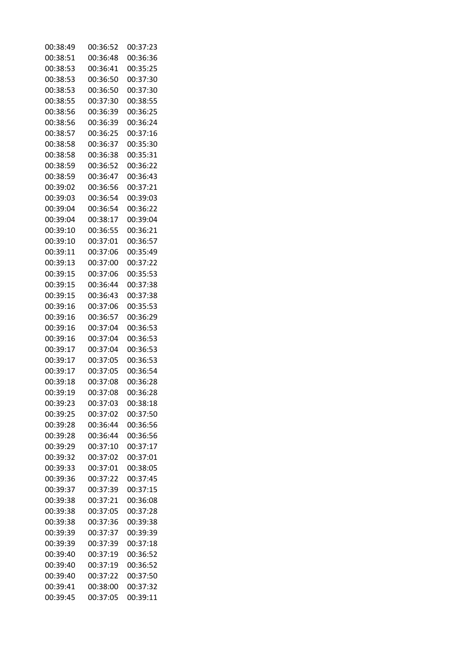| 00:38:49 | 00:36:52 | 00:37:23 |
|----------|----------|----------|
| 00:38:51 | 00:36:48 | 00:36:36 |
| 00:38:53 | 00:36:41 | 00:35:25 |
| 00:38:53 | 00:36:50 | 00:37:30 |
| 00:38:53 | 00:36:50 | 00:37:30 |
| 00:38:55 | 00:37:30 | 00:38:55 |
| 00:38:56 | 00:36:39 | 00:36:25 |
| 00:38:56 | 00:36:39 | 00:36:24 |
| 00:38:57 | 00:36:25 | 00:37:16 |
| 00:38:58 | 00:36:37 | 00:35:30 |
| 00:38:58 | 00:36:38 | 00:35:31 |
| 00:38:59 | 00:36:52 | 00:36:22 |
| 00:38:59 | 00:36:47 | 00:36:43 |
|          | 00:36:56 | 00:37:21 |
| 00:39:02 |          |          |
| 00:39:03 | 00:36:54 | 00:39:03 |
| 00:39:04 | 00:36:54 | 00:36:22 |
| 00:39:04 | 00:38:17 | 00:39:04 |
| 00:39:10 | 00:36:55 | 00:36:21 |
| 00:39:10 | 00:37:01 | 00:36:57 |
| 00:39:11 | 00:37:06 | 00:35:49 |
| 00:39:13 | 00:37:00 | 00:37:22 |
| 00:39:15 | 00:37:06 | 00:35:53 |
| 00:39:15 | 00:36:44 | 00:37:38 |
| 00:39:15 | 00:36:43 | 00:37:38 |
| 00:39:16 | 00:37:06 | 00:35:53 |
| 00:39:16 | 00:36:57 | 00:36:29 |
| 00:39:16 | 00:37:04 | 00:36:53 |
| 00:39:16 | 00:37:04 | 00:36:53 |
| 00:39:17 | 00:37:04 | 00:36:53 |
| 00:39:17 | 00:37:05 | 00:36:53 |
| 00:39:17 | 00:37:05 | 00:36:54 |
| 00:39:18 | 00:37:08 | 00:36:28 |
| 00:39:19 | 00:37:08 | 00:36:28 |
| 00:39:23 | 00:37:03 | 00:38:18 |
| 00:39:25 | 00:37:02 | 00:37:50 |
| 00:39:28 | 00:36:44 | 00:36:56 |
| 00:39:28 | 00:36:44 | 00:36:56 |
| 00:39:29 | 00:37:10 | 00:37:17 |
| 00:39:32 | 00:37:02 | 00:37:01 |
| 00:39:33 | 00:37:01 | 00:38:05 |
| 00:39:36 | 00:37:22 | 00:37:45 |
|          |          |          |
| 00:39:37 | 00:37:39 | 00:37:15 |
| 00:39:38 | 00:37:21 | 00:36:08 |
| 00:39:38 | 00:37:05 | 00:37:28 |
| 00:39:38 | 00:37:36 | 00:39:38 |
| 00:39:39 | 00:37:37 | 00:39:39 |
| 00:39:39 | 00:37:39 | 00:37:18 |
| 00:39:40 | 00:37:19 | 00:36:52 |
| 00:39:40 | 00:37:19 | 00:36:52 |
| 00:39:40 | 00:37:22 | 00:37:50 |
| 00:39:41 | 00:38:00 | 00:37:32 |
| 00:39:45 | 00:37:05 | 00:39:11 |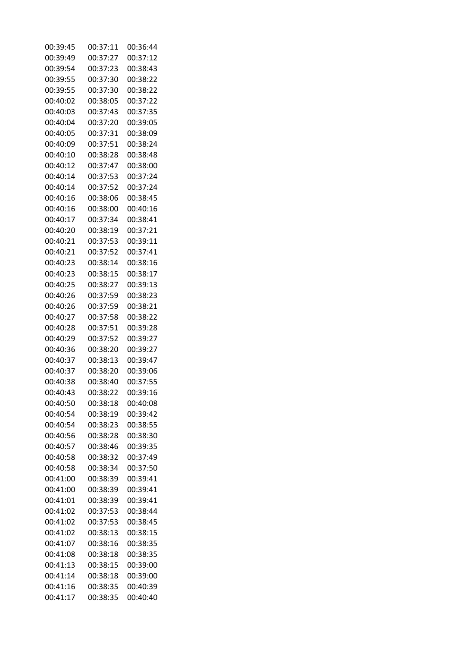| 00:39:45 | 00:37:11 | 00:36:44 |
|----------|----------|----------|
| 00:39:49 | 00:37:27 | 00:37:12 |
| 00:39:54 | 00:37:23 | 00:38:43 |
| 00:39:55 | 00:37:30 | 00:38:22 |
| 00:39:55 | 00:37:30 | 00:38:22 |
| 00:40:02 | 00:38:05 | 00:37:22 |
| 00:40:03 | 00:37:43 | 00:37:35 |
| 00:40:04 | 00:37:20 | 00:39:05 |
| 00:40:05 | 00:37:31 | 00:38:09 |
| 00:40:09 | 00:37:51 | 00:38:24 |
| 00:40:10 | 00:38:28 | 00:38:48 |
| 00:40:12 | 00:37:47 | 00:38:00 |
| 00:40:14 | 00:37:53 | 00:37:24 |
| 00:40:14 | 00:37:52 | 00:37:24 |
| 00:40:16 | 00:38:06 | 00:38:45 |
| 00:40:16 | 00:38:00 | 00:40:16 |
| 00:40:17 | 00:37:34 | 00:38:41 |
| 00:40:20 | 00:38:19 | 00:37:21 |
| 00:40:21 | 00:37:53 | 00:39:11 |
| 00:40:21 | 00:37:52 | 00:37:41 |
| 00:40:23 | 00:38:14 | 00:38:16 |
| 00:40:23 | 00:38:15 | 00:38:17 |
| 00:40:25 | 00:38:27 | 00:39:13 |
| 00:40:26 | 00:37:59 | 00:38:23 |
| 00:40:26 | 00:37:59 | 00:38:21 |
| 00:40:27 | 00:37:58 | 00:38:22 |
| 00:40:28 | 00:37:51 | 00:39:28 |
| 00:40:29 | 00:37:52 | 00:39:27 |
| 00:40:36 | 00:38:20 | 00:39:27 |
| 00:40:37 | 00:38:13 | 00:39:47 |
| 00:40:37 | 00:38:20 | 00:39:06 |
| 00:40:38 | 00:38:40 | 00:37:55 |
| 00:40:43 | 00:38:22 | 00:39:16 |
| 00:40:50 | 00:38:18 | 00:40:08 |
| 00:40:54 | 00:38:19 | 00:39:42 |
| 00:40:54 | 00:38:23 | 00:38:55 |
| 00:40:56 | 00:38:28 | 00:38:30 |
| 00:40:57 | 00:38:46 | 00:39:35 |
| 00:40:58 | 00:38:32 | 00:37:49 |
| 00:40:58 | 00:38:34 | 00:37:50 |
| 00:41:00 | 00:38:39 | 00:39:41 |
| 00:41:00 | 00:38:39 | 00:39:41 |
| 00:41:01 | 00:38:39 | 00:39:41 |
| 00:41:02 | 00:37:53 | 00:38:44 |
| 00:41:02 | 00:37:53 | 00:38:45 |
| 00:41:02 | 00:38:13 | 00:38:15 |
| 00:41:07 | 00:38:16 | 00:38:35 |
| 00:41:08 | 00:38:18 | 00:38:35 |
| 00:41:13 | 00:38:15 | 00:39:00 |
| 00:41:14 | 00:38:18 | 00:39:00 |
| 00:41:16 | 00:38:35 | 00:40:39 |
| 00:41:17 | 00:38:35 | 00:40:40 |
|          |          |          |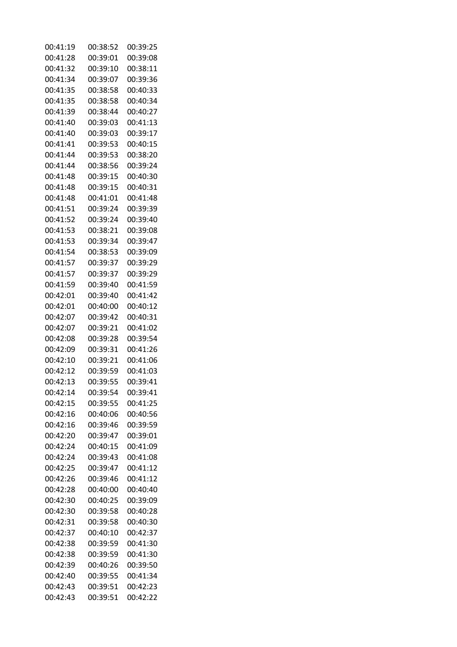| 00:41:19 | 00:38:52 | 00:39:25 |
|----------|----------|----------|
| 00:41:28 | 00:39:01 | 00:39:08 |
| 00:41:32 | 00:39:10 | 00:38:11 |
| 00:41:34 | 00:39:07 | 00:39:36 |
| 00:41:35 | 00:38:58 | 00:40:33 |
| 00:41:35 | 00:38:58 | 00:40:34 |
| 00:41:39 | 00:38:44 | 00:40:27 |
| 00:41:40 | 00:39:03 | 00:41:13 |
| 00:41:40 | 00:39:03 | 00:39:17 |
| 00:41:41 | 00:39:53 | 00:40:15 |
| 00:41:44 | 00:39:53 | 00:38:20 |
| 00:41:44 | 00:38:56 | 00:39:24 |
| 00:41:48 | 00:39:15 | 00:40:30 |
| 00:41:48 | 00:39:15 | 00:40:31 |
| 00:41:48 |          |          |
| 00:41:51 | 00:41:01 | 00:41:48 |
|          | 00:39:24 | 00:39:39 |
| 00:41:52 | 00:39:24 | 00:39:40 |
| 00:41:53 | 00:38:21 | 00:39:08 |
| 00:41:53 | 00:39:34 | 00:39:47 |
| 00:41:54 | 00:38:53 | 00:39:09 |
| 00:41:57 | 00:39:37 | 00:39:29 |
| 00:41:57 | 00:39:37 | 00:39:29 |
| 00:41:59 | 00:39:40 | 00:41:59 |
| 00:42:01 | 00:39:40 | 00:41:42 |
| 00:42:01 | 00:40:00 | 00:40:12 |
| 00:42:07 | 00:39:42 | 00:40:31 |
| 00:42:07 | 00:39:21 | 00:41:02 |
| 00:42:08 | 00:39:28 | 00:39:54 |
| 00:42:09 | 00:39:31 | 00:41:26 |
| 00:42:10 | 00:39:21 | 00:41:06 |
| 00:42:12 | 00:39:59 | 00:41:03 |
| 00:42:13 | 00:39:55 | 00:39:41 |
| 00:42:14 | 00:39:54 | 00:39:41 |
| 00:42:15 | 00:39:55 | 00:41:25 |
| 00:42:16 | 00:40:06 | 00:40:56 |
| 00:42:16 | 00:39:46 | 00:39:59 |
| 00:42:20 | 00:39:47 | 00:39:01 |
| 00:42:24 | 00:40:15 | 00:41:09 |
| 00:42:24 | 00:39:43 | 00:41:08 |
| 00:42:25 | 00:39:47 | 00:41:12 |
| 00:42:26 | 00:39:46 | 00:41:12 |
| 00:42:28 | 00:40:00 | 00:40:40 |
| 00:42:30 | 00:40:25 | 00:39:09 |
| 00:42:30 | 00:39:58 | 00:40:28 |
| 00:42:31 | 00:39:58 | 00:40:30 |
| 00:42:37 | 00:40:10 | 00:42:37 |
| 00:42:38 | 00:39:59 | 00:41:30 |
| 00:42:38 | 00:39:59 | 00:41:30 |
| 00:42:39 | 00:40:26 | 00:39:50 |
| 00:42:40 | 00:39:55 | 00:41:34 |
| 00:42:43 | 00:39:51 | 00:42:23 |
| 00:42:43 | 00:39:51 | 00:42:22 |
|          |          |          |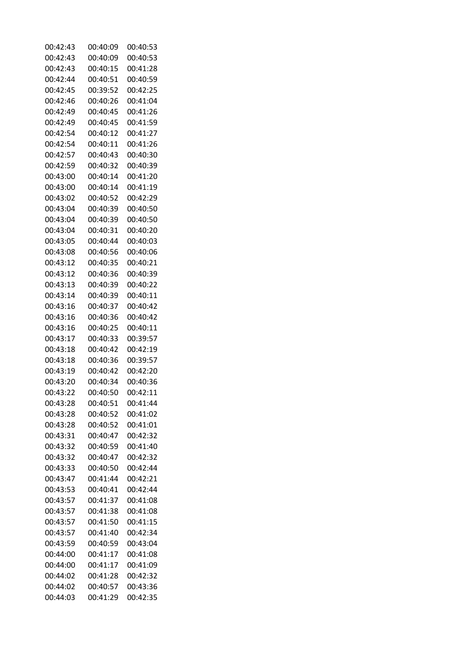| 00:42:43 | 00:40:09 | 00:40:53 |
|----------|----------|----------|
| 00:42:43 | 00:40:09 | 00:40:53 |
| 00:42:43 | 00:40:15 | 00:41:28 |
| 00:42:44 | 00:40:51 | 00:40:59 |
| 00:42:45 | 00:39:52 | 00:42:25 |
| 00:42:46 | 00:40:26 | 00:41:04 |
| 00:42:49 | 00:40:45 | 00:41:26 |
| 00:42:49 | 00:40:45 | 00:41:59 |
| 00:42:54 | 00:40:12 | 00:41:27 |
| 00:42:54 | 00:40:11 | 00:41:26 |
| 00:42:57 | 00:40:43 | 00:40:30 |
| 00:42:59 | 00:40:32 | 00:40:39 |
| 00:43:00 | 00:40:14 | 00:41:20 |
| 00:43:00 | 00:40:14 | 00:41:19 |
|          |          | 00:42:29 |
| 00:43:02 | 00:40:52 |          |
| 00:43:04 | 00:40:39 | 00:40:50 |
| 00:43:04 | 00:40:39 | 00:40:50 |
| 00:43:04 | 00:40:31 | 00:40:20 |
| 00:43:05 | 00:40:44 | 00:40:03 |
| 00:43:08 | 00:40:56 | 00:40:06 |
| 00:43:12 | 00:40:35 | 00:40:21 |
| 00:43:12 | 00:40:36 | 00:40:39 |
| 00:43:13 | 00:40:39 | 00:40:22 |
| 00:43:14 | 00:40:39 | 00:40:11 |
| 00:43:16 | 00:40:37 | 00:40:42 |
| 00:43:16 | 00:40:36 | 00:40:42 |
| 00:43:16 | 00:40:25 | 00:40:11 |
| 00:43:17 | 00:40:33 | 00:39:57 |
| 00:43:18 | 00:40:42 | 00:42:19 |
| 00:43:18 | 00:40:36 | 00:39:57 |
| 00:43:19 | 00:40:42 | 00:42:20 |
| 00:43:20 | 00:40:34 | 00:40:36 |
| 00:43:22 | 00:40:50 | 00:42:11 |
| 00:43:28 | 00:40:51 | 00:41:44 |
| 00:43:28 | 00:40:52 | 00:41:02 |
| 00:43:28 | 00:40:52 | 00:41:01 |
| 00:43:31 | 00:40:47 | 00:42:32 |
| 00:43:32 | 00:40:59 | 00:41:40 |
| 00:43:32 | 00:40:47 | 00:42:32 |
| 00:43:33 | 00:40:50 | 00:42:44 |
| 00:43:47 | 00:41:44 | 00:42:21 |
| 00:43:53 | 00:40:41 | 00:42:44 |
| 00:43:57 | 00:41:37 | 00:41:08 |
| 00:43:57 | 00:41:38 | 00:41:08 |
| 00:43:57 | 00:41:50 | 00:41:15 |
| 00:43:57 | 00:41:40 | 00:42:34 |
| 00:43:59 | 00:40:59 | 00:43:04 |
| 00:44:00 | 00:41:17 | 00:41:08 |
| 00:44:00 | 00:41:17 | 00:41:09 |
| 00:44:02 | 00:41:28 | 00:42:32 |
| 00:44:02 | 00:40:57 | 00:43:36 |
| 00:44:03 | 00:41:29 | 00:42:35 |
|          |          |          |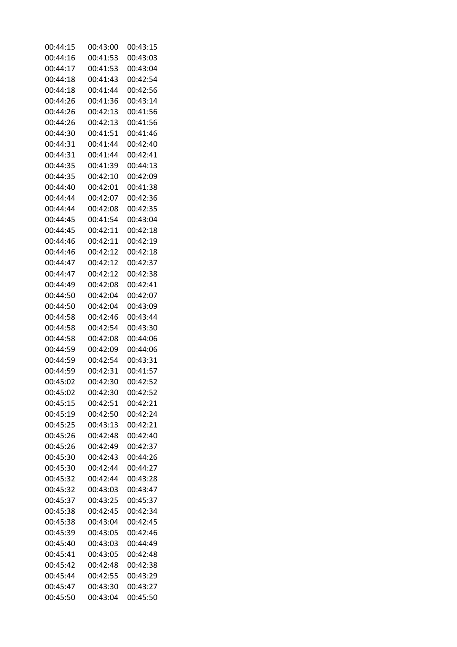| 00:44:15 | 00:43:00 | 00:43:15 |
|----------|----------|----------|
| 00:44:16 | 00:41:53 | 00:43:03 |
| 00:44:17 | 00:41:53 | 00:43:04 |
| 00:44:18 | 00:41:43 | 00:42:54 |
| 00:44:18 | 00:41:44 | 00:42:56 |
| 00:44:26 | 00:41:36 | 00:43:14 |
| 00:44:26 | 00:42:13 | 00:41:56 |
| 00:44:26 | 00:42:13 | 00:41:56 |
| 00:44:30 | 00:41:51 | 00:41:46 |
| 00:44:31 | 00:41:44 | 00:42:40 |
| 00:44:31 | 00:41:44 | 00:42:41 |
| 00:44:35 | 00:41:39 | 00:44:13 |
| 00:44:35 | 00:42:10 | 00:42:09 |
| 00:44:40 | 00:42:01 | 00:41:38 |
| 00:44:44 | 00:42:07 | 00:42:36 |
| 00:44:44 | 00:42:08 | 00:42:35 |
| 00:44:45 | 00:41:54 | 00:43:04 |
| 00:44:45 | 00:42:11 | 00:42:18 |
| 00:44:46 | 00:42:11 | 00:42:19 |
| 00:44:46 | 00:42:12 | 00:42:18 |
| 00:44:47 | 00:42:12 | 00:42:37 |
| 00:44:47 | 00:42:12 | 00:42:38 |
| 00:44:49 | 00:42:08 | 00:42:41 |
| 00:44:50 | 00:42:04 | 00:42:07 |
| 00:44:50 | 00:42:04 | 00:43:09 |
| 00:44:58 | 00:42:46 | 00:43:44 |
| 00:44:58 | 00:42:54 | 00:43:30 |
| 00:44:58 | 00:42:08 | 00:44:06 |
| 00:44:59 | 00:42:09 | 00:44:06 |
| 00:44:59 | 00:42:54 | 00:43:31 |
| 00:44:59 | 00:42:31 | 00:41:57 |
| 00:45:02 | 00:42:30 | 00:42:52 |
| 00:45:02 | 00:42:30 | 00:42:52 |
| 00:45:15 | 00:42:51 | 00:42:21 |
| 00:45:19 | 00:42:50 | 00:42:24 |
| 00:45:25 | 00:43:13 | 00:42:21 |
| 00:45:26 | 00:42:48 | 00:42:40 |
| 00:45:26 | 00:42:49 | 00:42:37 |
| 00:45:30 | 00:42:43 | 00:44:26 |
| 00:45:30 | 00:42:44 | 00:44:27 |
| 00:45:32 | 00:42:44 | 00:43:28 |
| 00:45:32 | 00:43:03 | 00:43:47 |
| 00:45:37 | 00:43:25 | 00:45:37 |
| 00:45:38 | 00:42:45 | 00:42:34 |
| 00:45:38 | 00:43:04 | 00:42:45 |
| 00:45:39 | 00:43:05 | 00:42:46 |
| 00:45:40 | 00:43:03 | 00:44:49 |
| 00:45:41 | 00:43:05 | 00:42:48 |
| 00:45:42 | 00:42:48 | 00:42:38 |
| 00:45:44 | 00:42:55 | 00:43:29 |
| 00:45:47 | 00:43:30 | 00:43:27 |
| 00:45:50 | 00:43:04 | 00:45:50 |
|          |          |          |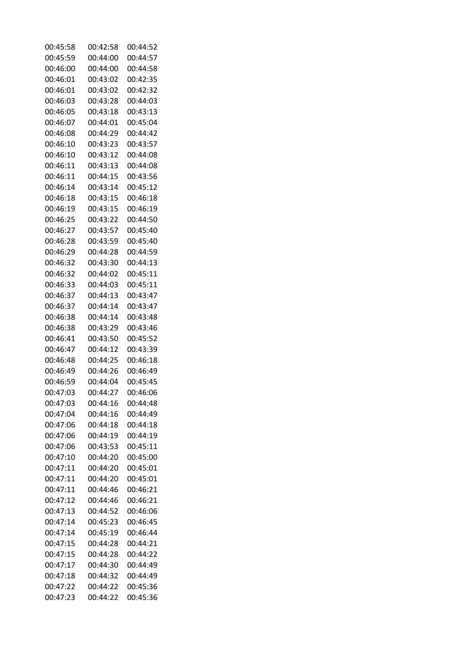| 00:45:58             | 00:42:58 | 00:44:52 |
|----------------------|----------|----------|
| 00:45:59             | 00:44:00 | 00:44:57 |
| 00:46:00             | 00:44:00 | 00:44:58 |
| 00:46:01             | 00:43:02 | 00:42:35 |
| 00:46:01             | 00:43:02 | 00:42:32 |
| 00:46:03             | 00:43:28 | 00:44:03 |
| 00:46:05             | 00:43:18 | 00:43:13 |
| 00:46:07             | 00:44:01 | 00:45:04 |
| 00:46:08             | 00:44:29 | 00:44:42 |
| 00:46:10             | 00:43:23 | 00:43:57 |
| 00:46:10             | 00:43:12 | 00:44:08 |
| 00:46:11             | 00:43:13 | 00:44:08 |
| 00:46:11             | 00:44:15 | 00:43:56 |
| 00:46:14             | 00:43:14 | 00:45:12 |
| 00:46:18             | 00:43:15 | 00:46:18 |
| 00:46:19             | 00:43:15 | 00:46:19 |
| 00:46:25             | 00:43:22 | 00:44:50 |
| 00:46:27             | 00:43:57 | 00:45:40 |
| 00:46:28             | 00:43:59 | 00:45:40 |
| 00:46:29             | 00:44:28 | 00:44:59 |
| 00:46:32             | 00:43:30 | 00:44:13 |
| 00:46:32             | 00:44:02 | 00:45:11 |
| 00:46:33             | 00:44:03 | 00:45:11 |
| 00:46:37             | 00:44:13 | 00:43:47 |
| 00:46:37             | 00:44:14 | 00:43:47 |
|                      | 00:44:14 | 00:43:48 |
| 00:46:38<br>00:46:38 | 00:43:29 | 00:43:46 |
|                      |          |          |
| 00:46:41             | 00:43:50 | 00:45:52 |
| 00:46:47             | 00:44:12 | 00:43:39 |
| 00:46:48             | 00:44:25 | 00:46:18 |
| 00:46:49             | 00:44:26 | 00:46:49 |
| 00:46:59             | 00:44:04 | 00:45:45 |
| 00:47:03             | 00:44:27 | 00:46:06 |
| 00:47:03             | 00:44:16 | 00:44:48 |
| 00:47:04             | 00:44:16 | 00:44:49 |
| 00:47:06             | 00:44:18 | 00:44:18 |
| 00:47:06             | 00:44:19 | 00:44:19 |
| 00:47:06             | 00:43:53 | 00:45:11 |
| 00:47:10             | 00:44:20 | 00:45:00 |
| 00:47:11             | 00:44:20 | 00:45:01 |
| 00:47:11             | 00:44:20 | 00:45:01 |
| 00:47:11             | 00:44:46 | 00:46:21 |
| 00:47:12             | 00:44:46 | 00:46:21 |
| 00:47:13             | 00:44:52 | 00:46:06 |
| 00:47:14             | 00:45:23 | 00:46:45 |
| 00:47:14             | 00:45:19 | 00:46:44 |
| 00:47:15             | 00:44:28 | 00:44:21 |
| 00:47:15             | 00:44:28 | 00:44:22 |
| 00:47:17             | 00:44:30 | 00:44:49 |
| 00:47:18             | 00:44:32 | 00:44:49 |
| 00:47:22             | 00:44:22 | 00:45:36 |
| 00:47:23             | 00:44:22 | 00:45:36 |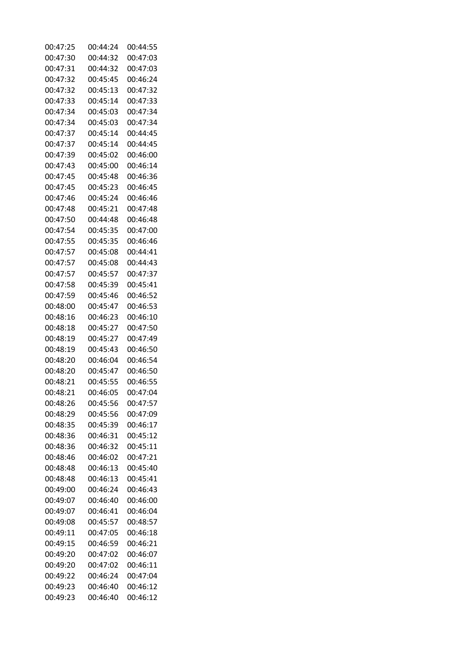| 00:47:25 | 00:44:24 | 00:44:55 |
|----------|----------|----------|
| 00:47:30 | 00:44:32 | 00:47:03 |
| 00:47:31 | 00:44:32 | 00:47:03 |
| 00:47:32 | 00:45:45 | 00:46:24 |
| 00:47:32 | 00:45:13 | 00:47:32 |
| 00:47:33 | 00:45:14 | 00:47:33 |
| 00:47:34 | 00:45:03 | 00:47:34 |
| 00:47:34 | 00:45:03 | 00:47:34 |
| 00:47:37 | 00:45:14 | 00:44:45 |
| 00:47:37 | 00:45:14 | 00:44:45 |
| 00:47:39 | 00:45:02 | 00:46:00 |
| 00:47:43 | 00:45:00 | 00:46:14 |
| 00:47:45 | 00:45:48 | 00:46:36 |
| 00:47:45 | 00:45:23 | 00:46:45 |
| 00:47:46 | 00:45:24 | 00:46:46 |
| 00:47:48 | 00:45:21 | 00:47:48 |
| 00:47:50 | 00:44:48 | 00:46:48 |
| 00:47:54 | 00:45:35 | 00:47:00 |
| 00:47:55 | 00:45:35 | 00:46:46 |
| 00:47:57 | 00:45:08 | 00:44:41 |
| 00:47:57 | 00:45:08 | 00:44:43 |
| 00:47:57 | 00:45:57 | 00:47:37 |
| 00:47:58 | 00:45:39 | 00:45:41 |
| 00:47:59 | 00:45:46 | 00:46:52 |
| 00:48:00 | 00:45:47 | 00:46:53 |
| 00:48:16 | 00:46:23 | 00:46:10 |
| 00:48:18 | 00:45:27 | 00:47:50 |
| 00:48:19 | 00:45:27 | 00:47:49 |
| 00:48:19 | 00:45:43 | 00:46:50 |
| 00:48:20 | 00:46:04 | 00:46:54 |
| 00:48:20 | 00:45:47 | 00:46:50 |
| 00:48:21 | 00:45:55 | 00:46:55 |
| 00:48:21 | 00:46:05 | 00:47:04 |
| 00:48:26 | 00:45:56 | 00:47:57 |
| 00:48:29 | 00:45:56 | 00:47:09 |
| 00:48:35 | 00:45:39 | 00:46:17 |
| 00:48:36 | 00:46:31 | 00:45:12 |
| 00:48:36 | 00:46:32 | 00:45:11 |
| 00:48:46 | 00:46:02 | 00:47:21 |
| 00:48:48 | 00:46:13 | 00:45:40 |
| 00:48:48 | 00:46:13 | 00:45:41 |
| 00:49:00 | 00:46:24 | 00:46:43 |
| 00:49:07 | 00:46:40 | 00:46:00 |
| 00:49:07 | 00:46:41 | 00:46:04 |
| 00:49:08 | 00:45:57 | 00:48:57 |
| 00:49:11 | 00:47:05 | 00:46:18 |
| 00:49:15 | 00:46:59 | 00:46:21 |
| 00:49:20 | 00:47:02 | 00:46:07 |
| 00:49:20 | 00:47:02 | 00:46:11 |
| 00:49:22 | 00:46:24 | 00:47:04 |
| 00:49:23 | 00:46:40 | 00:46:12 |
| 00:49:23 | 00:46:40 | 00:46:12 |
|          |          |          |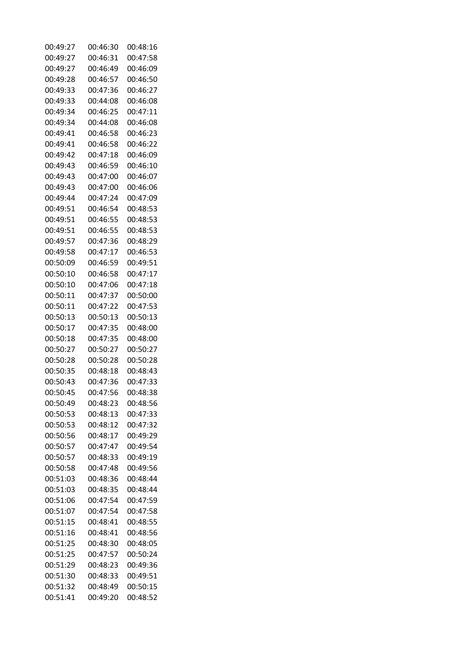| 00:49:27 | 00:46:30 | 00:48:16 |
|----------|----------|----------|
| 00:49:27 | 00:46:31 | 00:47:58 |
| 00:49:27 | 00:46:49 | 00:46:09 |
| 00:49:28 | 00:46:57 | 00:46:50 |
| 00:49:33 | 00:47:36 | 00:46:27 |
| 00:49:33 | 00:44:08 | 00:46:08 |
| 00:49:34 | 00:46:25 | 00:47:11 |
| 00:49:34 | 00:44:08 | 00:46:08 |
| 00:49:41 | 00:46:58 | 00:46:23 |
| 00:49:41 | 00:46:58 | 00:46:22 |
| 00:49:42 | 00:47:18 | 00:46:09 |
| 00:49:43 | 00:46:59 | 00:46:10 |
| 00:49:43 | 00:47:00 | 00:46:07 |
| 00:49:43 | 00:47:00 | 00:46:06 |
| 00:49:44 | 00:47:24 | 00:47:09 |
| 00:49:51 | 00:46:54 | 00:48:53 |
| 00:49:51 | 00:46:55 | 00:48:53 |
| 00:49:51 | 00:46:55 | 00:48:53 |
| 00:49:57 | 00:47:36 | 00:48:29 |
| 00:49:58 | 00:47:17 | 00:46:53 |
| 00:50:09 | 00:46:59 | 00:49:51 |
| 00:50:10 | 00:46:58 | 00:47:17 |
| 00:50:10 | 00:47:06 | 00:47:18 |
| 00:50:11 | 00:47:37 | 00:50:00 |
| 00:50:11 | 00:47:22 | 00:47:53 |
| 00:50:13 | 00:50:13 | 00:50:13 |
| 00:50:17 | 00:47:35 | 00:48:00 |
| 00:50:18 | 00:47:35 | 00:48:00 |
| 00:50:27 | 00:50:27 | 00:50:27 |
| 00:50:28 | 00:50:28 | 00:50:28 |
| 00:50:35 | 00:48:18 | 00:48:43 |
| 00:50:43 | 00:47:36 | 00:47:33 |
| 00:50:45 | 00:47:56 | 00:48:38 |
| 00:50:49 | 00:48:23 | 00:48:56 |
| 00:50:53 | 00:48:13 | 00:47:33 |
| 00:50:53 | 00:48:12 | 00:47:32 |
| 00:50:56 | 00:48:17 | 00:49:29 |
| 00:50:57 | 00:47:47 | 00:49:54 |
| 00:50:57 | 00:48:33 | 00:49:19 |
| 00:50:58 | 00:47:48 | 00:49:56 |
| 00:51:03 | 00:48:36 | 00:48:44 |
| 00:51:03 | 00:48:35 | 00:48:44 |
| 00:51:06 | 00:47:54 | 00:47:59 |
| 00:51:07 | 00:47:54 | 00:47:58 |
| 00:51:15 | 00:48:41 | 00:48:55 |
| 00:51:16 | 00:48:41 | 00:48:56 |
| 00:51:25 | 00:48:30 | 00:48:05 |
| 00:51:25 | 00:47:57 | 00:50:24 |
| 00:51:29 | 00:48:23 | 00:49:36 |
| 00:51:30 | 00:48:33 | 00:49:51 |
| 00:51:32 | 00:48:49 | 00:50:15 |
| 00:51:41 | 00:49:20 | 00:48:52 |
|          |          |          |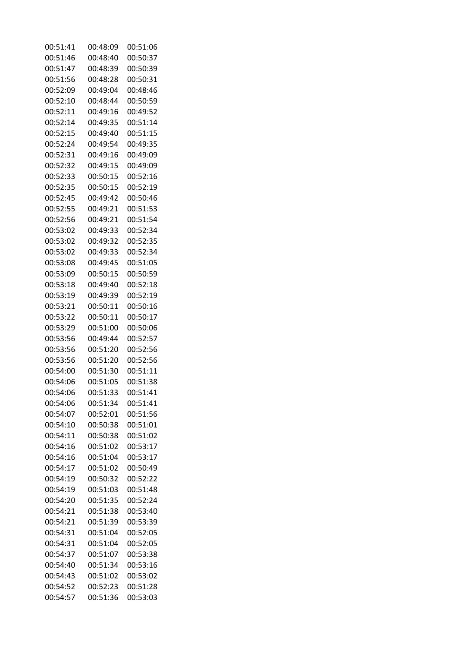| 00:51:41 | 00:48:09 | 00:51:06 |
|----------|----------|----------|
| 00:51:46 | 00:48:40 | 00:50:37 |
| 00:51:47 | 00:48:39 | 00:50:39 |
| 00:51:56 | 00:48:28 | 00:50:31 |
| 00:52:09 | 00:49:04 | 00:48:46 |
| 00:52:10 | 00:48:44 | 00:50:59 |
| 00:52:11 | 00:49:16 | 00:49:52 |
| 00:52:14 | 00:49:35 | 00:51:14 |
| 00:52:15 | 00:49:40 | 00:51:15 |
| 00:52:24 | 00:49:54 | 00:49:35 |
| 00:52:31 | 00:49:16 | 00:49:09 |
| 00:52:32 | 00:49:15 | 00:49:09 |
| 00:52:33 | 00:50:15 | 00:52:16 |
| 00:52:35 | 00:50:15 | 00:52:19 |
| 00:52:45 | 00:49:42 | 00:50:46 |
| 00:52:55 | 00:49:21 | 00:51:53 |
| 00:52:56 | 00:49:21 | 00:51:54 |
| 00:53:02 | 00:49:33 | 00:52:34 |
| 00:53:02 | 00:49:32 | 00:52:35 |
| 00:53:02 | 00:49:33 | 00:52:34 |
| 00:53:08 | 00:49:45 | 00:51:05 |
| 00:53:09 | 00:50:15 | 00:50:59 |
| 00:53:18 | 00:49:40 | 00:52:18 |
| 00:53:19 | 00:49:39 | 00:52:19 |
| 00:53:21 | 00:50:11 | 00:50:16 |
| 00:53:22 | 00:50:11 | 00:50:17 |
| 00:53:29 | 00:51:00 | 00:50:06 |
| 00:53:56 | 00:49:44 | 00:52:57 |
| 00:53:56 | 00:51:20 | 00:52:56 |
| 00:53:56 | 00:51:20 | 00:52:56 |
| 00:54:00 | 00:51:30 | 00:51:11 |
| 00:54:06 | 00:51:05 | 00:51:38 |
| 00:54:06 | 00:51:33 | 00:51:41 |
| 00:54:06 | 00:51:34 | 00:51:41 |
| 00:54:07 | 00:52:01 | 00:51:56 |
| 00:54:10 | 00:50:38 | 00:51:01 |
| 00:54:11 | 00:50:38 | 00:51:02 |
| 00:54:16 | 00:51:02 | 00:53:17 |
| 00:54:16 | 00:51:04 | 00:53:17 |
| 00:54:17 | 00:51:02 | 00:50:49 |
| 00:54:19 | 00:50:32 | 00:52:22 |
| 00:54:19 | 00:51:03 | 00:51:48 |
| 00:54:20 | 00:51:35 | 00:52:24 |
| 00:54:21 | 00:51:38 | 00:53:40 |
| 00:54:21 | 00:51:39 | 00:53:39 |
| 00:54:31 | 00:51:04 | 00:52:05 |
| 00:54:31 | 00:51:04 | 00:52:05 |
| 00:54:37 | 00:51:07 | 00:53:38 |
| 00:54:40 | 00:51:34 | 00:53:16 |
| 00:54:43 | 00:51:02 | 00:53:02 |
| 00:54:52 | 00:52:23 | 00:51:28 |
| 00:54:57 | 00:51:36 | 00:53:03 |
|          |          |          |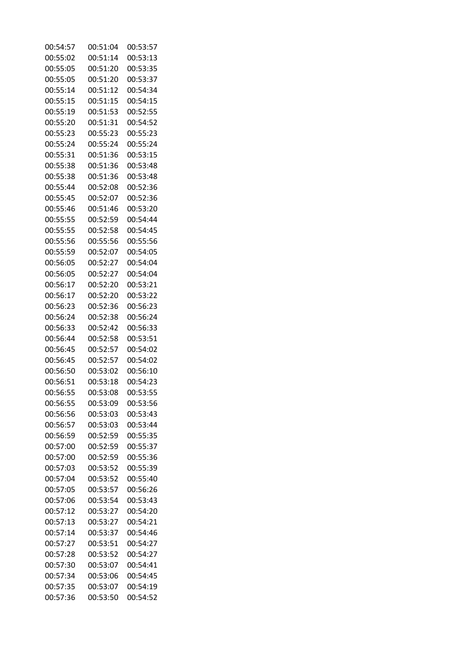| 00:54:57 | 00:51:04 | 00:53:57 |
|----------|----------|----------|
| 00:55:02 | 00:51:14 | 00:53:13 |
| 00:55:05 | 00:51:20 | 00:53:35 |
| 00:55:05 | 00:51:20 | 00:53:37 |
| 00:55:14 | 00:51:12 | 00:54:34 |
| 00:55:15 | 00:51:15 | 00:54:15 |
| 00:55:19 | 00:51:53 | 00:52:55 |
| 00:55:20 | 00:51:31 | 00:54:52 |
| 00:55:23 | 00:55:23 | 00:55:23 |
| 00:55:24 | 00:55:24 | 00:55:24 |
| 00:55:31 | 00:51:36 | 00:53:15 |
| 00:55:38 | 00:51:36 | 00:53:48 |
| 00:55:38 | 00:51:36 | 00:53:48 |
| 00:55:44 | 00:52:08 | 00:52:36 |
| 00:55:45 | 00:52:07 | 00:52:36 |
| 00:55:46 | 00:51:46 | 00:53:20 |
| 00:55:55 | 00:52:59 | 00:54:44 |
| 00:55:55 | 00:52:58 | 00:54:45 |
| 00:55:56 | 00:55:56 | 00:55:56 |
| 00:55:59 | 00:52:07 | 00:54:05 |
| 00:56:05 | 00:52:27 | 00:54:04 |
| 00:56:05 | 00:52:27 | 00:54:04 |
| 00:56:17 | 00:52:20 | 00:53:21 |
| 00:56:17 | 00:52:20 | 00:53:22 |
| 00:56:23 | 00:52:36 | 00:56:23 |
| 00:56:24 | 00:52:38 | 00:56:24 |
| 00:56:33 | 00:52:42 | 00:56:33 |
| 00:56:44 | 00:52:58 | 00:53:51 |
| 00:56:45 | 00:52:57 | 00:54:02 |
| 00:56:45 | 00:52:57 | 00:54:02 |
| 00:56:50 | 00:53:02 | 00:56:10 |
| 00:56:51 | 00:53:18 | 00:54:23 |
| 00:56:55 | 00:53:08 | 00:53:55 |
| 00:56:55 | 00:53:09 | 00:53:56 |
| 00:56:56 | 00:53:03 | 00:53:43 |
| 00:56:57 | 00:53:03 | 00:53:44 |
| 00:56:59 | 00:52:59 | 00:55:35 |
| 00:57:00 | 00:52:59 | 00:55:37 |
| 00:57:00 | 00:52:59 | 00:55:36 |
| 00:57:03 | 00:53:52 | 00:55:39 |
| 00:57:04 | 00:53:52 | 00:55:40 |
| 00:57:05 | 00:53:57 | 00:56:26 |
| 00:57:06 | 00:53:54 | 00:53:43 |
| 00:57:12 | 00:53:27 | 00:54:20 |
| 00:57:13 | 00:53:27 | 00:54:21 |
| 00:57:14 | 00:53:37 | 00:54:46 |
| 00:57:27 | 00:53:51 | 00:54:27 |
| 00:57:28 | 00:53:52 | 00:54:27 |
| 00:57:30 | 00:53:07 | 00:54:41 |
| 00:57:34 | 00:53:06 | 00:54:45 |
| 00:57:35 | 00:53:07 | 00:54:19 |
| 00:57:36 | 00:53:50 | 00:54:52 |
|          |          |          |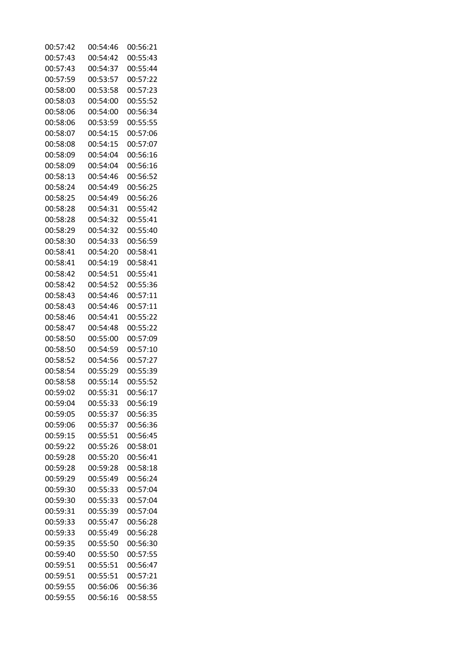| 00:57:42 | 00:54:46 | 00:56:21 |
|----------|----------|----------|
| 00:57:43 | 00:54:42 | 00:55:43 |
| 00:57:43 | 00:54:37 | 00:55:44 |
| 00:57:59 | 00:53:57 | 00:57:22 |
| 00:58:00 | 00:53:58 | 00:57:23 |
| 00:58:03 | 00:54:00 | 00:55:52 |
| 00:58:06 | 00:54:00 | 00:56:34 |
| 00:58:06 | 00:53:59 | 00:55:55 |
| 00:58:07 | 00:54:15 | 00:57:06 |
| 00:58:08 | 00:54:15 | 00:57:07 |
| 00:58:09 | 00:54:04 | 00:56:16 |
| 00:58:09 | 00:54:04 | 00:56:16 |
| 00:58:13 | 00:54:46 | 00:56:52 |
| 00:58:24 | 00:54:49 | 00:56:25 |
| 00:58:25 | 00:54:49 | 00:56:26 |
| 00:58:28 | 00:54:31 | 00:55:42 |
| 00:58:28 | 00:54:32 | 00:55:41 |
| 00:58:29 | 00:54:32 | 00:55:40 |
| 00:58:30 | 00:54:33 | 00:56:59 |
| 00:58:41 | 00:54:20 | 00:58:41 |
| 00:58:41 | 00:54:19 | 00:58:41 |
| 00:58:42 | 00:54:51 | 00:55:41 |
| 00:58:42 | 00:54:52 | 00:55:36 |
| 00:58:43 | 00:54:46 | 00:57:11 |
| 00:58:43 | 00:54:46 | 00:57:11 |
| 00:58:46 | 00:54:41 | 00:55:22 |
| 00:58:47 | 00:54:48 | 00:55:22 |
| 00:58:50 | 00:55:00 | 00:57:09 |
| 00:58:50 | 00:54:59 | 00:57:10 |
| 00:58:52 | 00:54:56 | 00:57:27 |
| 00:58:54 | 00:55:29 | 00:55:39 |
| 00:58:58 | 00:55:14 | 00:55:52 |
| 00:59:02 | 00:55:31 | 00:56:17 |
| 00:59:04 | 00:55:33 | 00:56:19 |
| 00:59:05 | 00:55:37 | 00:56:35 |
| 00:59:06 | 00:55:37 | 00:56:36 |
| 00:59:15 | 00:55:51 | 00:56:45 |
| 00:59:22 | 00:55:26 | 00:58:01 |
| 00:59:28 | 00:55:20 | 00:56:41 |
| 00:59:28 | 00:59:28 | 00:58:18 |
| 00:59:29 | 00:55:49 | 00:56:24 |
| 00:59:30 | 00:55:33 | 00:57:04 |
| 00:59:30 | 00:55:33 | 00:57:04 |
| 00:59:31 | 00:55:39 | 00:57:04 |
| 00:59:33 | 00:55:47 | 00:56:28 |
| 00:59:33 | 00:55:49 | 00:56:28 |
| 00:59:35 | 00:55:50 | 00:56:30 |
| 00:59:40 | 00:55:50 | 00:57:55 |
| 00:59:51 | 00:55:51 | 00:56:47 |
| 00:59:51 | 00:55:51 | 00:57:21 |
| 00:59:55 | 00:56:06 | 00:56:36 |
| 00:59:55 | 00:56:16 | 00:58:55 |
|          |          |          |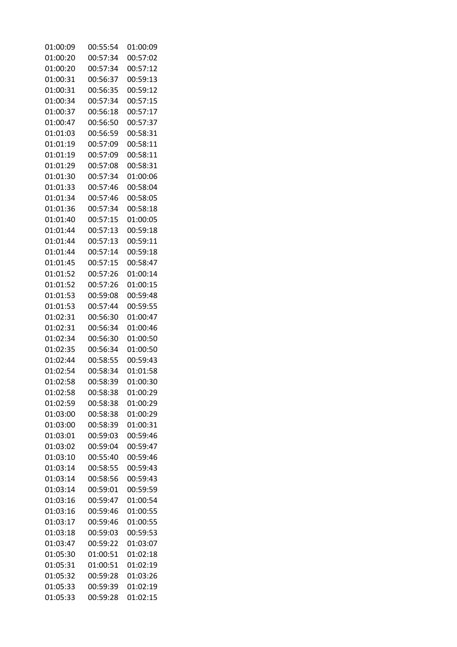| 01:00:09 | 00:55:54 | 01:00:09 |
|----------|----------|----------|
| 01:00:20 | 00:57:34 | 00:57:02 |
| 01:00:20 | 00:57:34 | 00:57:12 |
| 01:00:31 | 00:56:37 | 00:59:13 |
| 01:00:31 | 00:56:35 | 00:59:12 |
| 01:00:34 | 00:57:34 | 00:57:15 |
| 01:00:37 | 00:56:18 | 00:57:17 |
| 01:00:47 | 00:56:50 | 00:57:37 |
| 01:01:03 | 00:56:59 | 00:58:31 |
| 01:01:19 | 00:57:09 | 00:58:11 |
| 01:01:19 | 00:57:09 | 00:58:11 |
| 01:01:29 | 00:57:08 | 00:58:31 |
| 01:01:30 | 00:57:34 | 01:00:06 |
| 01:01:33 | 00:57:46 | 00:58:04 |
| 01:01:34 | 00:57:46 | 00:58:05 |
| 01:01:36 | 00:57:34 | 00:58:18 |
| 01:01:40 | 00:57:15 | 01:00:05 |
| 01:01:44 | 00:57:13 | 00:59:18 |
| 01:01:44 | 00:57:13 | 00:59:11 |
| 01:01:44 | 00:57:14 | 00:59:18 |
| 01:01:45 | 00:57:15 | 00:58:47 |
| 01:01:52 | 00:57:26 | 01:00:14 |
| 01:01:52 | 00:57:26 | 01:00:15 |
| 01:01:53 | 00:59:08 | 00:59:48 |
| 01:01:53 | 00:57:44 | 00:59:55 |
| 01:02:31 | 00:56:30 | 01:00:47 |
| 01:02:31 | 00:56:34 | 01:00:46 |
| 01:02:34 | 00:56:30 | 01:00:50 |
| 01:02:35 | 00:56:34 | 01:00:50 |
| 01:02:44 | 00:58:55 | 00:59:43 |
| 01:02:54 | 00:58:34 | 01:01:58 |
| 01:02:58 | 00:58:39 | 01:00:30 |
| 01:02:58 | 00:58:38 | 01:00:29 |
| 01:02:59 | 00:58:38 | 01:00:29 |
| 01:03:00 | 00:58:38 | 01:00:29 |
| 01:03:00 | 00:58:39 | 01:00:31 |
| 01:03:01 | 00:59:03 | 00:59:46 |
| 01:03:02 | 00:59:04 | 00:59:47 |
| 01:03:10 | 00:55:40 | 00:59:46 |
| 01:03:14 | 00:58:55 | 00:59:43 |
| 01:03:14 | 00:58:56 | 00:59:43 |
| 01:03:14 | 00:59:01 | 00:59:59 |
| 01:03:16 | 00:59:47 | 01:00:54 |
| 01:03:16 | 00:59:46 | 01:00:55 |
| 01:03:17 | 00:59:46 | 01:00:55 |
| 01:03:18 | 00:59:03 | 00:59:53 |
| 01:03:47 | 00:59:22 | 01:03:07 |
| 01:05:30 | 01:00:51 | 01:02:18 |
| 01:05:31 | 01:00:51 | 01:02:19 |
| 01:05:32 | 00:59:28 | 01:03:26 |
| 01:05:33 | 00:59:39 | 01:02:19 |
| 01:05:33 | 00:59:28 | 01:02:15 |
|          |          |          |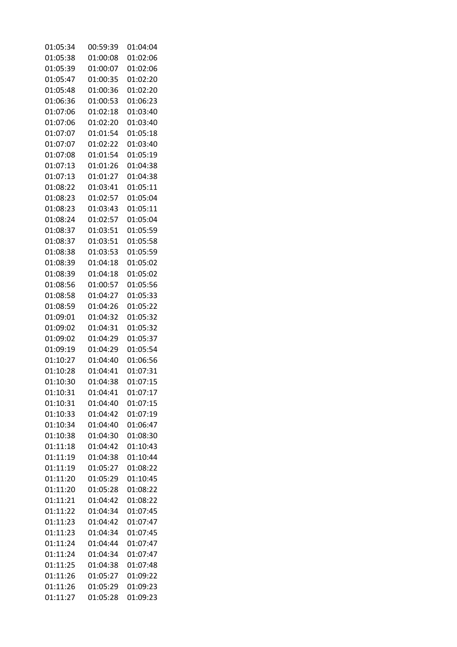| 01:05:34 | 00:59:39 | 01:04:04 |
|----------|----------|----------|
| 01:05:38 | 01:00:08 | 01:02:06 |
| 01:05:39 | 01:00:07 | 01:02:06 |
| 01:05:47 | 01:00:35 | 01:02:20 |
| 01:05:48 | 01:00:36 | 01:02:20 |
| 01:06:36 | 01:00:53 | 01:06:23 |
| 01:07:06 | 01:02:18 | 01:03:40 |
| 01:07:06 | 01:02:20 | 01:03:40 |
| 01:07:07 | 01:01:54 | 01:05:18 |
| 01:07:07 | 01:02:22 | 01:03:40 |
| 01:07:08 | 01:01:54 | 01:05:19 |
| 01:07:13 | 01:01:26 | 01:04:38 |
| 01:07:13 | 01:01:27 | 01:04:38 |
| 01:08:22 | 01:03:41 | 01:05:11 |
| 01:08:23 | 01:02:57 | 01:05:04 |
| 01:08:23 | 01:03:43 | 01:05:11 |
| 01:08:24 | 01:02:57 | 01:05:04 |
| 01:08:37 | 01:03:51 | 01:05:59 |
| 01:08:37 | 01:03:51 | 01:05:58 |
| 01:08:38 | 01:03:53 | 01:05:59 |
| 01:08:39 | 01:04:18 | 01:05:02 |
| 01:08:39 | 01:04:18 | 01:05:02 |
| 01:08:56 | 01:00:57 | 01:05:56 |
| 01:08:58 | 01:04:27 | 01:05:33 |
| 01:08:59 | 01:04:26 | 01:05:22 |
| 01:09:01 | 01:04:32 | 01:05:32 |
| 01:09:02 | 01:04:31 | 01:05:32 |
| 01:09:02 | 01:04:29 | 01:05:37 |
| 01:09:19 | 01:04:29 | 01:05:54 |
| 01:10:27 | 01:04:40 | 01:06:56 |
| 01:10:28 | 01:04:41 | 01:07:31 |
| 01:10:30 | 01:04:38 | 01:07:15 |
| 01:10:31 | 01:04:41 | 01:07:17 |
| 01:10:31 | 01:04:40 | 01:07:15 |
| 01:10:33 | 01:04:42 | 01:07:19 |
| 01:10:34 | 01:04:40 | 01:06:47 |
| 01:10:38 | 01:04:30 | 01:08:30 |
| 01:11:18 | 01:04:42 | 01:10:43 |
| 01:11:19 | 01:04:38 | 01:10:44 |
| 01:11:19 | 01:05:27 | 01:08:22 |
| 01:11:20 | 01:05:29 | 01:10:45 |
| 01:11:20 | 01:05:28 | 01:08:22 |
| 01:11:21 | 01:04:42 | 01:08:22 |
| 01:11:22 | 01:04:34 | 01:07:45 |
| 01:11:23 | 01:04:42 | 01:07:47 |
| 01:11:23 | 01:04:34 | 01:07:45 |
| 01:11:24 | 01:04:44 | 01:07:47 |
| 01:11:24 | 01:04:34 | 01:07:47 |
| 01:11:25 | 01:04:38 | 01:07:48 |
| 01:11:26 | 01:05:27 | 01:09:22 |
| 01:11:26 | 01:05:29 | 01:09:23 |
| 01:11:27 | 01:05:28 | 01:09:23 |
|          |          |          |